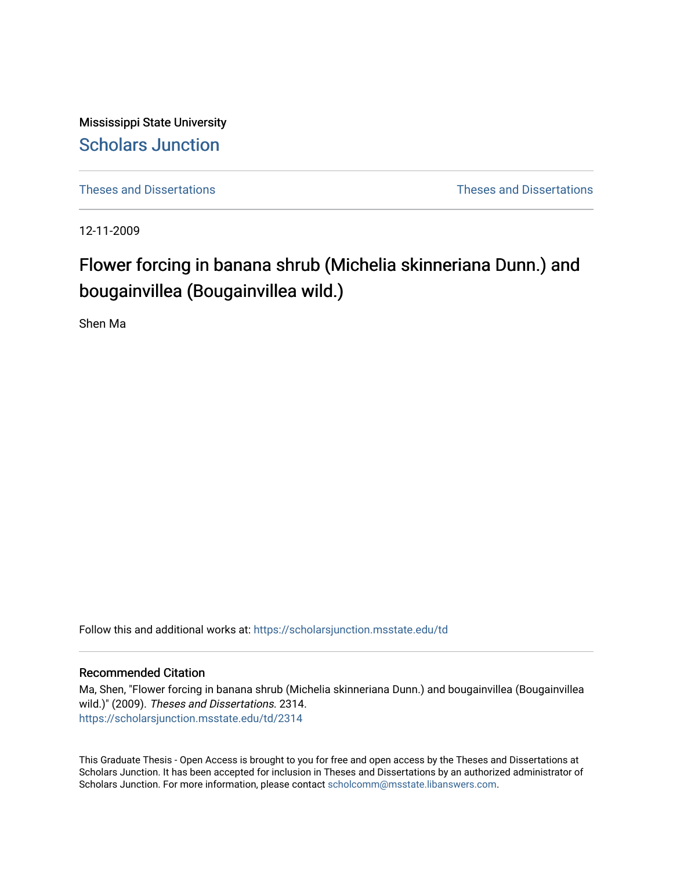Mississippi State University [Scholars Junction](https://scholarsjunction.msstate.edu/) 

[Theses and Dissertations](https://scholarsjunction.msstate.edu/td) [Theses and Dissertations](https://scholarsjunction.msstate.edu/theses-dissertations) 

12-11-2009

# Flower forcing in banana shrub (Michelia skinneriana Dunn.) and bougainvillea (Bougainvillea wild.)

Shen Ma

Follow this and additional works at: [https://scholarsjunction.msstate.edu/td](https://scholarsjunction.msstate.edu/td?utm_source=scholarsjunction.msstate.edu%2Ftd%2F2314&utm_medium=PDF&utm_campaign=PDFCoverPages) 

# Recommended Citation

Ma, Shen, "Flower forcing in banana shrub (Michelia skinneriana Dunn.) and bougainvillea (Bougainvillea wild.)" (2009). Theses and Dissertations. 2314. [https://scholarsjunction.msstate.edu/td/2314](https://scholarsjunction.msstate.edu/td/2314?utm_source=scholarsjunction.msstate.edu%2Ftd%2F2314&utm_medium=PDF&utm_campaign=PDFCoverPages) 

This Graduate Thesis - Open Access is brought to you for free and open access by the Theses and Dissertations at Scholars Junction. It has been accepted for inclusion in Theses and Dissertations by an authorized administrator of Scholars Junction. For more information, please contact [scholcomm@msstate.libanswers.com.](mailto:scholcomm@msstate.libanswers.com)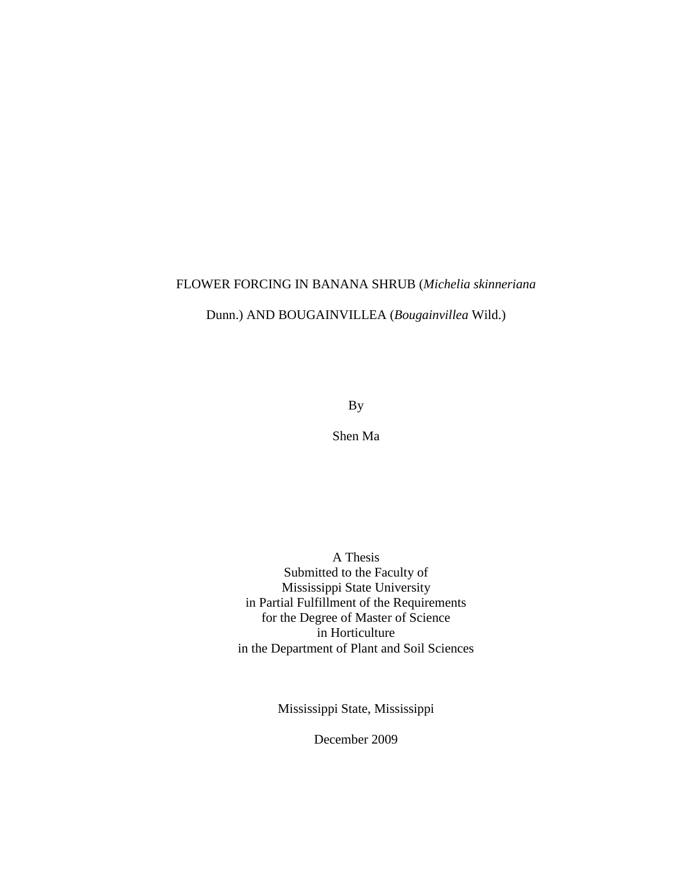# FLOWER FORCING IN BANANA SHRUB (*Michelia skinneriana*

Dunn.) AND BOUGAINVILLEA (*Bougainvillea* Wild.)

By

Shen Ma

A Thesis Submitted to the Faculty of Mississippi State University in Partial Fulfillment of the Requirements for the Degree of Master of Science in Horticulture in the Department of Plant and Soil Sciences

Mississippi State, Mississippi

December 2009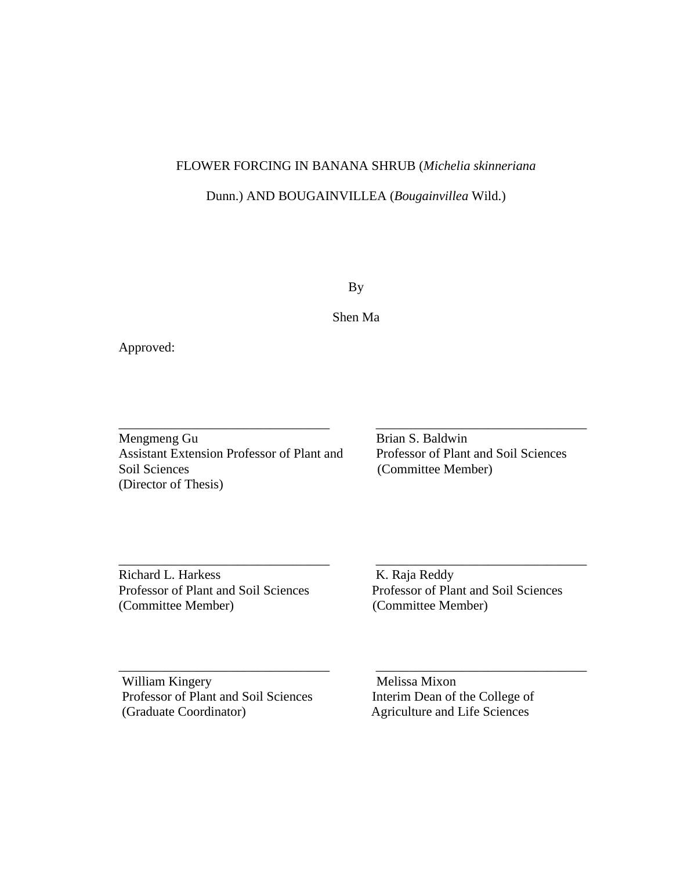# FLOWER FORCING IN BANANA SHRUB (*Michelia skinneriana*

# Dunn.) AND BOUGAINVILLEA (*Bougainvillea* Wild.)

By

Shen Ma

\_\_\_\_\_\_\_\_\_\_\_\_\_\_\_\_\_\_\_\_\_\_\_\_\_\_\_\_\_\_\_\_ \_\_\_\_\_\_\_\_\_\_\_\_\_\_\_\_\_\_\_\_\_\_\_\_\_\_\_\_\_\_\_\_

\_\_\_\_\_\_\_\_\_\_\_\_\_\_\_\_\_\_\_\_\_\_\_\_\_\_\_\_\_\_\_\_ \_\_\_\_\_\_\_\_\_\_\_\_\_\_\_\_\_\_\_\_\_\_\_\_\_\_\_\_\_\_\_\_

\_\_\_\_\_\_\_\_\_\_\_\_\_\_\_\_\_\_\_\_\_\_\_\_\_\_\_\_\_\_\_\_ \_\_\_\_\_\_\_\_\_\_\_\_\_\_\_\_\_\_\_\_\_\_\_\_\_\_\_\_\_\_\_\_

Approved:

Mengmeng Gu Brian S. Baldwin Assistant Extension Professor of Plant and Professor of Plant and Soil Sciences Soil Sciences (Committee Member) (Director of Thesis)

Richard L. Harkess K. Raja Reddy (Committee Member) (Committee Member)

Professor of Plant and Soil Sciences Professor of Plant and Soil Sciences

William Kingery Melissa Mixon Professor of Plant and Soil Sciences Interim Dean of the College of (Graduate Coordinator) Agriculture and Life Sciences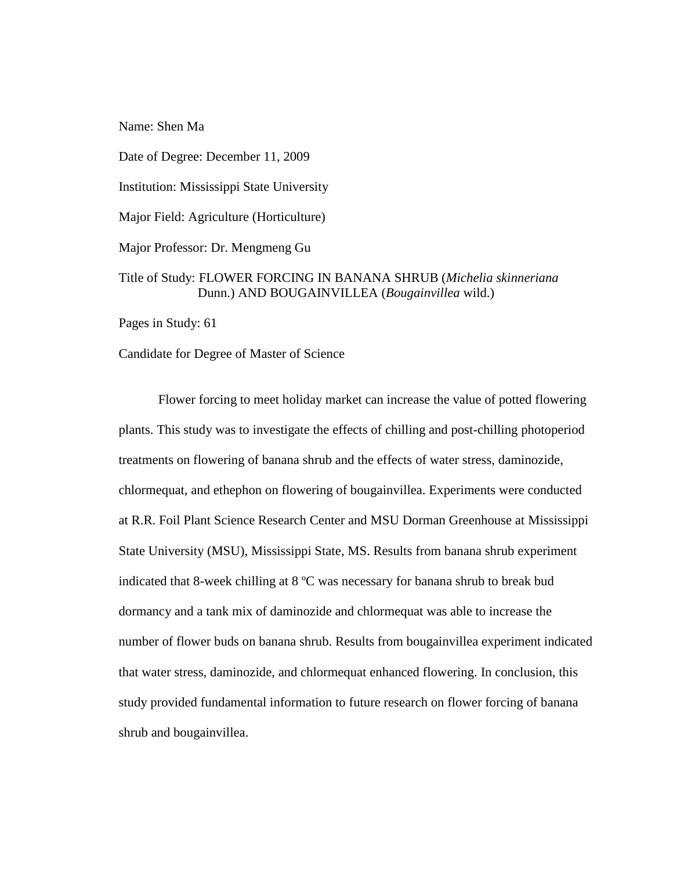Name: Shen Ma

Date of Degree: December 11, 2009

Institution: Mississippi State University

Major Field: Agriculture (Horticulture)

Major Professor: Dr. Mengmeng Gu

# Title of Study: FLOWER FORCING IN BANANA SHRUB (*Michelia skinneriana*  Dunn.) AND BOUGAINVILLEA (*Bougainvillea* wild.)

Pages in Study: 61

Candidate for Degree of Master of Science

Flower forcing to meet holiday market can increase the value of potted flowering plants. This study was to investigate the effects of chilling and post-chilling photoperiod treatments on flowering of banana shrub and the effects of water stress, daminozide, chlormequat, and ethephon on flowering of bougainvillea. Experiments were conducted at R.R. Foil Plant Science Research Center and MSU Dorman Greenhouse at Mississippi State University (MSU), Mississippi State, MS. Results from banana shrub experiment indicated that 8-week chilling at 8 ºC was necessary for banana shrub to break bud dormancy and a tank mix of daminozide and chlormequat was able to increase the number of flower buds on banana shrub. Results from bougainvillea experiment indicated that water stress, daminozide, and chlormequat enhanced flowering. In conclusion, this study provided fundamental information to future research on flower forcing of banana shrub and bougainvillea.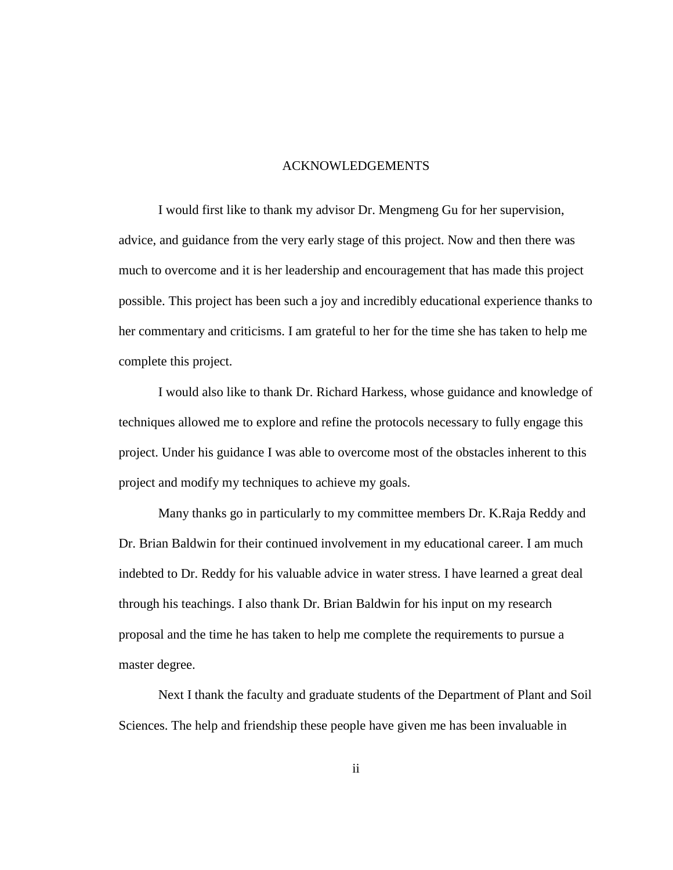#### ACKNOWLEDGEMENTS

I would first like to thank my advisor Dr. Mengmeng Gu for her supervision, advice, and guidance from the very early stage of this project. Now and then there was much to overcome and it is her leadership and encouragement that has made this project possible. This project has been such a joy and incredibly educational experience thanks to her commentary and criticisms. I am grateful to her for the time she has taken to help me complete this project.

I would also like to thank Dr. Richard Harkess, whose guidance and knowledge of techniques allowed me to explore and refine the protocols necessary to fully engage this project. Under his guidance I was able to overcome most of the obstacles inherent to this project and modify my techniques to achieve my goals.

Many thanks go in particularly to my committee members Dr. K.Raja Reddy and Dr. Brian Baldwin for their continued involvement in my educational career. I am much indebted to Dr. Reddy for his valuable advice in water stress. I have learned a great deal through his teachings. I also thank Dr. Brian Baldwin for his input on my research proposal and the time he has taken to help me complete the requirements to pursue a master degree.

Next I thank the faculty and graduate students of the Department of Plant and Soil Sciences. The help and friendship these people have given me has been invaluable in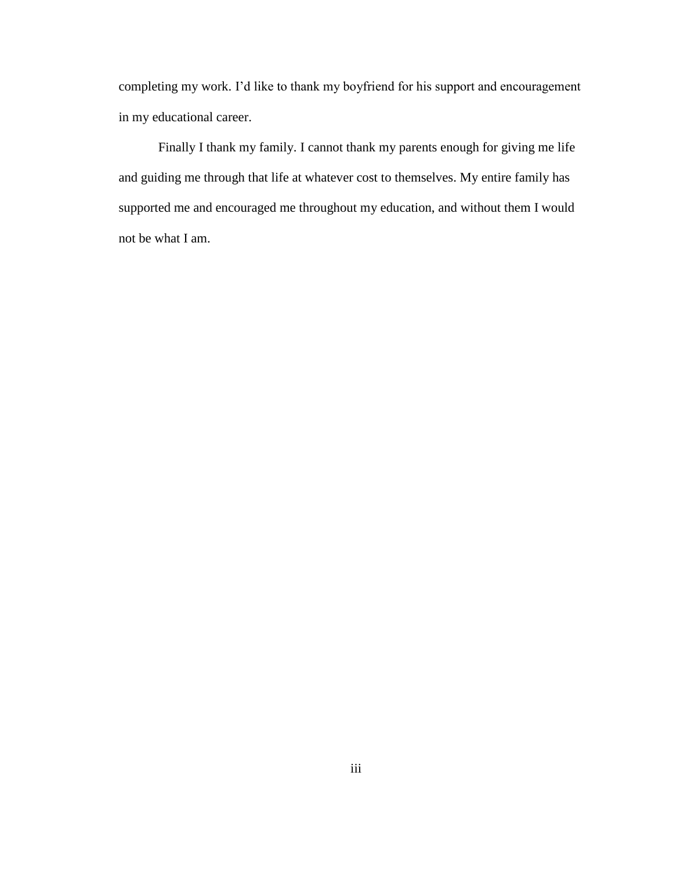completing my work. I"d like to thank my boyfriend for his support and encouragement in my educational career.

Finally I thank my family. I cannot thank my parents enough for giving me life and guiding me through that life at whatever cost to themselves. My entire family has supported me and encouraged me throughout my education, and without them I would not be what I am.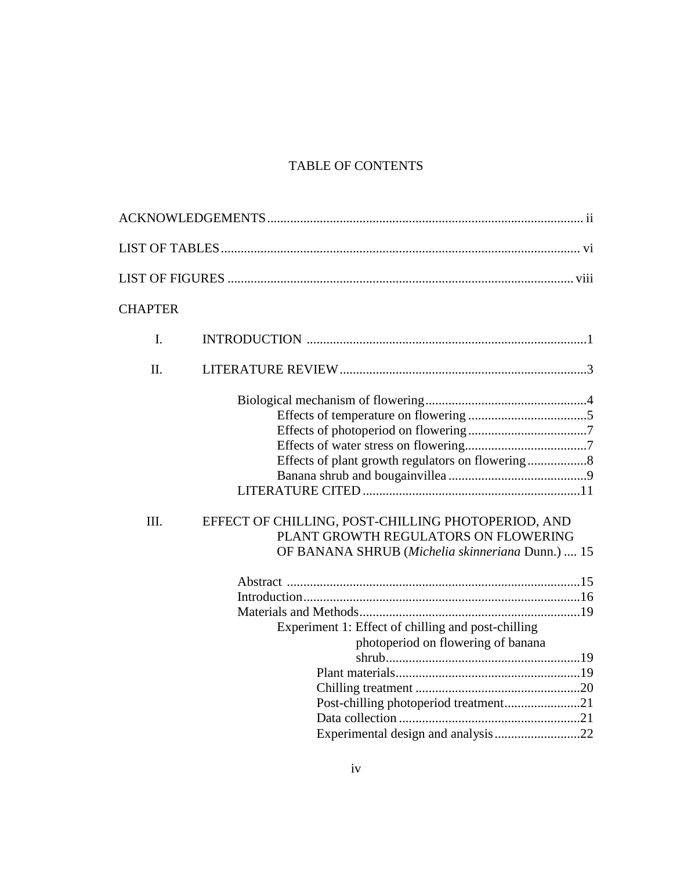# TABLE OF CONTENTS

| <b>CHAPTER</b> |                                                                                                                                                |
|----------------|------------------------------------------------------------------------------------------------------------------------------------------------|
| I.             |                                                                                                                                                |
| Π.             |                                                                                                                                                |
|                |                                                                                                                                                |
| III.           | EFFECT OF CHILLING, POST-CHILLING PHOTOPERIOD, AND<br>PLANT GROWTH REGULATORS ON FLOWERING<br>OF BANANA SHRUB (Michelia skinneriana Dunn.)  15 |
|                | Experiment 1: Effect of chilling and post-chilling<br>photoperiod on flowering of banana                                                       |
|                |                                                                                                                                                |
|                | Post-chilling photoperiod treatment21                                                                                                          |
|                | Experimental design and analysis22                                                                                                             |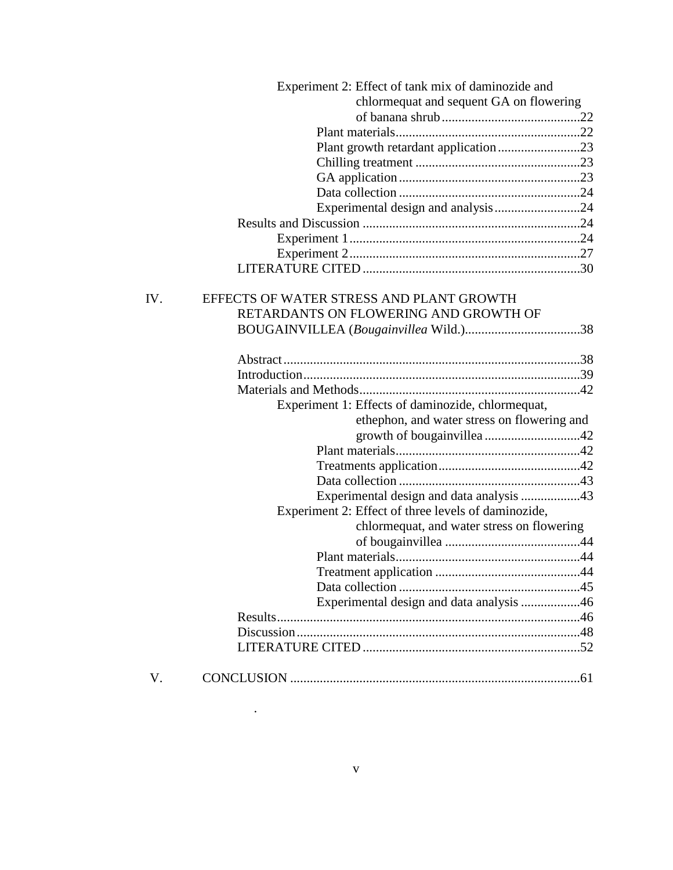|     | Experiment 2: Effect of tank mix of daminozide and  |  |
|-----|-----------------------------------------------------|--|
|     | chlormequat and sequent GA on flowering             |  |
|     |                                                     |  |
|     |                                                     |  |
|     | Plant growth retardant application23                |  |
|     |                                                     |  |
|     |                                                     |  |
|     |                                                     |  |
|     | Experimental design and analysis24                  |  |
|     |                                                     |  |
|     |                                                     |  |
|     |                                                     |  |
|     |                                                     |  |
|     |                                                     |  |
| IV. | EFFECTS OF WATER STRESS AND PLANT GROWTH            |  |
|     | RETARDANTS ON FLOWERING AND GROWTH OF               |  |
|     |                                                     |  |
|     |                                                     |  |
|     |                                                     |  |
|     |                                                     |  |
|     | Experiment 1: Effects of daminozide, chlormequat,   |  |
|     | ethephon, and water stress on flowering and         |  |
|     |                                                     |  |
|     |                                                     |  |
|     |                                                     |  |
|     |                                                     |  |
|     |                                                     |  |
|     | Experiment 2: Effect of three levels of daminozide, |  |
|     | chlormequat, and water stress on flowering          |  |
|     |                                                     |  |
|     |                                                     |  |
|     |                                                     |  |
|     |                                                     |  |
|     | Experimental design and data analysis 46            |  |
|     |                                                     |  |
|     |                                                     |  |
|     |                                                     |  |
|     |                                                     |  |
| V.  |                                                     |  |

.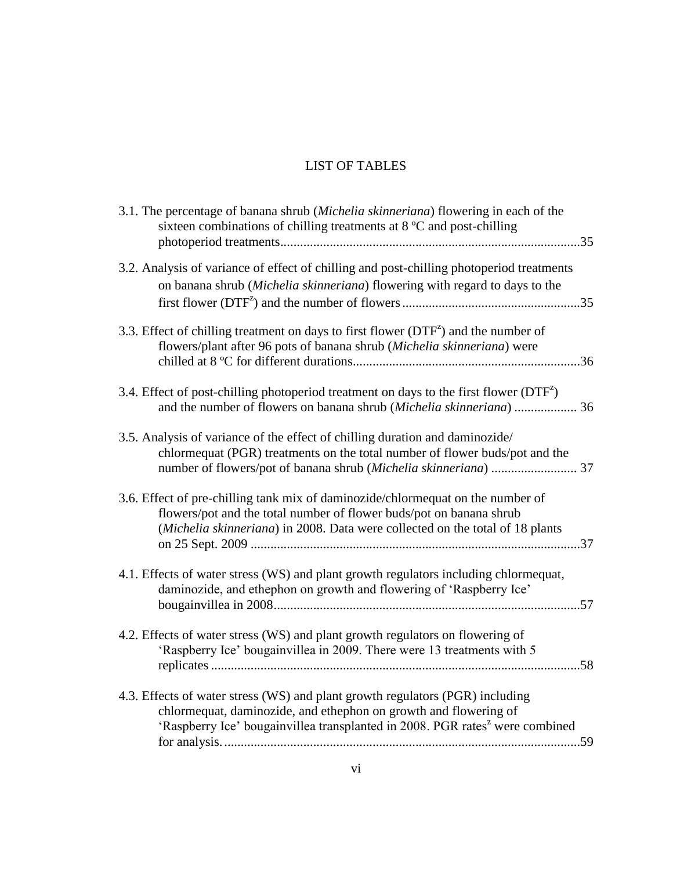# LIST OF TABLES

| 3.1. The percentage of banana shrub (Michelia skinneriana) flowering in each of the<br>sixteen combinations of chilling treatments at 8 °C and post-chilling                                                                                  |  |
|-----------------------------------------------------------------------------------------------------------------------------------------------------------------------------------------------------------------------------------------------|--|
| 3.2. Analysis of variance of effect of chilling and post-chilling photoperiod treatments<br>on banana shrub (Michelia skinneriana) flowering with regard to days to the                                                                       |  |
| 3.3. Effect of chilling treatment on days to first flower $(DTF^2)$ and the number of<br>flowers/plant after 96 pots of banana shrub (Michelia skinneriana) were                                                                              |  |
| 3.4. Effect of post-chilling photoperiod treatment on days to the first flower $(DTF^z)$<br>and the number of flowers on banana shrub (Michelia skinneriana)  36                                                                              |  |
| 3.5. Analysis of variance of the effect of chilling duration and daminozide/<br>chlormequat (PGR) treatments on the total number of flower buds/pot and the                                                                                   |  |
| 3.6. Effect of pre-chilling tank mix of daminozide/chlormequat on the number of<br>flowers/pot and the total number of flower buds/pot on banana shrub<br>(Michelia skinneriana) in 2008. Data were collected on the total of 18 plants       |  |
| 4.1. Effects of water stress (WS) and plant growth regulators including chlormequat,<br>daminozide, and ethephon on growth and flowering of 'Raspberry Ice'                                                                                   |  |
| 4.2. Effects of water stress (WS) and plant growth regulators on flowering of<br>'Raspberry Ice' bougainvillea in 2009. There were 13 treatments with 5                                                                                       |  |
| 4.3. Effects of water stress (WS) and plant growth regulators (PGR) including<br>chlormequat, daminozide, and ethephon on growth and flowering of<br>'Raspberry Ice' bougainvillea transplanted in 2008. PGR rates <sup>z</sup> were combined |  |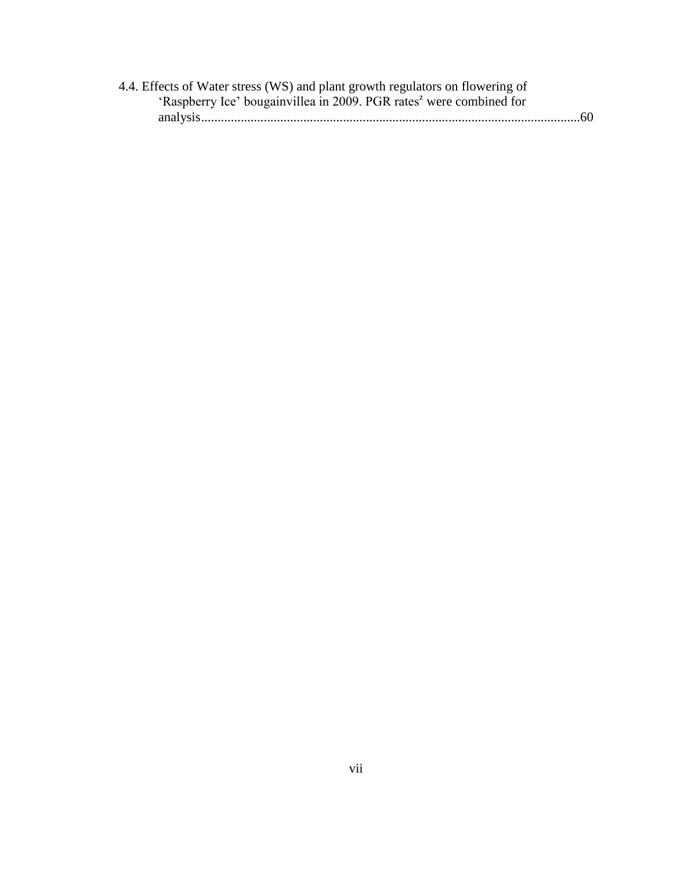| 4.4. Effects of Water stress (WS) and plant growth regulators on flowering of   |  |
|---------------------------------------------------------------------------------|--|
| 'Raspberry Ice' bougainvillea in 2009. PGR rates <sup>2</sup> were combined for |  |
|                                                                                 |  |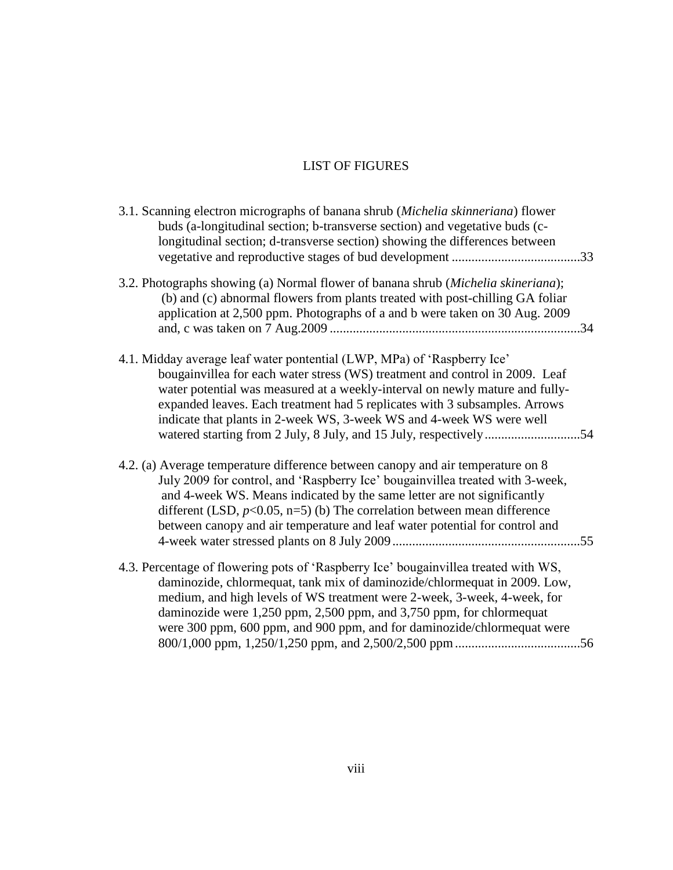# LIST OF FIGURES

| 3.1. Scanning electron micrographs of banana shrub (Michelia skinneriana) flower<br>buds (a-longitudinal section; b-transverse section) and vegetative buds (c-<br>longitudinal section; d-transverse section) showing the differences between                                                                                                                                                                                                                     |  |
|--------------------------------------------------------------------------------------------------------------------------------------------------------------------------------------------------------------------------------------------------------------------------------------------------------------------------------------------------------------------------------------------------------------------------------------------------------------------|--|
| 3.2. Photographs showing (a) Normal flower of banana shrub (Michelia skineriana);<br>(b) and (c) abnormal flowers from plants treated with post-chilling GA foliar<br>application at 2,500 ppm. Photographs of a and b were taken on 30 Aug. 2009                                                                                                                                                                                                                  |  |
| 4.1. Midday average leaf water pontential (LWP, MPa) of 'Raspberry Ice'<br>bougainvillea for each water stress (WS) treatment and control in 2009. Leaf<br>water potential was measured at a weekly-interval on newly mature and fully-<br>expanded leaves. Each treatment had 5 replicates with 3 subsamples. Arrows<br>indicate that plants in 2-week WS, 3-week WS and 4-week WS were well<br>watered starting from 2 July, 8 July, and 15 July, respectively54 |  |
| 4.2. (a) Average temperature difference between canopy and air temperature on 8<br>July 2009 for control, and 'Raspberry Ice' bougainvillea treated with 3-week,<br>and 4-week WS. Means indicated by the same letter are not significantly<br>different (LSD, $p<0.05$ , n=5) (b) The correlation between mean difference<br>between canopy and air temperature and leaf water potential for control and                                                          |  |
| 4.3. Percentage of flowering pots of 'Raspberry Ice' bougainvillea treated with WS,<br>daminozide, chlormequat, tank mix of daminozide/chlormequat in 2009. Low,<br>medium, and high levels of WS treatment were 2-week, 3-week, 4-week, for<br>daminozide were 1,250 ppm, 2,500 ppm, and 3,750 ppm, for chlormequat<br>were 300 ppm, 600 ppm, and 900 ppm, and for daminozide/chlormequat were                                                                    |  |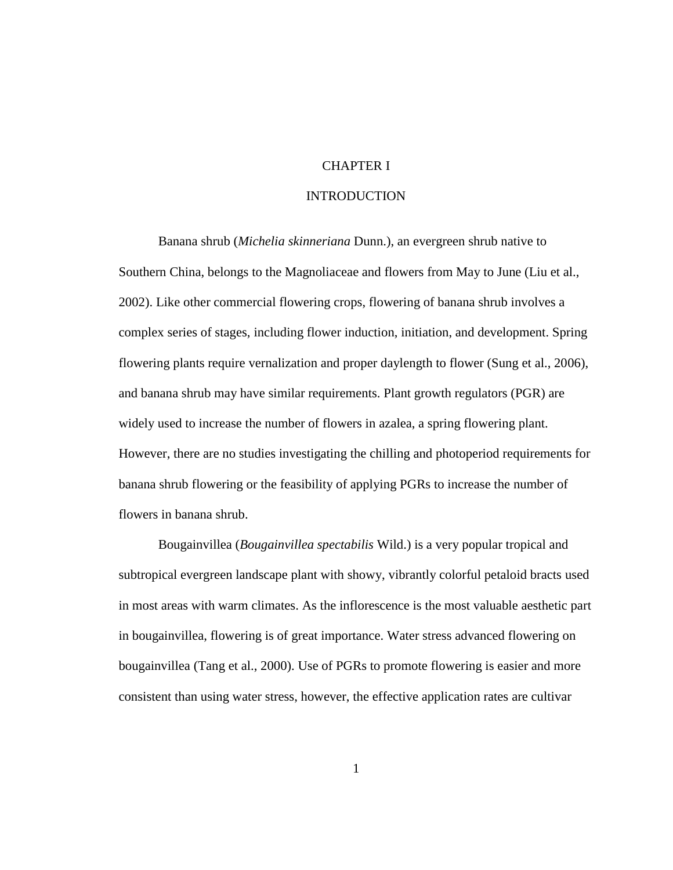# CHAPTER I

# INTRODUCTION

Banana shrub (*Michelia skinneriana* Dunn.), an evergreen shrub native to Southern China, belongs to the Magnoliaceae and flowers from May to June (Liu et al., 2002). Like other commercial flowering crops, flowering of banana shrub involves a complex series of stages, including flower induction, initiation, and development. Spring flowering plants require vernalization and proper daylength to flower (Sung et al., 2006), and banana shrub may have similar requirements. Plant growth regulators (PGR) are widely used to increase the number of flowers in azalea, a spring flowering plant. However, there are no studies investigating the chilling and photoperiod requirements for banana shrub flowering or the feasibility of applying PGRs to increase the number of flowers in banana shrub.

Bougainvillea (*Bougainvillea spectabilis* Wild.) is a very popular tropical and subtropical evergreen landscape plant with showy, vibrantly colorful petaloid bracts used in most areas with warm climates. As the inflorescence is the most valuable aesthetic part in bougainvillea, flowering is of great importance. Water stress advanced flowering on bougainvillea (Tang et al., 2000). Use of PGRs to promote flowering is easier and more consistent than using water stress, however, the effective application rates are cultivar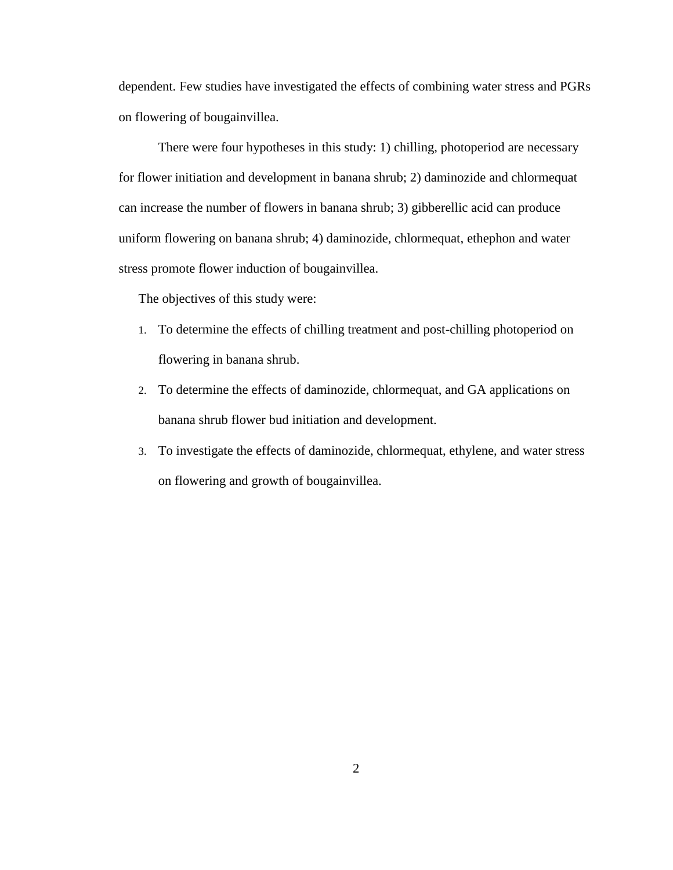dependent. Few studies have investigated the effects of combining water stress and PGRs on flowering of bougainvillea.

There were four hypotheses in this study: 1) chilling, photoperiod are necessary for flower initiation and development in banana shrub; 2) daminozide and chlormequat can increase the number of flowers in banana shrub; 3) gibberellic acid can produce uniform flowering on banana shrub; 4) daminozide, chlormequat, ethephon and water stress promote flower induction of bougainvillea.

The objectives of this study were:

- 1. To determine the effects of chilling treatment and post-chilling photoperiod on flowering in banana shrub.
- 2. To determine the effects of daminozide, chlormequat, and GA applications on banana shrub flower bud initiation and development.
- 3. To investigate the effects of daminozide, chlormequat, ethylene, and water stress on flowering and growth of bougainvillea.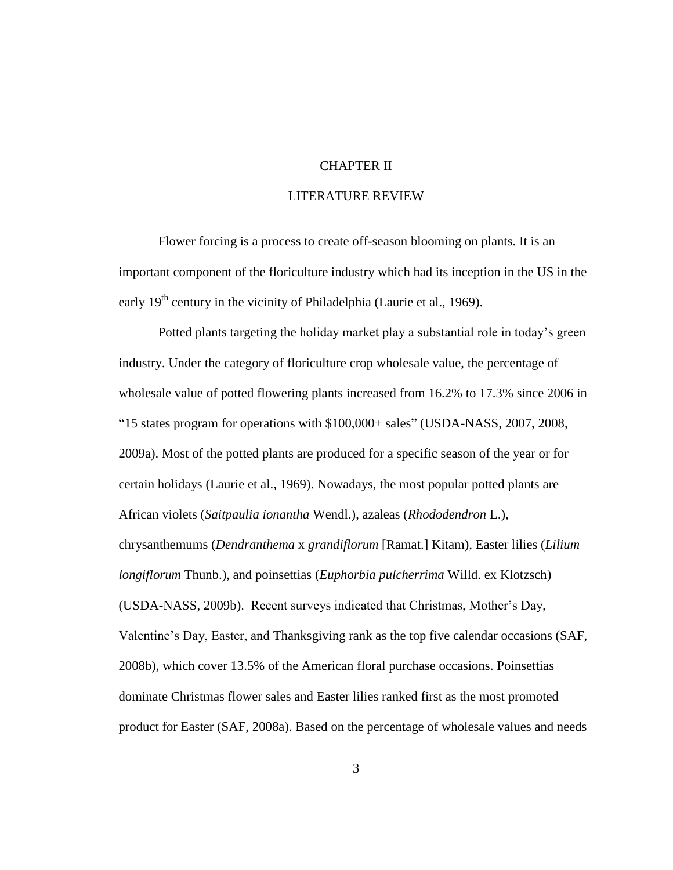# CHAPTER II

# LITERATURE REVIEW

Flower forcing is a process to create off-season blooming on plants. It is an important component of the floriculture industry which had its inception in the US in the early 19<sup>th</sup> century in the vicinity of Philadelphia (Laurie et al., 1969).

Potted plants targeting the holiday market play a substantial role in today"s green industry. Under the category of floriculture crop wholesale value, the percentage of wholesale value of potted flowering plants increased from 16.2% to 17.3% since 2006 in "15 states program for operations with \$100,000+ sales" (USDA-NASS, 2007, 2008, 2009a). Most of the potted plants are produced for a specific season of the year or for certain holidays (Laurie et al., 1969). Nowadays, the most popular potted plants are African violets (*Saitpaulia ionantha* Wendl.), azaleas (*Rhododendron* L.), chrysanthemums (*Dendranthema* x *grandiflorum* [Ramat.] Kitam), Easter lilies (*Lilium longiflorum* Thunb.), and poinsettias (*Euphorbia pulcherrima* Willd. ex Klotzsch) (USDA-NASS, 2009b). Recent surveys indicated that Christmas, Mother"s Day, Valentine"s Day, Easter, and Thanksgiving rank as the top five calendar occasions (SAF, 2008b), which cover 13.5% of the American floral purchase occasions. Poinsettias dominate Christmas flower sales and Easter lilies ranked first as the most promoted product for Easter (SAF, 2008a). Based on the percentage of wholesale values and needs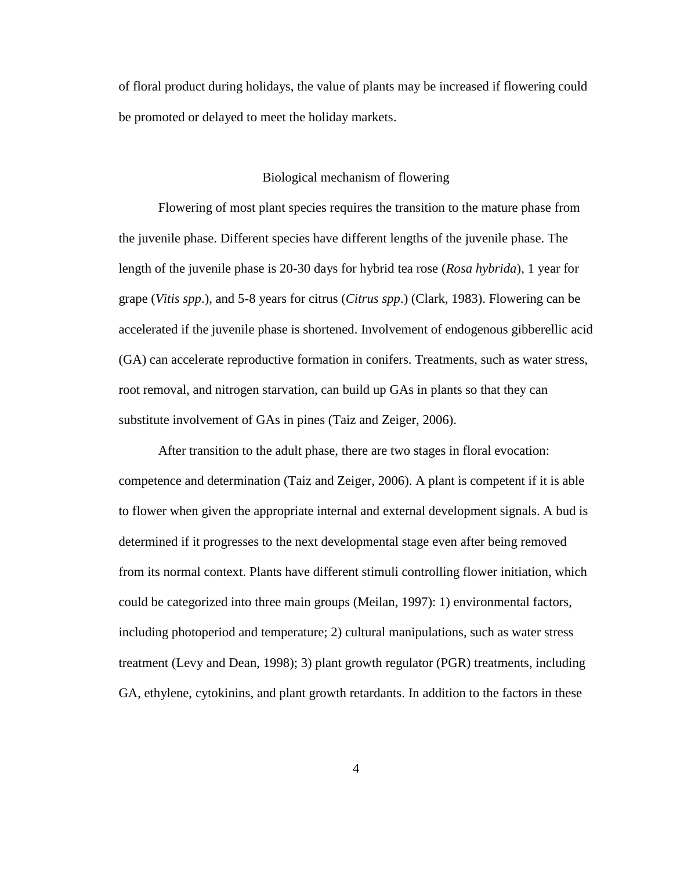of floral product during holidays, the value of plants may be increased if flowering could be promoted or delayed to meet the holiday markets.

# Biological mechanism of flowering

Flowering of most plant species requires the transition to the mature phase from the juvenile phase. Different species have different lengths of the juvenile phase. The length of the juvenile phase is 20-30 days for hybrid tea rose (*Rosa hybrida*), 1 year for grape (*Vitis spp*.), and 5-8 years for citrus (*Citrus spp*.) (Clark, 1983). Flowering can be accelerated if the juvenile phase is shortened. Involvement of endogenous gibberellic acid (GA) can accelerate reproductive formation in conifers. Treatments, such as water stress, root removal, and nitrogen starvation, can build up GAs in plants so that they can substitute involvement of GAs in pines (Taiz and Zeiger, 2006).

After transition to the adult phase, there are two stages in floral evocation: competence and determination (Taiz and Zeiger, 2006). A plant is competent if it is able to flower when given the appropriate internal and external development signals. A bud is determined if it progresses to the next developmental stage even after being removed from its normal context. Plants have different stimuli controlling flower initiation, which could be categorized into three main groups (Meilan, 1997): 1) environmental factors, including photoperiod and temperature; 2) cultural manipulations, such as water stress treatment (Levy and Dean, 1998); 3) plant growth regulator (PGR) treatments, including GA, ethylene, cytokinins, and plant growth retardants. In addition to the factors in these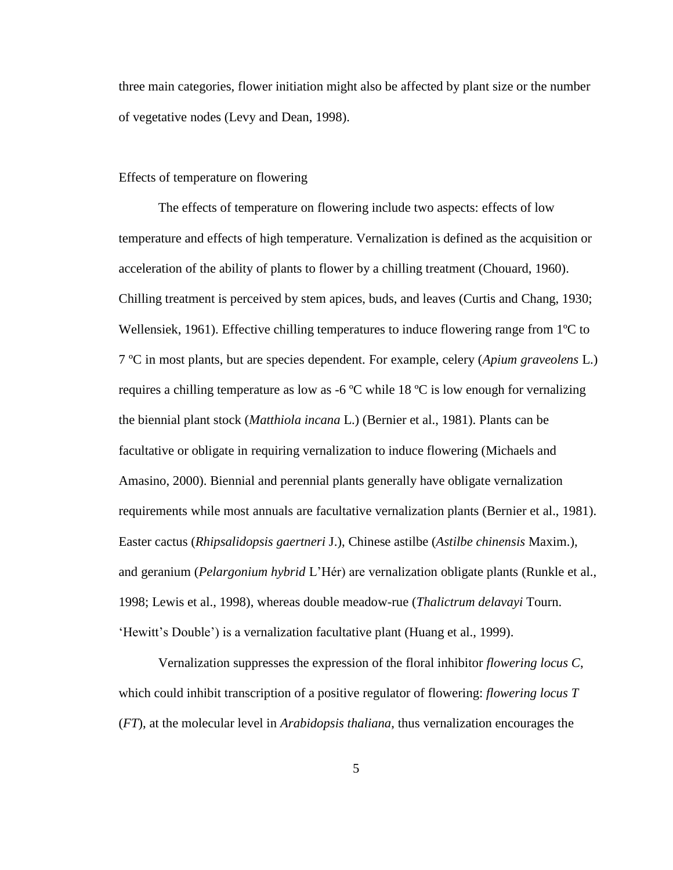three main categories, flower initiation might also be affected by plant size or the number of vegetative nodes (Levy and Dean, 1998).

# Effects of temperature on flowering

The effects of temperature on flowering include two aspects: effects of low temperature and effects of high temperature. Vernalization is defined as the acquisition or acceleration of the ability of plants to flower by a chilling treatment (Chouard, 1960). Chilling treatment is perceived by stem apices, buds, and leaves (Curtis and Chang, 1930; Wellensiek, 1961). Effective chilling temperatures to induce flowering range from  $1^{\circ}C$  to 7 ºC in most plants, but are species dependent. For example, celery (*Apium graveolens* L.) requires a chilling temperature as low as  $-6$  °C while 18 °C is low enough for vernalizing the biennial plant stock (*Matthiola incana* L.) (Bernier et al., 1981). Plants can be facultative or obligate in requiring vernalization to induce flowering (Michaels and Amasino, 2000). Biennial and perennial plants generally have obligate vernalization requirements while most annuals are facultative vernalization plants (Bernier et al., 1981). Easter cactus (*Rhipsalidopsis gaertneri* J.), Chinese astilbe (*Astilbe chinensis* Maxim.), and geranium (*Pelargonium hybrid* L"Hér) are vernalization obligate plants (Runkle et al., 1998; Lewis et al., 1998), whereas double meadow-rue (*Thalictrum delavayi* Tourn. "Hewitt's Double") is a vernalization facultative plant (Huang et al., 1999).

Vernalization suppresses the expression of the floral inhibitor *flowering locus C*, which could inhibit transcription of a positive regulator of flowering: *flowering locus T* (*FT*), at the molecular level in *Arabidopsis thaliana*, thus vernalization encourages the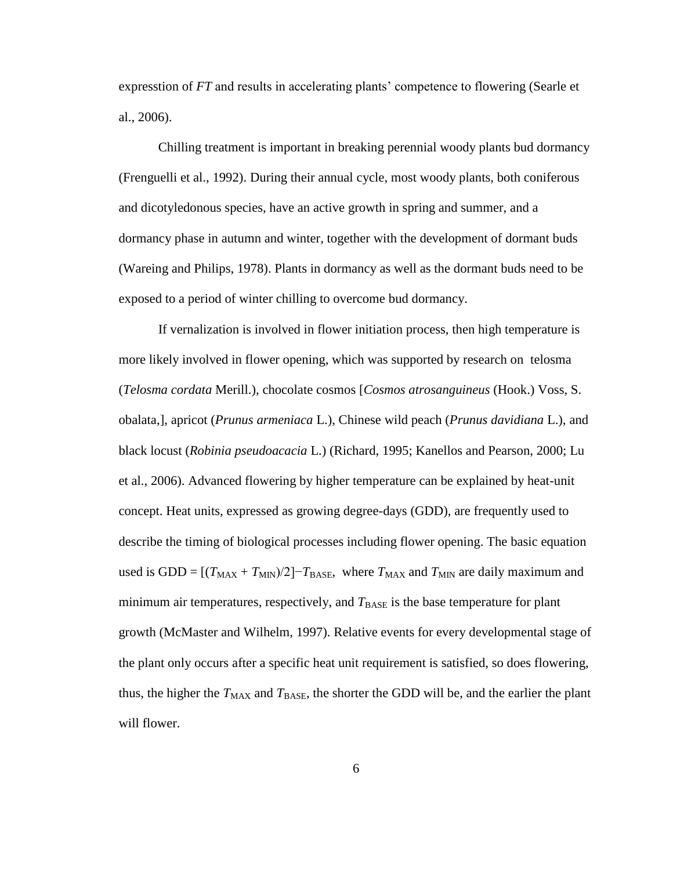expresstion of *FT* and results in accelerating plants' competence to flowering (Searle et al., 2006).

Chilling treatment is important in breaking perennial woody plants bud dormancy (Frenguelli et al., 1992). During their annual cycle, most woody plants, both coniferous and dicotyledonous species, have an active growth in spring and summer, and a dormancy phase in autumn and winter, together with the development of dormant buds (Wareing and Philips, 1978). Plants in dormancy as well as the dormant buds need to be exposed to a period of winter chilling to overcome bud dormancy.

If vernalization is involved in flower initiation process, then high temperature is more likely involved in flower opening, which was supported by research on telosma (*Telosma cordata* Merill.), chocolate cosmos [*Cosmos atrosanguineus* (Hook.) Voss, S. obalata,], apricot (*Prunus armeniaca* L.), Chinese wild peach (*Prunus davidiana* L.), and black locust (*Robinia pseudoacacia* L.) (Richard, 1995; Kanellos and Pearson, 2000; Lu et al., 2006). Advanced flowering by higher temperature can be explained by heat-unit concept. Heat units, expressed as growing degree-days (GDD), are frequently used to describe the timing of biological processes including flower opening. The basic equation used is GDD =  $[(T_{MAX} + T_{MIN})/2]$ <sup>-</sup> $T_{BASE}$ , where  $T_{MAX}$  and  $T_{MIN}$  are daily maximum and minimum air temperatures, respectively, and  $T_{\text{BASE}}$  is the base temperature for plant growth (McMaster and Wilhelm, 1997). Relative events for every developmental stage of the plant only occurs after a specific heat unit requirement is satisfied, so does flowering, thus, the higher the  $T_{\text{MAX}}$  and  $T_{\text{BASE}}$ , the shorter the GDD will be, and the earlier the plant will flower.

6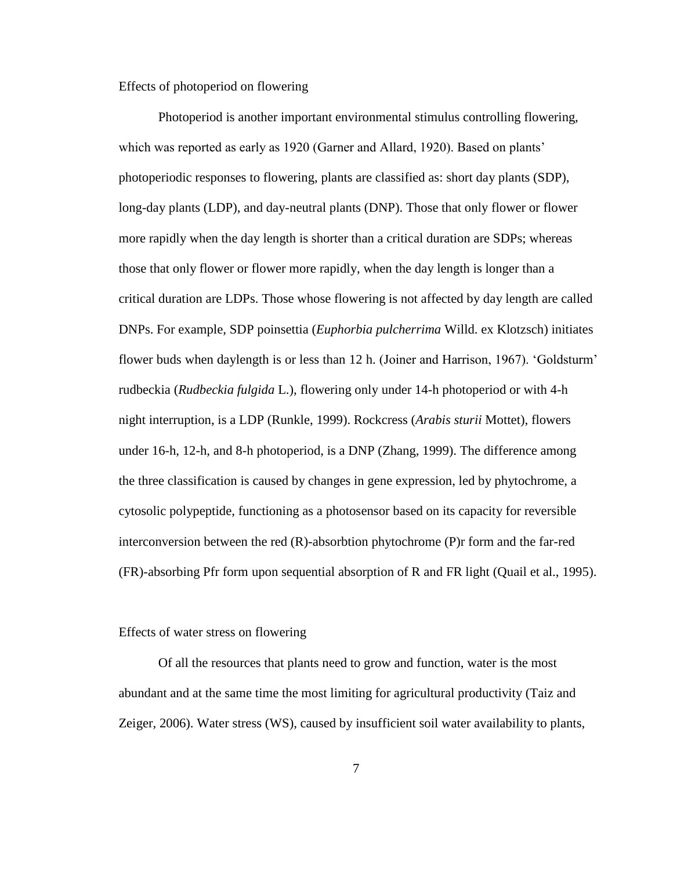Effects of photoperiod on flowering

Photoperiod is another important environmental stimulus controlling flowering, which was reported as early as 1920 (Garner and Allard, 1920). Based on plants' photoperiodic responses to flowering, plants are classified as: short day plants (SDP), long-day plants (LDP), and day-neutral plants (DNP). Those that only flower or flower more rapidly when the day length is shorter than a critical duration are SDPs; whereas those that only flower or flower more rapidly, when the day length is longer than a critical duration are LDPs. Those whose flowering is not affected by day length are called DNPs. For example, SDP poinsettia (*Euphorbia pulcherrima* Willd. ex Klotzsch) initiates flower buds when daylength is or less than 12 h. (Joiner and Harrison, 1967). 'Goldsturm' rudbeckia (*Rudbeckia fulgida* L.), flowering only under 14-h photoperiod or with 4-h night interruption, is a LDP (Runkle, 1999). Rockcress (*Arabis sturii* Mottet), flowers under 16-h, 12-h, and 8-h photoperiod, is a DNP (Zhang, 1999). The difference among the three classification is caused by changes in gene expression, led by phytochrome, a cytosolic polypeptide, functioning as a photosensor based on its capacity for reversible interconversion between the red (R)-absorbtion phytochrome (P)r form and the far-red (FR)-absorbing Pfr form upon sequential absorption of R and FR light (Quail et al., 1995).

#### Effects of water stress on flowering

Of all the resources that plants need to grow and function, water is the most abundant and at the same time the most limiting for agricultural productivity (Taiz and Zeiger, 2006). Water stress (WS), caused by insufficient soil water availability to plants,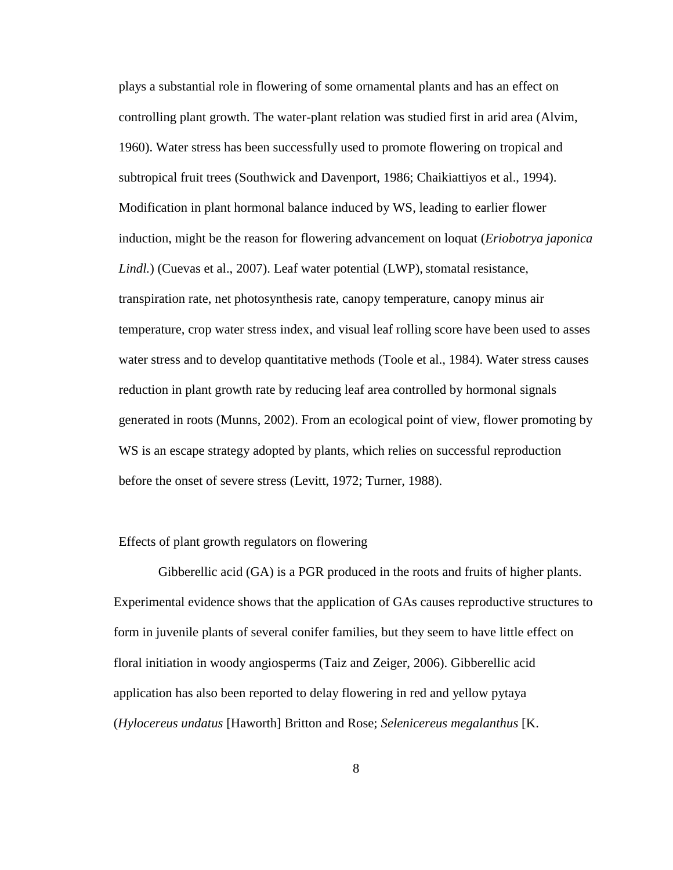plays a substantial role in flowering of some ornamental plants and has an effect on controlling plant growth. The water-plant relation was studied first in arid area (Alvim, 1960). Water stress has been successfully used to promote flowering on tropical and subtropical fruit trees (Southwick and Davenport, 1986; Chaikiattiyos et al., 1994). Modification in plant hormonal balance induced by WS, leading to earlier flower induction, might be the reason for flowering advancement on loquat (*Eriobotrya japonica Lindl.*) (Cuevas et al., 2007). Leaf water potential (LWP), stomatal resistance, transpiration rate, net photosynthesis rate, canopy temperature, canopy minus air temperature, crop water stress index, and visual leaf rolling score have been used to asses water stress and to develop quantitative methods (Toole et al., 1984). Water stress causes reduction in plant growth rate by reducing leaf area controlled by hormonal signals generated in roots (Munns, 2002). From an ecological point of view, flower promoting by WS is an escape strategy adopted by plants, which relies on successful reproduction before the onset of severe stress (Levitt, 1972; Turner, 1988).

# Effects of plant growth regulators on flowering

Gibberellic acid (GA) is a PGR produced in the roots and fruits of higher plants. Experimental evidence shows that the application of GAs causes reproductive structures to form in juvenile plants of several conifer families, but they seem to have little effect on floral initiation in woody angiosperms (Taiz and Zeiger, 2006). Gibberellic acid application has also been reported to delay flowering in red and yellow pytaya (*Hylocereus undatus* [Haworth] Britton and Rose; *Selenicereus megalanthus* [K.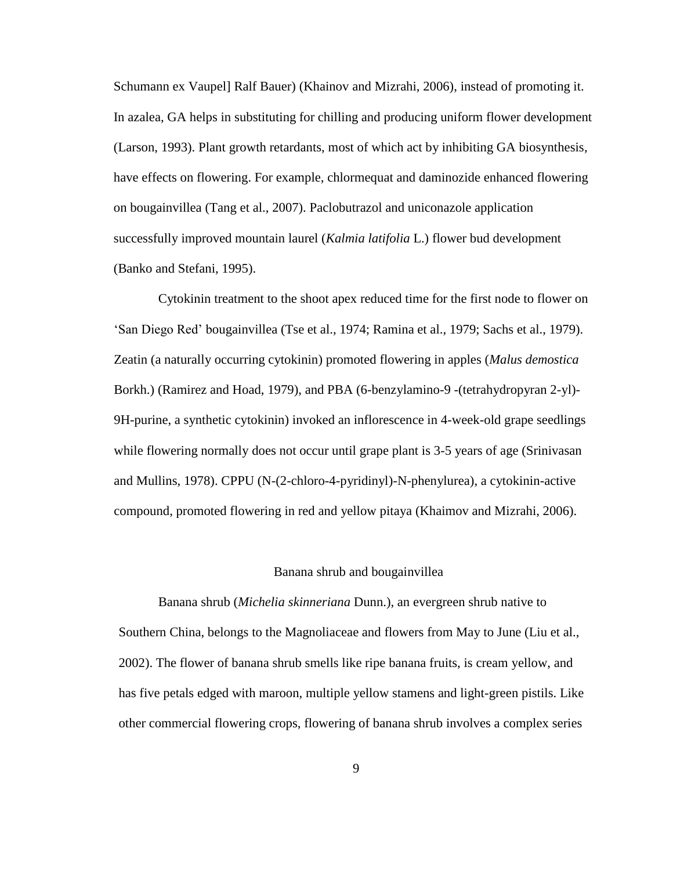Schumann ex Vaupel] Ralf Bauer) (Khainov and Mizrahi, 2006), instead of promoting it. In azalea, GA helps in substituting for chilling and producing uniform flower development (Larson, 1993). Plant growth retardants, most of which act by inhibiting GA biosynthesis, have effects on flowering. For example, chlormequat and daminozide enhanced flowering on bougainvillea (Tang et al., 2007). Paclobutrazol and uniconazole application successfully improved mountain laurel (*Kalmia latifolia* L.) flower bud development (Banko and Stefani, 1995).

Cytokinin treatment to the shoot apex reduced time for the first node to flower on "San Diego Red" bougainvillea (Tse et al., 1974; Ramina et al., 1979; Sachs et al., 1979). Zeatin (a naturally occurring cytokinin) promoted flowering in apples (*Malus demostica* Borkh.) (Ramirez and Hoad, 1979), and PBA (6-benzylamino-9 -(tetrahydropyran 2-yl)- 9H-purine, a synthetic cytokinin) invoked an inflorescence in 4-week-old grape seedlings while flowering normally does not occur until grape plant is 3-5 years of age (Srinivasan and Mullins, 1978). CPPU (N-(2-chloro-4-pyridinyl)-N-phenylurea), a cytokinin-active compound, promoted flowering in red and yellow pitaya (Khaimov and Mizrahi, 2006).

#### Banana shrub and bougainvillea

Banana shrub (*Michelia skinneriana* Dunn.), an evergreen shrub native to Southern China, belongs to the Magnoliaceae and flowers from May to June (Liu et al., 2002). The flower of banana shrub smells like ripe banana fruits, is cream yellow, and has five petals edged with maroon, multiple yellow stamens and light-green pistils. Like other commercial flowering crops, flowering of banana shrub involves a complex series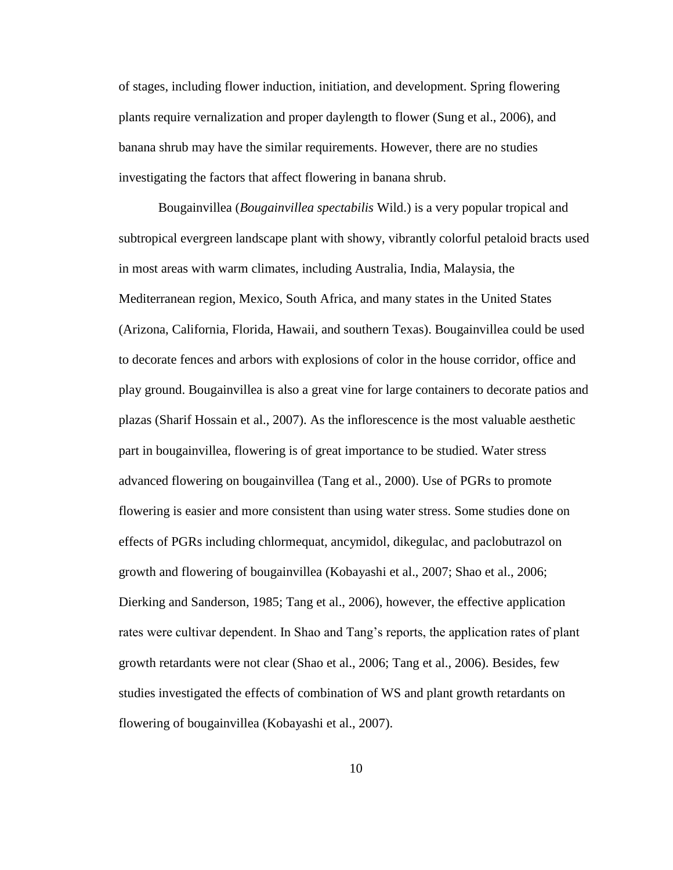of stages, including flower induction, initiation, and development. Spring flowering plants require vernalization and proper daylength to flower (Sung et al., 2006), and banana shrub may have the similar requirements. However, there are no studies investigating the factors that affect flowering in banana shrub.

Bougainvillea (*Bougainvillea spectabilis* Wild.) is a very popular tropical and subtropical evergreen landscape plant with showy, vibrantly colorful petaloid bracts used in most areas with warm climates, including Australia, India, Malaysia, the Mediterranean region, Mexico, South Africa, and many states in the United States (Arizona, California, Florida, Hawaii, and southern Texas). Bougainvillea could be used to decorate fences and arbors with explosions of color in the house corridor, office and play ground. Bougainvillea is also a great vine for large containers to decorate patios and plazas (Sharif Hossain et al., 2007). As the inflorescence is the most valuable aesthetic part in bougainvillea, flowering is of great importance to be studied. Water stress advanced flowering on bougainvillea (Tang et al., 2000). Use of PGRs to promote flowering is easier and more consistent than using water stress. Some studies done on effects of PGRs including chlormequat, ancymidol, dikegulac, and paclobutrazol on growth and flowering of bougainvillea (Kobayashi et al., 2007; Shao et al., 2006; Dierking and Sanderson, 1985; Tang et al., 2006), however, the effective application rates were cultivar dependent. In Shao and Tang's reports, the application rates of plant growth retardants were not clear (Shao et al., 2006; Tang et al., 2006). Besides, few studies investigated the effects of combination of WS and plant growth retardants on flowering of bougainvillea (Kobayashi et al., 2007).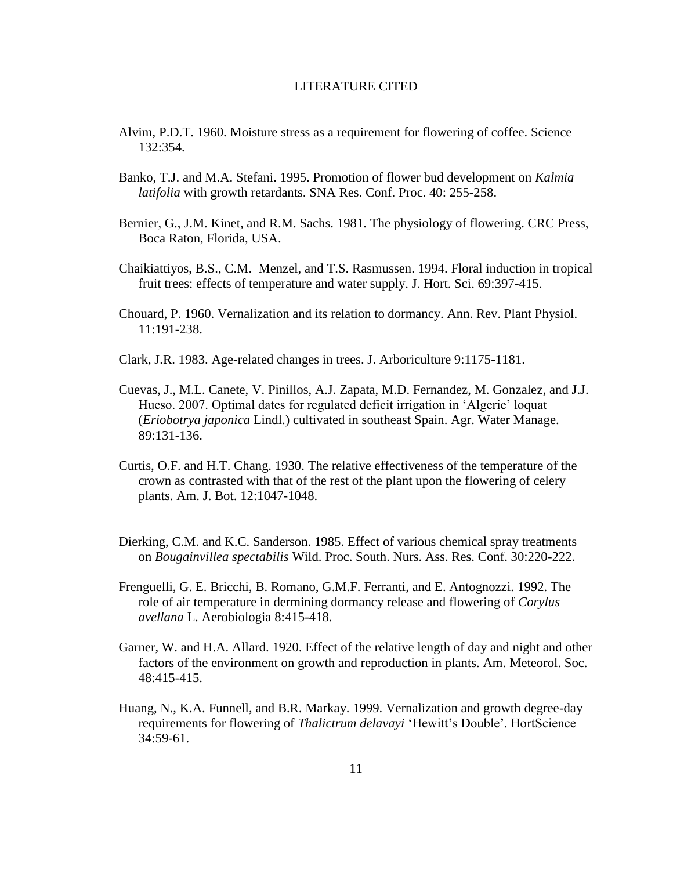#### LITERATURE CITED

- Alvim, P.D.T. 1960. Moisture stress as a requirement for flowering of coffee. Science 132:354.
- Banko, T.J. and M.A. Stefani. 1995. Promotion of flower bud development on *Kalmia latifolia* with growth retardants. SNA Res. Conf. Proc. 40: 255-258.
- Bernier, G., J.M. Kinet, and R.M. Sachs. 1981. The physiology of flowering. CRC Press, Boca Raton, Florida, USA.
- Chaikiattiyos, B.S., C.M. Menzel, and T.S. Rasmussen. 1994. Floral induction in tropical fruit trees: effects of temperature and water supply. J. Hort. Sci. 69:397-415.
- Chouard, P. 1960. Vernalization and its relation to dormancy. Ann. Rev. Plant Physiol. 11:191-238.
- Clark, J.R. 1983. Age-related changes in trees. J. Arboriculture 9:1175-1181.
- Cuevas, J., M.L. Canete, V. Pinillos, A.J. Zapata, M.D. Fernandez, M. Gonzalez, and J.J. Hueso. 2007. Optimal dates for regulated deficit irrigation in "Algerie" loquat (*Eriobotrya japonica* Lindl.) cultivated in southeast Spain. Agr. Water Manage. 89:131-136.
- Curtis, O.F. and H.T. Chang. 1930. The relative effectiveness of the temperature of the crown as contrasted with that of the rest of the plant upon the flowering of celery plants. Am. J. Bot. 12:1047-1048.
- Dierking, C.M. and K.C. Sanderson. 1985. Effect of various chemical spray treatments on *Bougainvillea spectabilis* Wild. Proc. South. Nurs. Ass. Res. Conf. 30:220-222.
- Frenguelli, G. E. Bricchi, B. Romano, G.M.F. Ferranti, and E. Antognozzi. 1992. The role of air temperature in dermining dormancy release and flowering of *Corylus avellana* L. Aerobiologia 8:415-418.
- Garner, W. and H.A. Allard. 1920. Effect of the relative length of day and night and other factors of the environment on growth and reproduction in plants. Am. Meteorol. Soc. 48:415-415.
- Huang, N., K.A. Funnell, and B.R. Markay. 1999. Vernalization and growth degree-day requirements for flowering of *Thalictrum delavayi* "Hewitt"s Double". HortScience 34:59-61.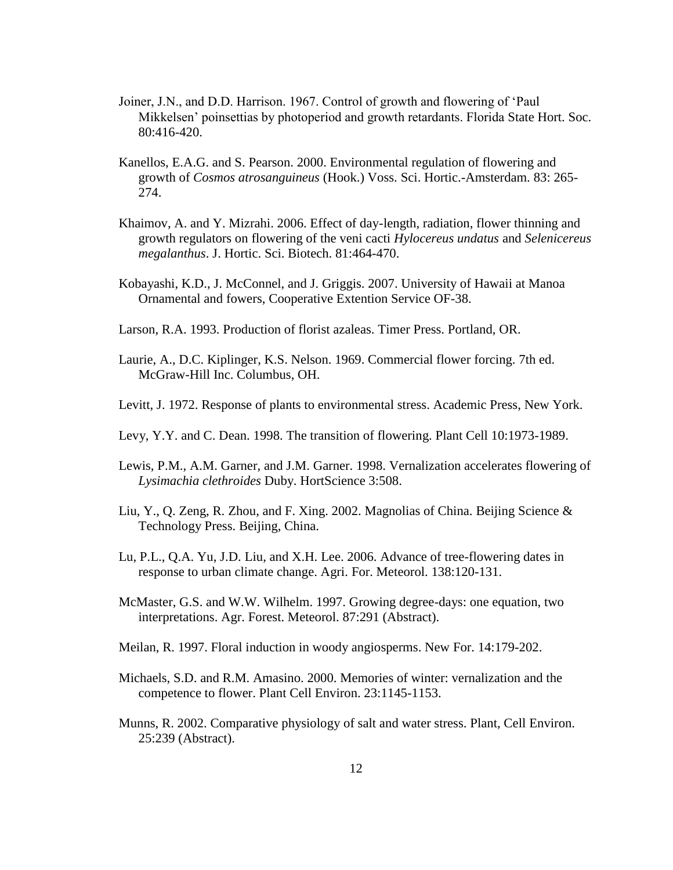- Joiner, J.N., and D.D. Harrison. 1967. Control of growth and flowering of "Paul Mikkelsen" poinsettias by photoperiod and growth retardants. Florida State Hort. Soc. 80:416-420.
- Kanellos, E.A.G. and S. Pearson. 2000. Environmental regulation of flowering and growth of *Cosmos atrosanguineus* (Hook.) Voss. Sci. Hortic.-Amsterdam. 83: 265- 274.
- Khaimov, A. and Y. Mizrahi. 2006. Effect of day-length, radiation, flower thinning and growth regulators on flowering of the veni cacti *Hylocereus undatus* and *Selenicereus megalanthus*. J. Hortic. Sci. Biotech. 81:464-470.
- Kobayashi, K.D., J. McConnel, and J. Griggis. 2007. University of Hawaii at Manoa Ornamental and fowers, Cooperative Extention Service OF-38.
- Larson, R.A. 1993. Production of florist azaleas. Timer Press. Portland, OR.
- Laurie, A., D.C. Kiplinger, K.S. Nelson. 1969. Commercial flower forcing. 7th ed. McGraw-Hill Inc. Columbus, OH.
- Levitt, J. 1972. Response of plants to environmental stress. Academic Press, New York.
- Levy, Y.Y. and C. Dean. 1998. The transition of flowering. Plant Cell 10:1973-1989.
- Lewis, P.M., A.M. Garner, and J.M. Garner. 1998. Vernalization accelerates flowering of *Lysimachia clethroides* Duby. HortScience 3:508.
- Liu, Y., Q. Zeng, R. Zhou, and F. Xing. 2002. Magnolias of China. Beijing Science & Technology Press. Beijing, China.
- Lu, P.L., Q.A. Yu, J.D. Liu, and X.H. Lee. 2006. Advance of tree-flowering dates in response to urban climate change. Agri. For. Meteorol. 138:120-131.
- McMaster, G.S. and W.W. Wilhelm. 1997. Growing degree-days: one equation, two interpretations. Agr. Forest. Meteorol. 87:291 (Abstract).
- Meilan, R. 1997. Floral induction in woody angiosperms. New For. 14:179-202.
- Michaels, S.D. and R.M. Amasino. 2000. Memories of winter: vernalization and the competence to flower. Plant Cell Environ. 23:1145-1153.
- Munns, R. 2002. Comparative physiology of salt and water stress. Plant, Cell Environ. 25:239 (Abstract).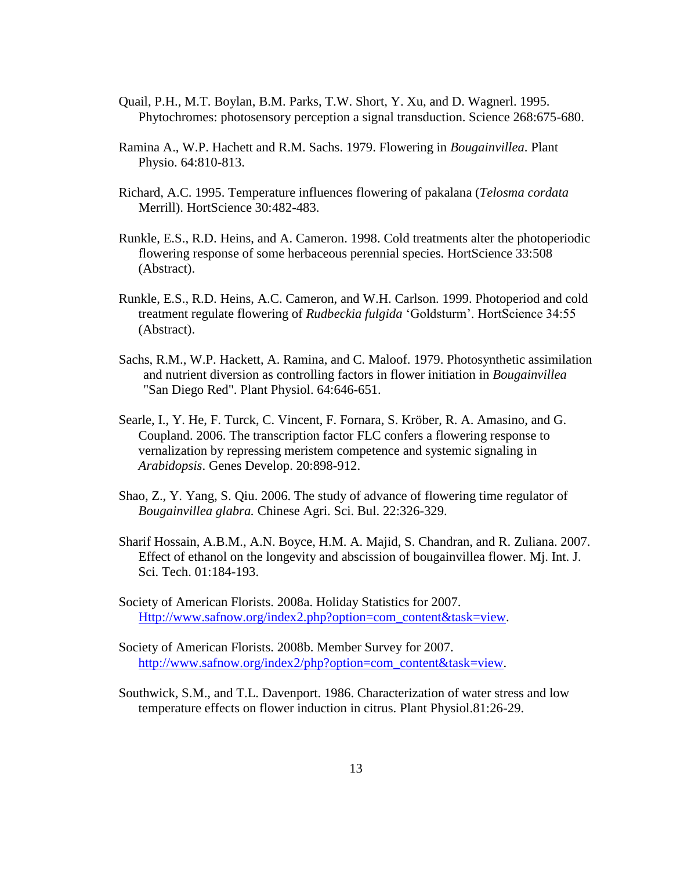- Quail, P.H., M.T. Boylan, B.M. Parks, T.W. Short, Y. Xu, and D. Wagnerl. 1995. Phytochromes: photosensory perception a signal transduction. Science 268:675-680.
- Ramina A., W.P. Hachett and R.M. Sachs. 1979. Flowering in *Bougainvillea*. Plant Physio. 64:810-813.
- Richard, A.C. 1995. Temperature influences flowering of pakalana (*Telosma cordata* Merrill). HortScience 30:482-483.
- Runkle, E.S., R.D. Heins, and A. Cameron. 1998. Cold treatments alter the photoperiodic flowering response of some herbaceous perennial species. HortScience 33:508 (Abstract).
- Runkle, E.S., R.D. Heins, A.C. Cameron, and W.H. Carlson. 1999. Photoperiod and cold treatment regulate flowering of *Rudbeckia fulgida* "Goldsturm". HortScience 34:55 (Abstract).
- Sachs, R.M., W.P. Hackett, A. Ramina, and C. Maloof. 1979. Photosynthetic assimilation and nutrient diversion as controlling factors in flower initiation in *Bougainvillea* "San Diego Red". Plant Physiol. 64:646-651.
- Searle, I., Y. He, F. Turck, C. Vincent, F. Fornara, S. Kröber, R. A. Amasino, and G. Coupland. 2006. The transcription factor FLC confers a flowering response to vernalization by repressing meristem competence and systemic signaling in *Arabidopsis*. Genes Develop. 20:898-912.
- Shao, Z., Y. Yang, S. Qiu. 2006. The study of advance of flowering time regulator of *Bougainvillea glabra.* Chinese Agri. Sci. Bul. 22:326-329.
- Sharif Hossain, A.B.M., A.N. Boyce, H.M. A. Majid, S. Chandran, and R. Zuliana. 2007. Effect of ethanol on the longevity and abscission of bougainvillea flower. Mj. Int. J. Sci. Tech. 01:184-193.
- Society of American Florists. 2008a. Holiday Statistics for 2007. [Http://www.safnow.org/index2.php?option=com\\_content&task=view.](http://www.safnow.org/index2.php?option=com_content&task=view)
- Society of American Florists. 2008b. Member Survey for 2007. [http://www.safnow.org/index2/php?option=com\\_content&task=view.](http://www.safnow.org/index2/php?option=com_content&task=view)
- Southwick, S.M., and T.L. Davenport. 1986. Characterization of water stress and low temperature effects on flower induction in citrus. Plant Physiol.81:26-29.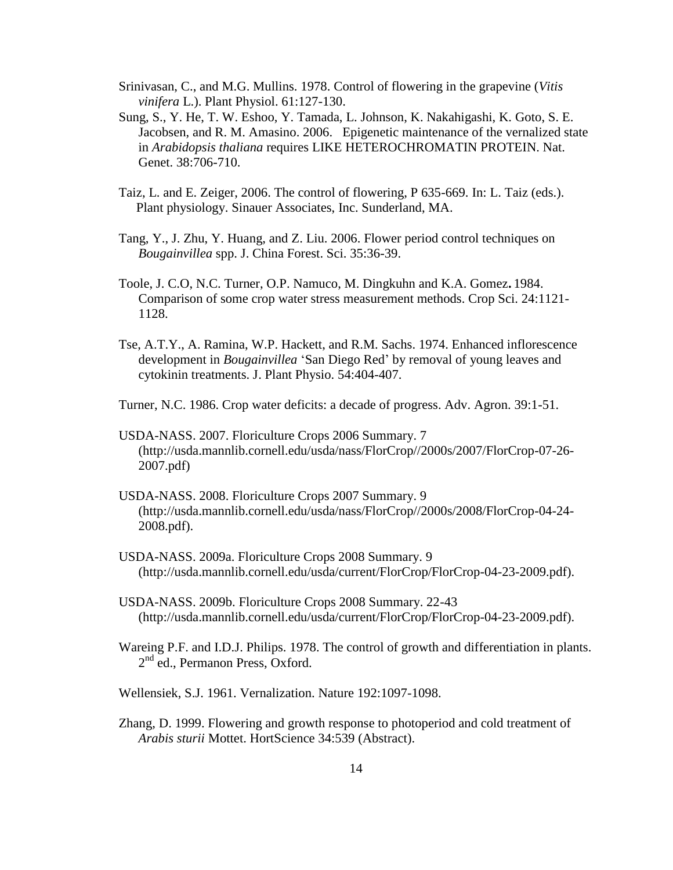- Srinivasan, C., and M.G. Mullins. 1978. Control of flowering in the grapevine (*Vitis vinifera* L.). Plant Physiol. 61:127-130.
- Sung, S., Y. He, T. W. Eshoo, Y. Tamada, L. Johnson, K. Nakahigashi, K. Goto, S. E. Jacobsen, and R. M. Amasino. 2006. Epigenetic maintenance of the vernalized state in *Arabidopsis thaliana* requires LIKE HETEROCHROMATIN PROTEIN. Nat. Genet. 38:706-710.
- Taiz, L. and E. Zeiger, 2006. The control of flowering, P 635-669. In: L. Taiz (eds.). Plant physiology. Sinauer Associates, Inc. Sunderland, MA.
- Tang, Y., J. Zhu, Y. Huang, and Z. Liu. 2006. Flower period control techniques on *Bougainvillea* spp. J. China Forest. Sci. 35:36-39.
- Toole, J. C.O, N.C. Turner, O.P. Namuco, M. Dingkuhn and K.A. Gomez**.** 1984. Comparison of some crop water stress measurement methods. Crop Sci. 24:1121- 1128.
- Tse, A.T.Y., A. Ramina, W.P. Hackett, and R.M. Sachs. 1974. Enhanced inflorescence development in *Bougainvillea* "San Diego Red" by removal of young leaves and cytokinin treatments. J. Plant Physio. 54:404-407.
- Turner, N.C. 1986. Crop water deficits: a decade of progress. Adv. Agron. 39:1-51.
- USDA-NASS. 2007. Floriculture Crops 2006 Summary. 7 (http://usda.mannlib.cornell.edu/usda/nass/FlorCrop//2000s/2007/FlorCrop-07-26- 2007.pdf)
- USDA-NASS. 2008. Floriculture Crops 2007 Summary. 9 (http://usda.mannlib.cornell.edu/usda/nass/FlorCrop//2000s/2008/FlorCrop-04-24- 2008.pdf).
- USDA-NASS. 2009a. Floriculture Crops 2008 Summary. 9 (http://usda.mannlib.cornell.edu/usda/current/FlorCrop/FlorCrop-04-23-2009.pdf).
- USDA-NASS. 2009b. Floriculture Crops 2008 Summary. 22-43 (http://usda.mannlib.cornell.edu/usda/current/FlorCrop/FlorCrop-04-23-2009.pdf).
- Wareing P.F. and I.D.J. Philips. 1978. The control of growth and differentiation in plants. 2<sup>nd</sup> ed., Permanon Press, Oxford.
- Wellensiek, S.J. 1961. Vernalization. Nature 192:1097-1098.
- Zhang, D. 1999. Flowering and growth response to photoperiod and cold treatment of *Arabis sturii* Mottet. HortScience 34:539 (Abstract).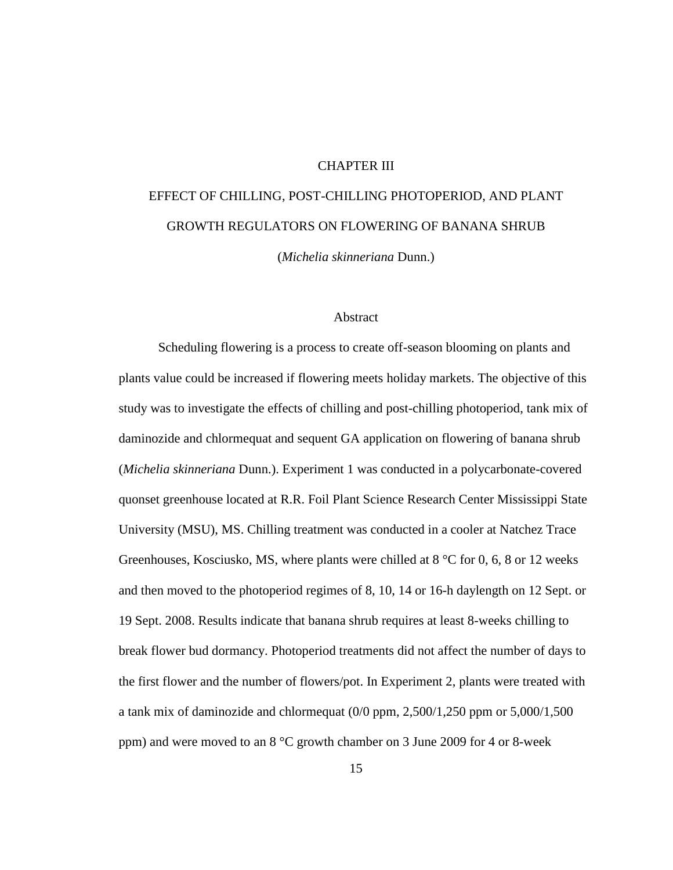# CHAPTER III

# EFFECT OF CHILLING, POST-CHILLING PHOTOPERIOD, AND PLANT GROWTH REGULATORS ON FLOWERING OF BANANA SHRUB

(*Michelia skinneriana* Dunn.)

## Abstract

Scheduling flowering is a process to create off-season blooming on plants and plants value could be increased if flowering meets holiday markets. The objective of this study was to investigate the effects of chilling and post-chilling photoperiod, tank mix of daminozide and chlormequat and sequent GA application on flowering of banana shrub (*Michelia skinneriana* Dunn.). Experiment 1 was conducted in a polycarbonate-covered quonset greenhouse located at R.R. Foil Plant Science Research Center Mississippi State University (MSU), MS. Chilling treatment was conducted in a cooler at Natchez Trace Greenhouses, Kosciusko, MS, where plants were chilled at 8 °C for 0, 6, 8 or 12 weeks and then moved to the photoperiod regimes of 8, 10, 14 or 16-h daylength on 12 Sept. or 19 Sept. 2008. Results indicate that banana shrub requires at least 8-weeks chilling to break flower bud dormancy. Photoperiod treatments did not affect the number of days to the first flower and the number of flowers/pot. In Experiment 2, plants were treated with a tank mix of daminozide and chlormequat (0/0 ppm, 2,500/1,250 ppm or 5,000/1,500 ppm) and were moved to an 8 °C growth chamber on 3 June 2009 for 4 or 8-week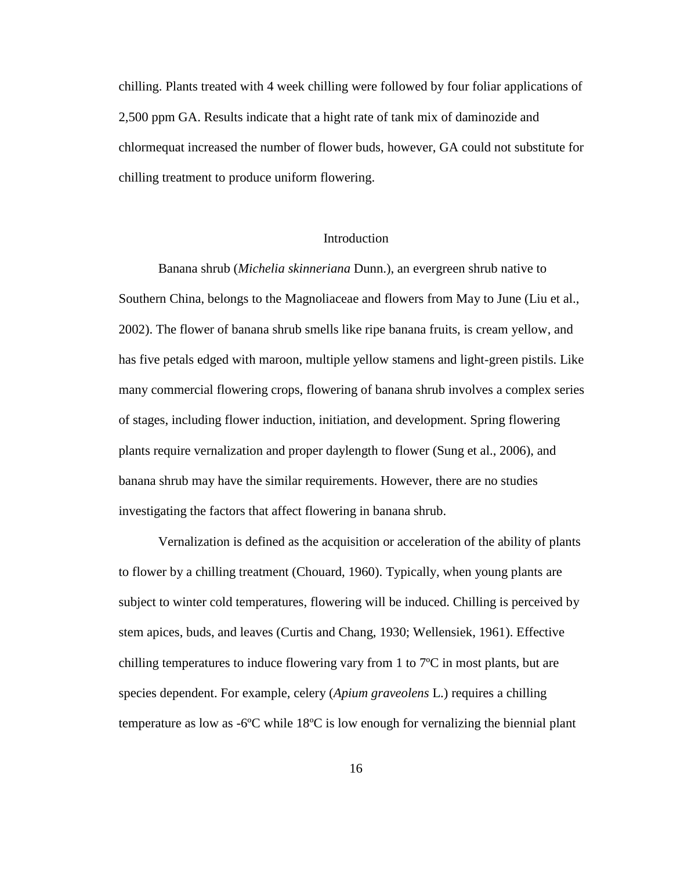chilling. Plants treated with 4 week chilling were followed by four foliar applications of 2,500 ppm GA. Results indicate that a hight rate of tank mix of daminozide and chlormequat increased the number of flower buds, however, GA could not substitute for chilling treatment to produce uniform flowering.

# **Introduction**

Banana shrub (*Michelia skinneriana* Dunn.), an evergreen shrub native to Southern China, belongs to the Magnoliaceae and flowers from May to June (Liu et al., 2002). The flower of banana shrub smells like ripe banana fruits, is cream yellow, and has five petals edged with maroon, multiple yellow stamens and light-green pistils. Like many commercial flowering crops, flowering of banana shrub involves a complex series of stages, including flower induction, initiation, and development. Spring flowering plants require vernalization and proper daylength to flower (Sung et al., 2006), and banana shrub may have the similar requirements. However, there are no studies investigating the factors that affect flowering in banana shrub.

Vernalization is defined as the acquisition or acceleration of the ability of plants to flower by a chilling treatment (Chouard, 1960). Typically, when young plants are subject to winter cold temperatures, flowering will be induced. Chilling is perceived by stem apices, buds, and leaves (Curtis and Chang, 1930; Wellensiek, 1961). Effective chilling temperatures to induce flowering vary from 1 to 7ºC in most plants, but are species dependent. For example, celery (*Apium graveolens* L.) requires a chilling temperature as low as  $-6^{\circ}C$  while 18 $\circ$ C is low enough for vernalizing the biennial plant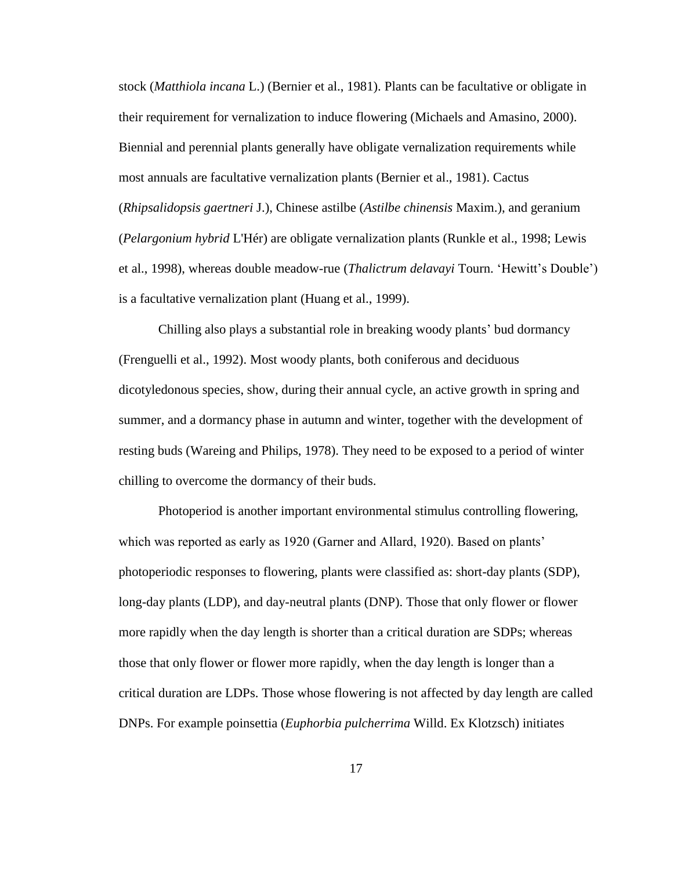stock (*Matthiola incana* L.) (Bernier et al., 1981). Plants can be facultative or obligate in their requirement for vernalization to induce flowering (Michaels and Amasino, 2000). Biennial and perennial plants generally have obligate vernalization requirements while most annuals are facultative vernalization plants (Bernier et al., 1981). Cactus (*Rhipsalidopsis gaertneri* J.), Chinese astilbe (*Astilbe chinensis* Maxim.), and geranium (*Pelargonium hybrid* L'Hér) are obligate vernalization plants (Runkle et al., 1998; Lewis et al., 1998), whereas double meadow-rue (*Thalictrum delavayi* Tourn. "Hewitt"s Double") is a facultative vernalization plant (Huang et al., 1999).

Chilling also plays a substantial role in breaking woody plants" bud dormancy (Frenguelli et al., 1992). Most woody plants, both coniferous and deciduous dicotyledonous species, show, during their annual cycle, an active growth in spring and summer, and a dormancy phase in autumn and winter, together with the development of resting buds (Wareing and Philips, 1978). They need to be exposed to a period of winter chilling to overcome the dormancy of their buds.

Photoperiod is another important environmental stimulus controlling flowering, which was reported as early as 1920 (Garner and Allard, 1920). Based on plants' photoperiodic responses to flowering, plants were classified as: short-day plants (SDP), long-day plants (LDP), and day-neutral plants (DNP). Those that only flower or flower more rapidly when the day length is shorter than a critical duration are SDPs; whereas those that only flower or flower more rapidly, when the day length is longer than a critical duration are LDPs. Those whose flowering is not affected by day length are called DNPs. For example poinsettia (*Euphorbia pulcherrima* Willd. Ex Klotzsch) initiates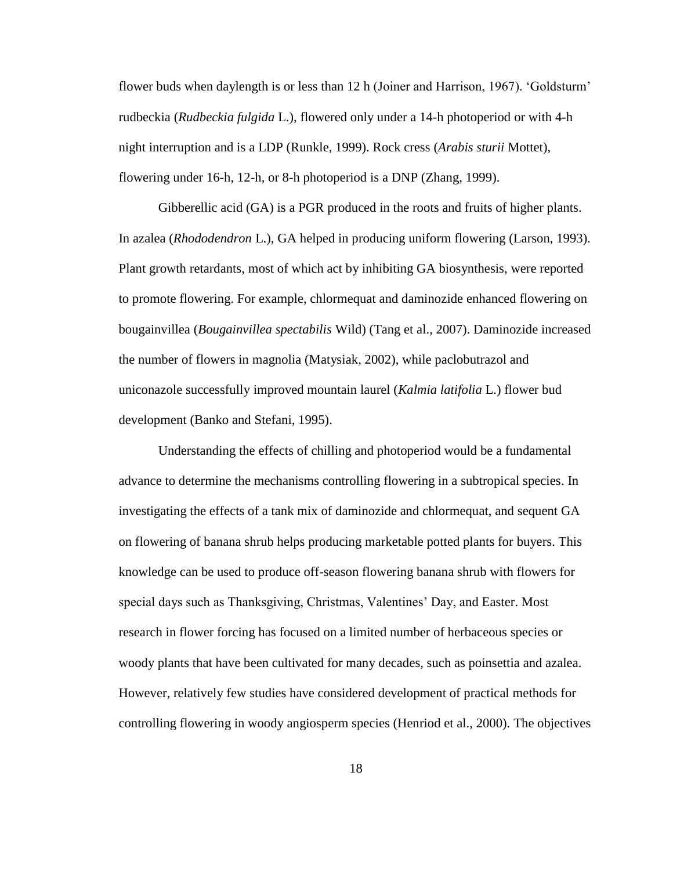flower buds when daylength is or less than 12 h (Joiner and Harrison, 1967). "Goldsturm" rudbeckia (*Rudbeckia fulgida* L.), flowered only under a 14-h photoperiod or with 4-h night interruption and is a LDP (Runkle, 1999). Rock cress (*Arabis sturii* Mottet), flowering under 16-h, 12-h, or 8-h photoperiod is a DNP (Zhang, 1999).

Gibberellic acid (GA) is a PGR produced in the roots and fruits of higher plants. In azalea (*Rhododendron* L.), GA helped in producing uniform flowering (Larson, 1993). Plant growth retardants, most of which act by inhibiting GA biosynthesis, were reported to promote flowering. For example, chlormequat and daminozide enhanced flowering on bougainvillea (*Bougainvillea spectabilis* Wild) (Tang et al., 2007). Daminozide increased the number of flowers in magnolia (Matysiak, 2002), while paclobutrazol and uniconazole successfully improved mountain laurel (*Kalmia latifolia* L.) flower bud development (Banko and Stefani, 1995).

Understanding the effects of chilling and photoperiod would be a fundamental advance to determine the mechanisms controlling flowering in a subtropical species. In investigating the effects of a tank mix of daminozide and chlormequat, and sequent GA on flowering of banana shrub helps producing marketable potted plants for buyers. This knowledge can be used to produce off-season flowering banana shrub with flowers for special days such as Thanksgiving, Christmas, Valentines" Day, and Easter. Most research in flower forcing has focused on a limited number of herbaceous species or woody plants that have been cultivated for many decades, such as poinsettia and azalea. However, relatively few studies have considered development of practical methods for controlling flowering in woody angiosperm species (Henriod et al., 2000). The objectives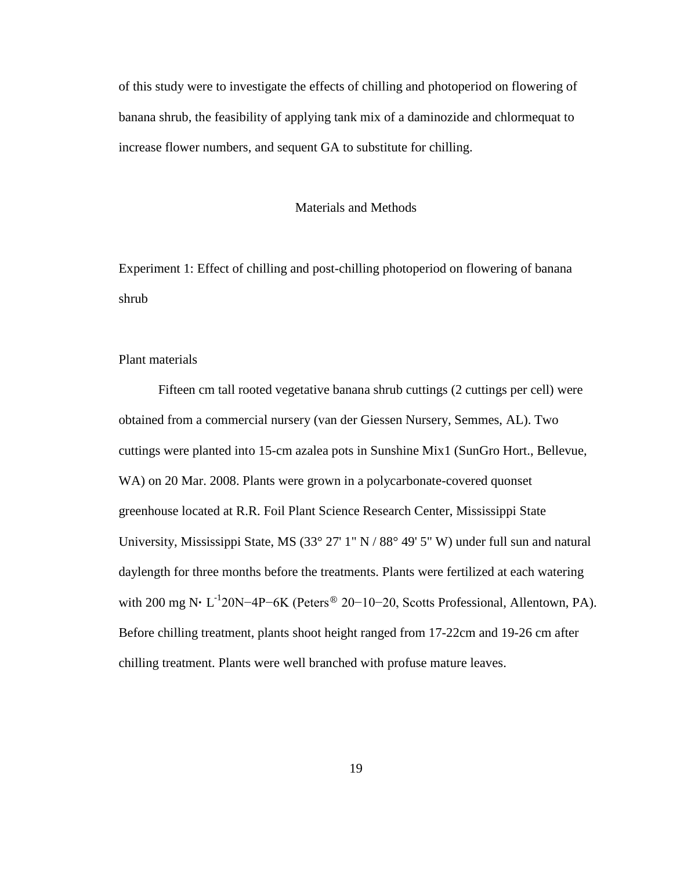of this study were to investigate the effects of chilling and photoperiod on flowering of banana shrub, the feasibility of applying tank mix of a daminozide and chlormequat to increase flower numbers, and sequent GA to substitute for chilling.

## Materials and Methods

Experiment 1: Effect of chilling and post-chilling photoperiod on flowering of banana shrub

Plant materials

Fifteen cm tall rooted vegetative banana shrub cuttings (2 cuttings per cell) were obtained from a commercial nursery (van der Giessen Nursery, Semmes, AL). Two cuttings were planted into 15-cm azalea pots in Sunshine Mix1 (SunGro Hort., Bellevue, WA) on 20 Mar. 2008. Plants were grown in a polycarbonate-covered quonset greenhouse located at R.R. Foil Plant Science Research Center, Mississippi State University, Mississippi State, MS (33° 27' 1" N / 88° 49' 5" W) under full sun and natural daylength for three months before the treatments. Plants were fertilized at each watering with 200 mg N· L<sup>-1</sup>20N−4P−6K (Peters<sup>®</sup> 20−10−20, Scotts Professional, Allentown, PA). Before chilling treatment, plants shoot height ranged from 17-22cm and 19-26 cm after chilling treatment. Plants were well branched with profuse mature leaves.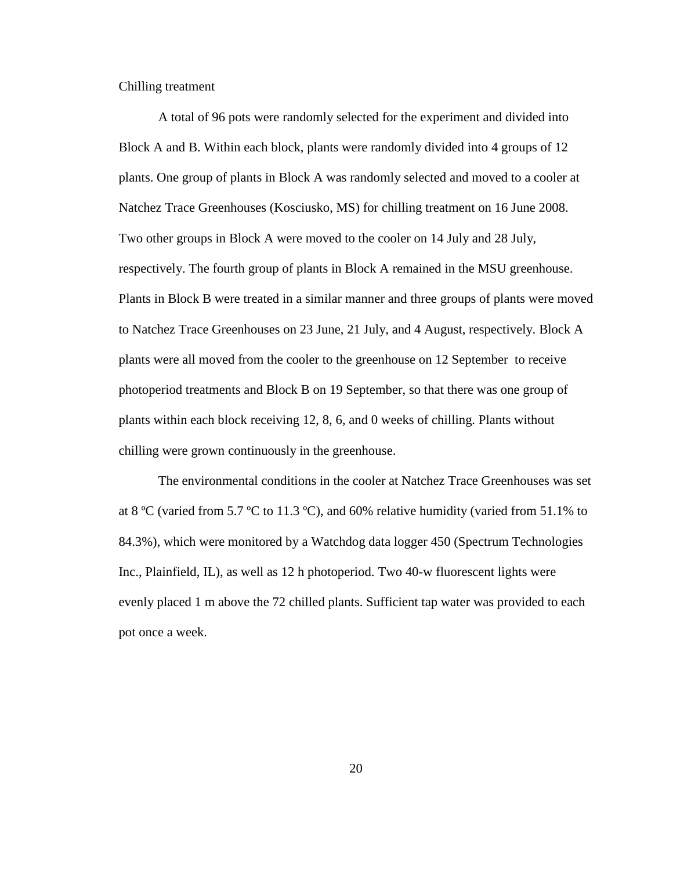Chilling treatment

A total of 96 pots were randomly selected for the experiment and divided into Block A and B. Within each block, plants were randomly divided into 4 groups of 12 plants. One group of plants in Block A was randomly selected and moved to a cooler at Natchez Trace Greenhouses (Kosciusko, MS) for chilling treatment on 16 June 2008. Two other groups in Block A were moved to the cooler on 14 July and 28 July, respectively. The fourth group of plants in Block A remained in the MSU greenhouse. Plants in Block B were treated in a similar manner and three groups of plants were moved to Natchez Trace Greenhouses on 23 June, 21 July, and 4 August, respectively. Block A plants were all moved from the cooler to the greenhouse on 12 September to receive photoperiod treatments and Block B on 19 September, so that there was one group of plants within each block receiving 12, 8, 6, and 0 weeks of chilling. Plants without chilling were grown continuously in the greenhouse.

The environmental conditions in the cooler at Natchez Trace Greenhouses was set at 8 °C (varied from 5.7 °C to 11.3 °C), and 60% relative humidity (varied from 51.1% to 84.3%), which were monitored by a Watchdog data logger 450 (Spectrum Technologies Inc., Plainfield, IL), as well as 12 h photoperiod. Two 40-w fluorescent lights were evenly placed 1 m above the 72 chilled plants. Sufficient tap water was provided to each pot once a week.

20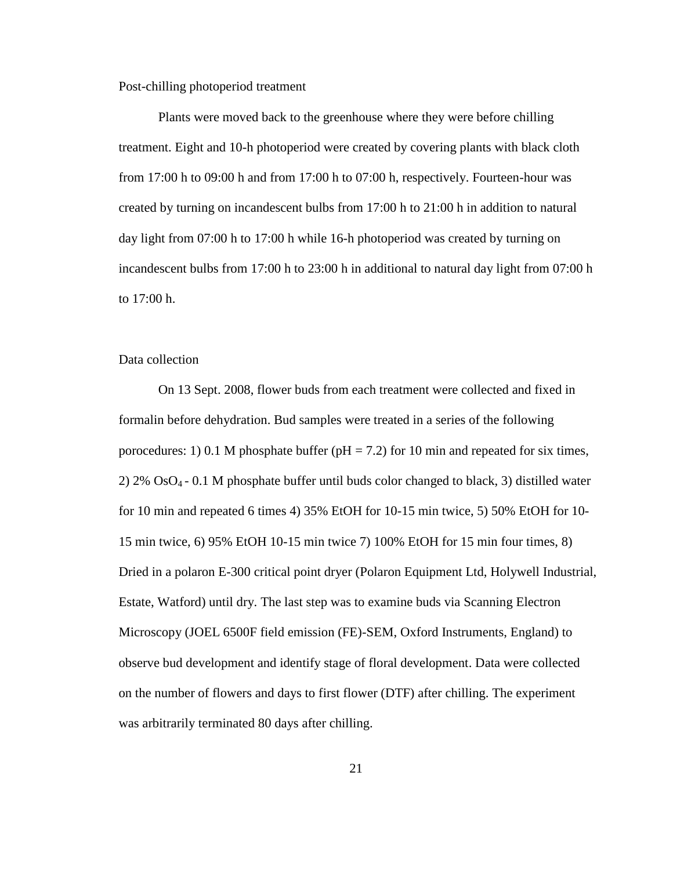Post-chilling photoperiod treatment

Plants were moved back to the greenhouse where they were before chilling treatment. Eight and 10-h photoperiod were created by covering plants with black cloth from 17:00 h to 09:00 h and from 17:00 h to 07:00 h, respectively. Fourteen-hour was created by turning on incandescent bulbs from 17:00 h to 21:00 h in addition to natural day light from 07:00 h to 17:00 h while 16-h photoperiod was created by turning on incandescent bulbs from 17:00 h to 23:00 h in additional to natural day light from 07:00 h to 17:00 h.

# Data collection

On 13 Sept. 2008, flower buds from each treatment were collected and fixed in formalin before dehydration. Bud samples were treated in a series of the following porocedures: 1) 0.1 M phosphate buffer ( $pH = 7.2$ ) for 10 min and repeated for six times, 2) 2%  $OsO<sub>4</sub> - 0.1$  M phosphate buffer until buds color changed to black, 3) distilled water for 10 min and repeated 6 times 4) 35% EtOH for 10-15 min twice, 5) 50% EtOH for 10- 15 min twice, 6) 95% EtOH 10-15 min twice 7) 100% EtOH for 15 min four times, 8) Dried in a polaron E-300 critical point dryer (Polaron Equipment Ltd, Holywell Industrial, Estate, Watford) until dry. The last step was to examine buds via Scanning Electron Microscopy (JOEL 6500F field emission (FE)-SEM, Oxford Instruments, England) to observe bud development and identify stage of floral development. Data were collected on the number of flowers and days to first flower (DTF) after chilling. The experiment was arbitrarily terminated 80 days after chilling.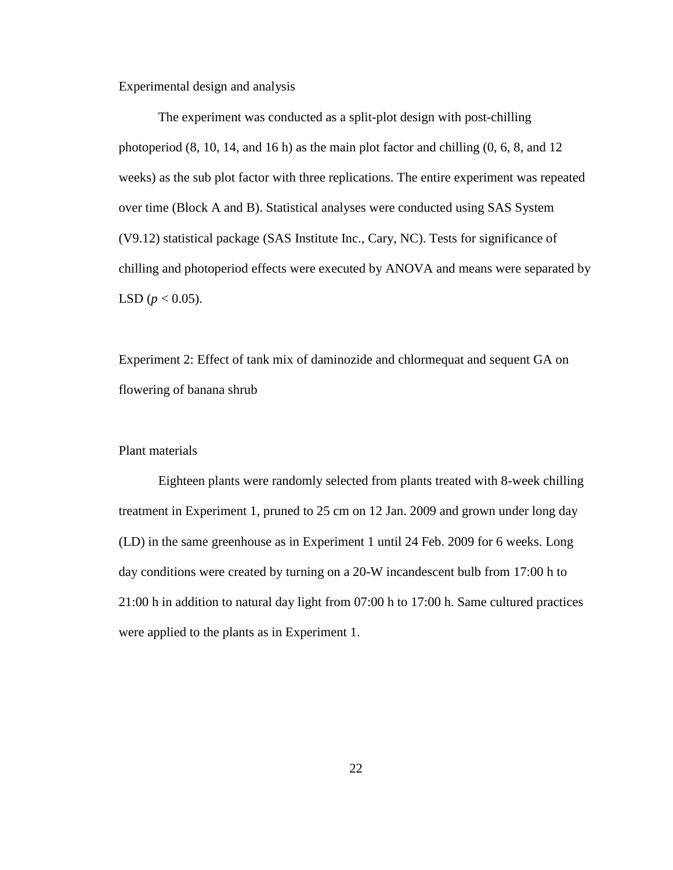Experimental design and analysis

The experiment was conducted as a split-plot design with post-chilling photoperiod  $(8, 10, 14,$  and  $16$  h) as the main plot factor and chilling  $(0, 6, 8,$  and  $12$ weeks) as the sub plot factor with three replications. The entire experiment was repeated over time (Block A and B). Statistical analyses were conducted using SAS System (V9.12) statistical package (SAS Institute Inc., Cary, NC). Tests for significance of chilling and photoperiod effects were executed by ANOVA and means were separated by LSD ( $p < 0.05$ ).

Experiment 2: Effect of tank mix of daminozide and chlormequat and sequent GA on flowering of banana shrub

# Plant materials

Eighteen plants were randomly selected from plants treated with 8-week chilling treatment in Experiment 1, pruned to 25 cm on 12 Jan. 2009 and grown under long day (LD) in the same greenhouse as in Experiment 1 until 24 Feb. 2009 for 6 weeks. Long day conditions were created by turning on a 20-W incandescent bulb from 17:00 h to 21:00 h in addition to natural day light from 07:00 h to 17:00 h. Same cultured practices were applied to the plants as in Experiment 1.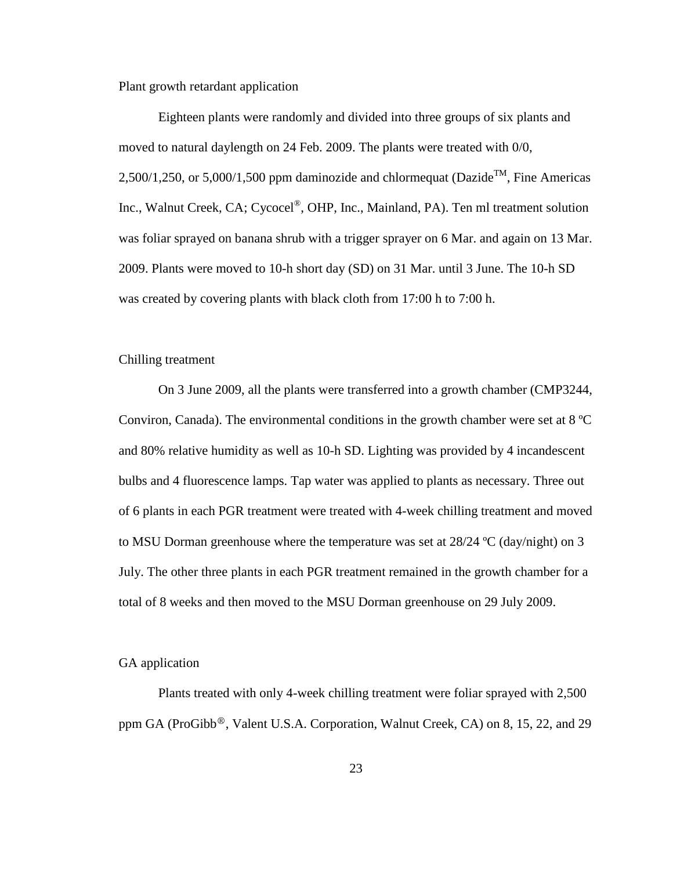Plant growth retardant application

Eighteen plants were randomly and divided into three groups of six plants and moved to natural daylength on 24 Feb. 2009. The plants were treated with 0/0, 2,500/1,250, or 5,000/1,500 ppm daminozide and chlormequat (Dazide<sup>TM</sup>, Fine Americas Inc., Walnut Creek, CA; Cycocel®, OHP, Inc., Mainland, PA). Ten ml treatment solution was foliar sprayed on banana shrub with a trigger sprayer on 6 Mar. and again on 13 Mar. 2009. Plants were moved to 10-h short day (SD) on 31 Mar. until 3 June. The 10-h SD was created by covering plants with black cloth from 17:00 h to 7:00 h.

# Chilling treatment

On 3 June 2009, all the plants were transferred into a growth chamber (CMP3244, Conviron, Canada). The environmental conditions in the growth chamber were set at  $8^{\circ}$ C and 80% relative humidity as well as 10-h SD. Lighting was provided by 4 incandescent bulbs and 4 fluorescence lamps. Tap water was applied to plants as necessary. Three out of 6 plants in each PGR treatment were treated with 4-week chilling treatment and moved to MSU Dorman greenhouse where the temperature was set at 28/24 ºC (day/night) on 3 July. The other three plants in each PGR treatment remained in the growth chamber for a total of 8 weeks and then moved to the MSU Dorman greenhouse on 29 July 2009.

#### GA application

Plants treated with only 4-week chilling treatment were foliar sprayed with 2,500 ppm GA (ProGibb<sup>®</sup>, Valent U.S.A. Corporation, Walnut Creek, CA) on 8, 15, 22, and 29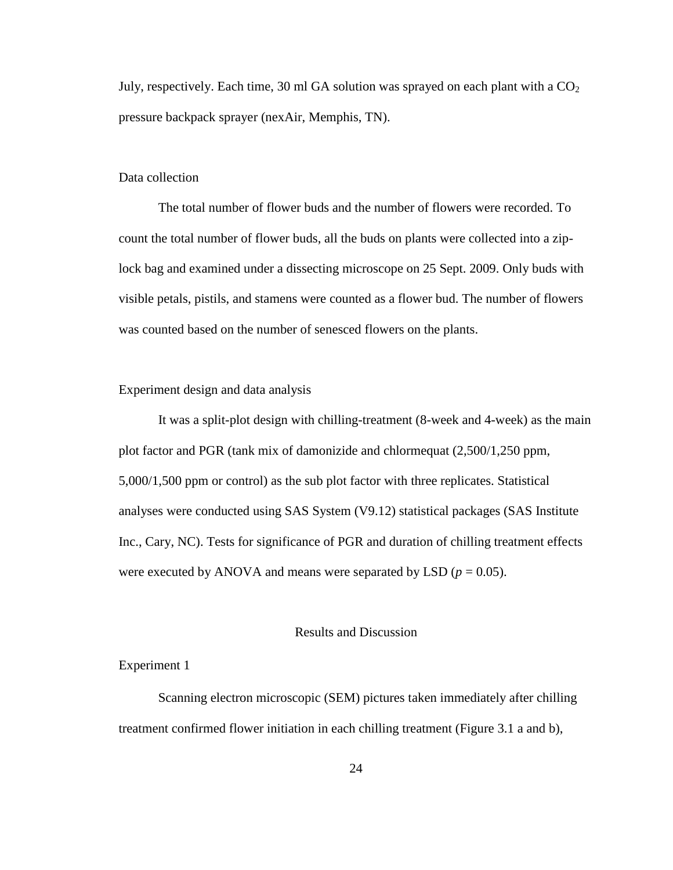July, respectively. Each time, 30 ml GA solution was sprayed on each plant with a  $CO<sub>2</sub>$ pressure backpack sprayer (nexAir, Memphis, TN).

# Data collection

The total number of flower buds and the number of flowers were recorded. To count the total number of flower buds, all the buds on plants were collected into a ziplock bag and examined under a dissecting microscope on 25 Sept. 2009. Only buds with visible petals, pistils, and stamens were counted as a flower bud. The number of flowers was counted based on the number of senesced flowers on the plants.

# Experiment design and data analysis

It was a split-plot design with chilling-treatment (8-week and 4-week) as the main plot factor and PGR (tank mix of damonizide and chlormequat (2,500/1,250 ppm, 5,000/1,500 ppm or control) as the sub plot factor with three replicates. Statistical analyses were conducted using SAS System (V9.12) statistical packages (SAS Institute Inc., Cary, NC). Tests for significance of PGR and duration of chilling treatment effects were executed by ANOVA and means were separated by LSD ( $p = 0.05$ ).

## Results and Discussion

# Experiment 1

Scanning electron microscopic (SEM) pictures taken immediately after chilling treatment confirmed flower initiation in each chilling treatment (Figure 3.1 a and b),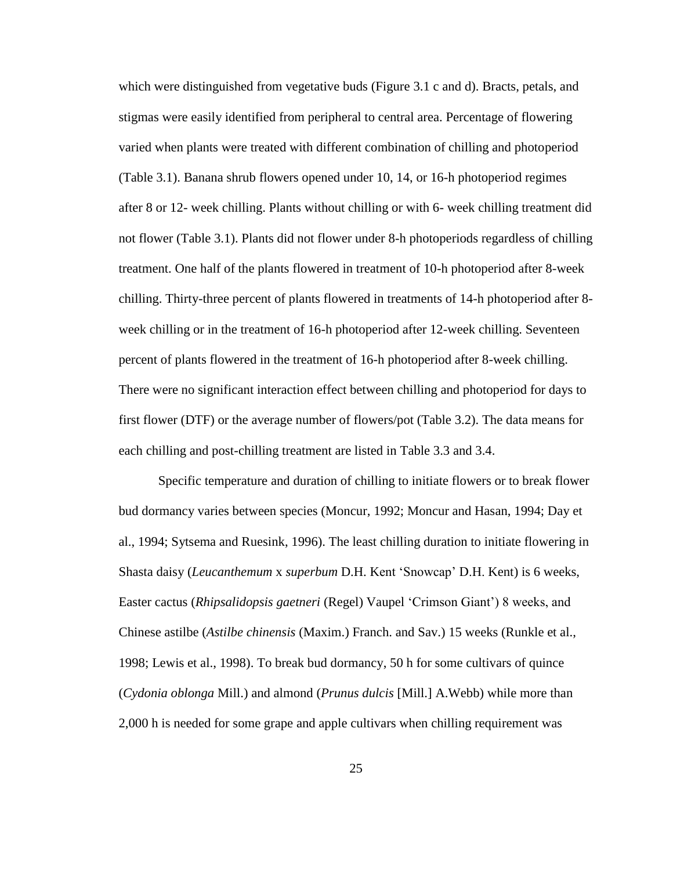which were distinguished from vegetative buds (Figure 3.1 c and d). Bracts, petals, and stigmas were easily identified from peripheral to central area. Percentage of flowering varied when plants were treated with different combination of chilling and photoperiod (Table 3.1). Banana shrub flowers opened under 10, 14, or 16-h photoperiod regimes after 8 or 12- week chilling. Plants without chilling or with 6- week chilling treatment did not flower (Table 3.1). Plants did not flower under 8-h photoperiods regardless of chilling treatment. One half of the plants flowered in treatment of 10-h photoperiod after 8-week chilling. Thirty-three percent of plants flowered in treatments of 14-h photoperiod after 8 week chilling or in the treatment of 16-h photoperiod after 12-week chilling. Seventeen percent of plants flowered in the treatment of 16-h photoperiod after 8-week chilling. There were no significant interaction effect between chilling and photoperiod for days to first flower (DTF) or the average number of flowers/pot (Table 3.2). The data means for each chilling and post-chilling treatment are listed in Table 3.3 and 3.4.

Specific temperature and duration of chilling to initiate flowers or to break flower bud dormancy varies between species (Moncur, 1992; Moncur and Hasan, 1994; Day et al., 1994; Sytsema and Ruesink, 1996). The least chilling duration to initiate flowering in Shasta daisy (*Leucanthemum* x *superbum* D.H. Kent "Snowcap" D.H. Kent) is 6 weeks, Easter cactus (*Rhipsalidopsis gaetneri* [\(Regel\)](http://ipni.org/ipni/idAuthorSearch.do?id=8237-1&back_page=%2Fipni%2FeditAdvPlantNameSearch.do%3Ffind_infragenus%3D%26find_isAPNIRecord%3Dtrue%26find_geoUnit%3D%26find_includePublicationAuthors%3Dtrue%26find_addedSince%3D%26find_family%3D%26find_genus%3DRhipsalis%26find_sortByFamily%3Dtrue%26find_isGCIRecord%3Dtrue%26find_infrafamily%3D%26find_rankToReturn%3Dall%26find_publicationTitle%3D%26find_authorAbbrev%3D%26find_infraspecies%3D%26find_includeBasionymAuthors%3Dtrue%26find_modifiedSince%3D%26find_isIKRecord%3Dtrue%26find_species%3Dgaertneri%26output_format%3Dnormal) [Vaupel](http://ipni.org/ipni/idAuthorSearch.do?id=11097-1&back_page=%2Fipni%2FeditAdvPlantNameSearch.do%3Ffind_infragenus%3D%26find_isAPNIRecord%3Dtrue%26find_geoUnit%3D%26find_includePublicationAuthors%3Dtrue%26find_addedSince%3D%26find_family%3D%26find_genus%3DRhipsalis%26find_sortByFamily%3Dtrue%26find_isGCIRecord%3Dtrue%26find_infrafamily%3D%26find_rankToReturn%3Dall%26find_publicationTitle%3D%26find_authorAbbrev%3D%26find_infraspecies%3D%26find_includeBasionymAuthors%3Dtrue%26find_modifiedSince%3D%26find_isIKRecord%3Dtrue%26find_species%3Dgaertneri%26output_format%3Dnormal) "Crimson Giant") 8 weeks, and Chinese astilbe (*Astilbe chinensis* (Maxim.) Franch. and Sav.) 15 weeks (Runkle et al., 1998; Lewis et al., 1998). To break bud dormancy, 50 h for some cultivars of quince (*Cydonia oblonga* [Mill.\)](http://en.wikipedia.org/wiki/Philip_Miller) and almond (*Prunus dulcis* [\[Mill.\]](http://en.wikipedia.org/wiki/Philip_Miller) A.Webb) while more than 2,000 h is needed for some grape and apple cultivars when chilling requirement was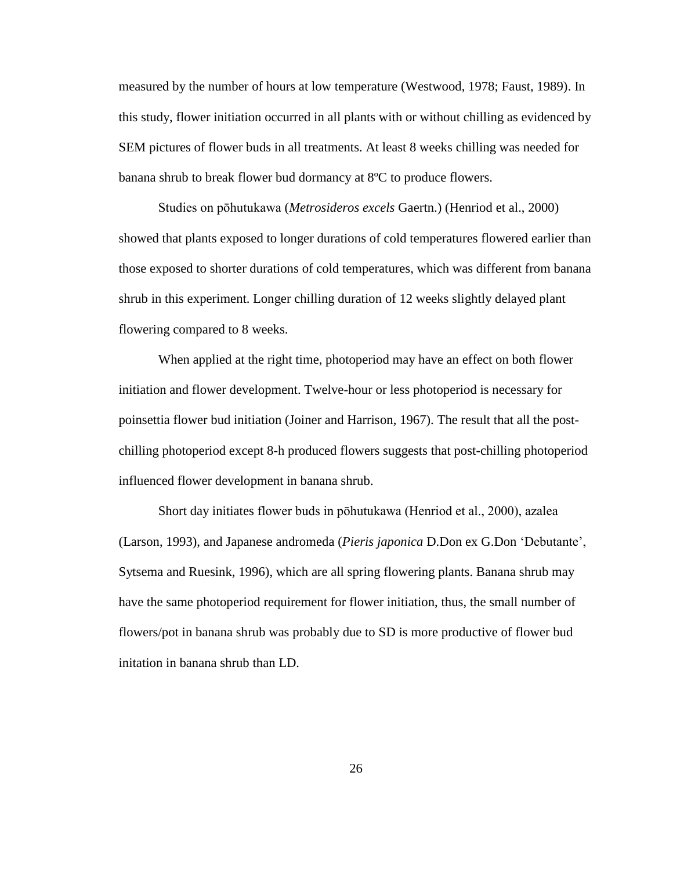measured by the number of hours at low temperature (Westwood, 1978; Faust, 1989). In this study, flower initiation occurred in all plants with or without chilling as evidenced by SEM pictures of flower buds in all treatments. At least 8 weeks chilling was needed for banana shrub to break flower bud dormancy at 8ºC to produce flowers.

Studies on pōhutukawa (*Metrosideros excels* Gaertn.) (Henriod et al., 2000) showed that plants exposed to longer durations of cold temperatures flowered earlier than those exposed to shorter durations of cold temperatures, which was different from banana shrub in this experiment. Longer chilling duration of 12 weeks slightly delayed plant flowering compared to 8 weeks.

When applied at the right time, photoperiod may have an effect on both flower initiation and flower development. Twelve-hour or less photoperiod is necessary for poinsettia flower bud initiation (Joiner and Harrison, 1967). The result that all the postchilling photoperiod except 8-h produced flowers suggests that post-chilling photoperiod influenced flower development in banana shrub.

Short day initiates flower buds in pōhutukawa (Henriod et al., 2000), azalea (Larson, 1993), and Japanese andromeda (*Pieris japonica* [D.Don](http://ipni.org/ipni/idAuthorSearch.do?id=18136-1&back_page=%2Fipni%2FeditAdvPlantNameSearch.do%3Ffind_infragenus%3D%26find_isAPNIRecord%3Dtrue%26find_geoUnit%3D%26find_includePublicationAuthors%3Dtrue%26find_addedSince%3D%26find_family%3D%26find_genus%3DPieris%26find_sortByFamily%3Dtrue%26find_isGCIRecord%3Dtrue%26find_infrafamily%3D%26find_rankToReturn%3Dall%26find_publicationTitle%3D%26find_authorAbbrev%3D%26find_infraspecies%3D%26find_includeBasionymAuthors%3Dtrue%26find_modifiedSince%3D%26find_isIKRecord%3Dtrue%26find_species%3Djaponica%2B%26output_format%3Dnormal) ex [G.Don](http://ipni.org/ipni/idAuthorSearch.do?id=2268-1&back_page=%2Fipni%2FeditAdvPlantNameSearch.do%3Ffind_infragenus%3D%26find_isAPNIRecord%3Dtrue%26find_geoUnit%3D%26find_includePublicationAuthors%3Dtrue%26find_addedSince%3D%26find_family%3D%26find_genus%3DPieris%26find_sortByFamily%3Dtrue%26find_isGCIRecord%3Dtrue%26find_infrafamily%3D%26find_rankToReturn%3Dall%26find_publicationTitle%3D%26find_authorAbbrev%3D%26find_infraspecies%3D%26find_includeBasionymAuthors%3Dtrue%26find_modifiedSince%3D%26find_isIKRecord%3Dtrue%26find_species%3Djaponica%2B%26output_format%3Dnormal) "Debutante", Sytsema and Ruesink, 1996), which are all spring flowering plants. Banana shrub may have the same photoperiod requirement for flower initiation, thus, the small number of flowers/pot in banana shrub was probably due to SD is more productive of flower bud initation in banana shrub than LD.

26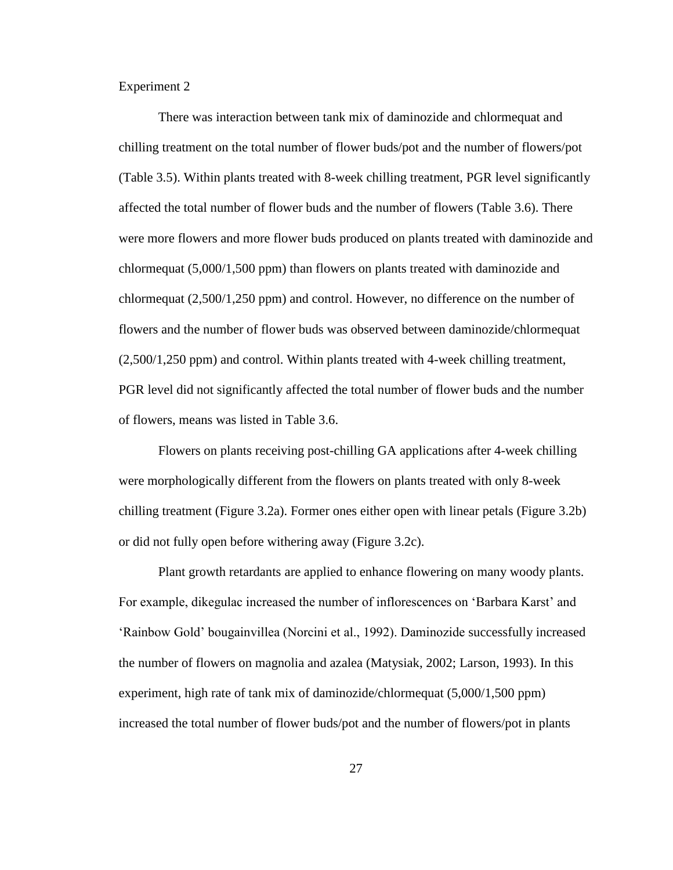Experiment 2

There was interaction between tank mix of daminozide and chlormequat and chilling treatment on the total number of flower buds/pot and the number of flowers/pot (Table 3.5). Within plants treated with 8-week chilling treatment, PGR level significantly affected the total number of flower buds and the number of flowers (Table 3.6). There were more flowers and more flower buds produced on plants treated with daminozide and chlormequat (5,000/1,500 ppm) than flowers on plants treated with daminozide and chlormequat (2,500/1,250 ppm) and control. However, no difference on the number of flowers and the number of flower buds was observed between daminozide/chlormequat (2,500/1,250 ppm) and control. Within plants treated with 4-week chilling treatment, PGR level did not significantly affected the total number of flower buds and the number of flowers, means was listed in Table 3.6.

Flowers on plants receiving post-chilling GA applications after 4-week chilling were morphologically different from the flowers on plants treated with only 8-week chilling treatment (Figure 3.2a). Former ones either open with linear petals (Figure 3.2b) or did not fully open before withering away (Figure 3.2c).

Plant growth retardants are applied to enhance flowering on many woody plants. For example, dikegulac increased the number of inflorescences on "Barbara Karst" and "Rainbow Gold" bougainvillea (Norcini et al., 1992). Daminozide successfully increased the number of flowers on magnolia and azalea (Matysiak, 2002; Larson, 1993). In this experiment, high rate of tank mix of daminozide/chlormequat (5,000/1,500 ppm) increased the total number of flower buds/pot and the number of flowers/pot in plants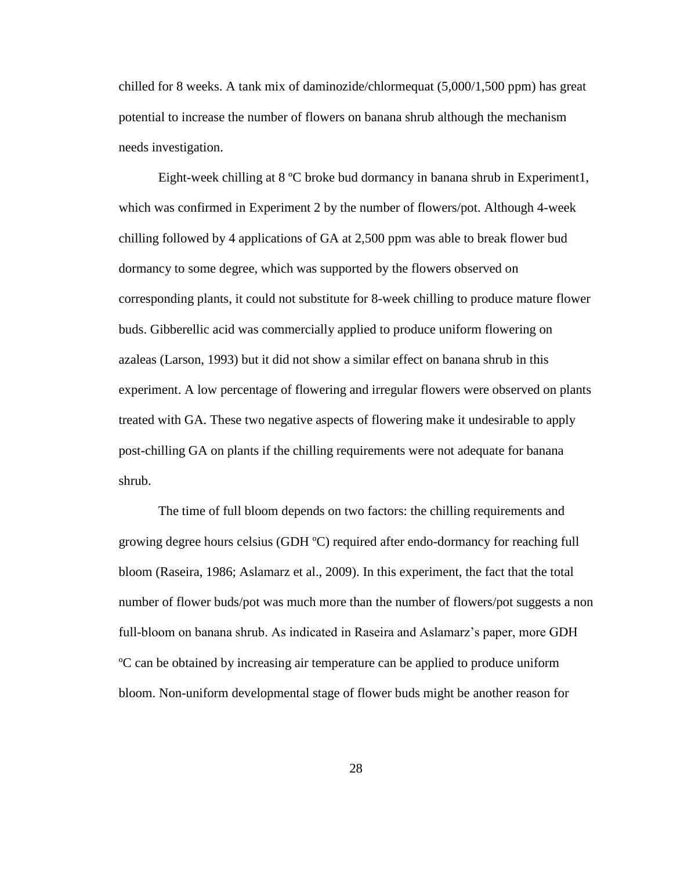chilled for 8 weeks. A tank mix of daminozide/chlormequat (5,000/1,500 ppm) has great potential to increase the number of flowers on banana shrub although the mechanism needs investigation.

Eight-week chilling at 8 ºC broke bud dormancy in banana shrub in Experiment1, which was confirmed in Experiment 2 by the number of flowers/pot. Although 4-week chilling followed by 4 applications of GA at 2,500 ppm was able to break flower bud dormancy to some degree, which was supported by the flowers observed on corresponding plants, it could not substitute for 8-week chilling to produce mature flower buds. Gibberellic acid was commercially applied to produce uniform flowering on azaleas (Larson, 1993) but it did not show a similar effect on banana shrub in this experiment. A low percentage of flowering and irregular flowers were observed on plants treated with GA. These two negative aspects of flowering make it undesirable to apply post-chilling GA on plants if the chilling requirements were not adequate for banana shrub.

The time of full bloom depends on two factors: the chilling requirements and growing degree hours celsius (GDH ºC) required after endo-dormancy for reaching full bloom (Raseira, 1986; Aslamarz et al., 2009). In this experiment, the fact that the total number of flower buds/pot was much more than the number of flowers/pot suggests a non full-bloom on banana shrub. As indicated in Raseira and Aslamarz"s paper, more GDH ºC can be obtained by increasing air temperature can be applied to produce uniform bloom. Non-uniform developmental stage of flower buds might be another reason for

28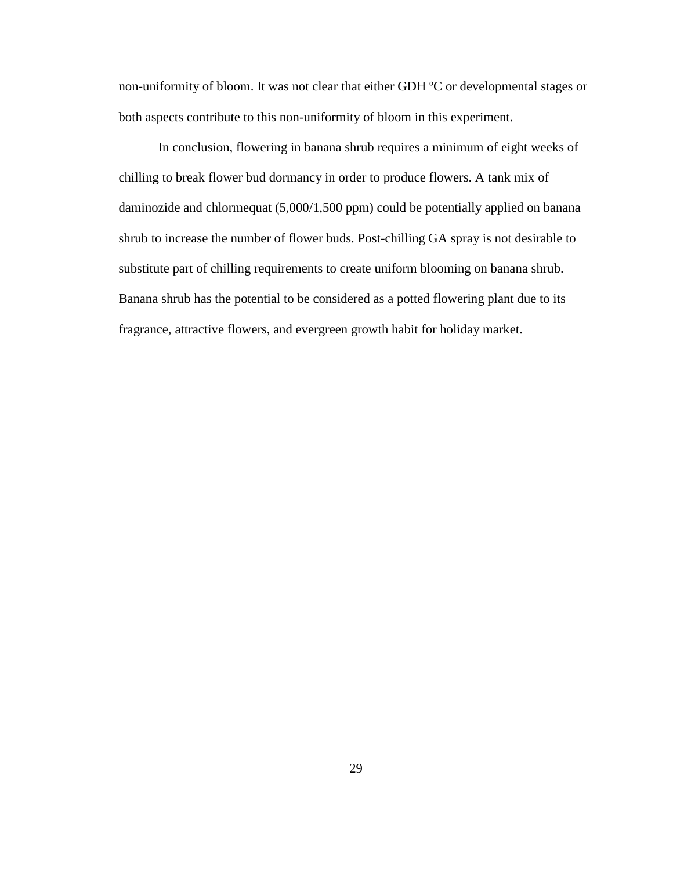non-uniformity of bloom. It was not clear that either GDH ºC or developmental stages or both aspects contribute to this non-uniformity of bloom in this experiment.

In conclusion, flowering in banana shrub requires a minimum of eight weeks of chilling to break flower bud dormancy in order to produce flowers. A tank mix of daminozide and chlormequat (5,000/1,500 ppm) could be potentially applied on banana shrub to increase the number of flower buds. Post-chilling GA spray is not desirable to substitute part of chilling requirements to create uniform blooming on banana shrub. Banana shrub has the potential to be considered as a potted flowering plant due to its fragrance, attractive flowers, and evergreen growth habit for holiday market.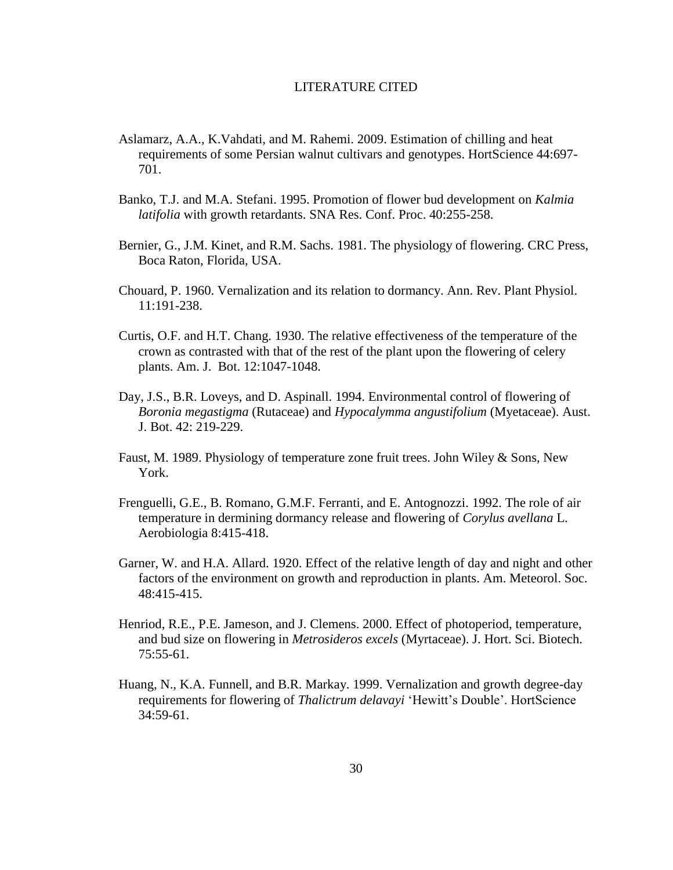## LITERATURE CITED

- Aslamarz, A.A., K.Vahdati, and M. Rahemi. 2009. Estimation of chilling and heat requirements of some Persian walnut cultivars and genotypes. HortScience 44:697- 701.
- Banko, T.J. and M.A. Stefani. 1995. Promotion of flower bud development on *Kalmia latifolia* with growth retardants. SNA Res. Conf. Proc. 40:255-258.
- Bernier, G., J.M. Kinet, and R.M. Sachs. 1981. The physiology of flowering. CRC Press, Boca Raton, Florida, USA.
- Chouard, P. 1960. Vernalization and its relation to dormancy. Ann. Rev. Plant Physiol. 11:191-238.
- Curtis, O.F. and H.T. Chang. 1930. The relative effectiveness of the temperature of the crown as contrasted with that of the rest of the plant upon the flowering of celery plants. Am. J. Bot. 12:1047-1048.
- Day, J.S., B.R. Loveys, and D. Aspinall. 1994. Environmental control of flowering of *Boronia megastigma* (Rutaceae) and *Hypocalymma angustifolium* (Myetaceae). Aust. J. Bot. 42: 219-229.
- Faust, M. 1989. Physiology of temperature zone fruit trees. John Wiley & Sons, New York.
- Frenguelli, G.E., B. Romano, G.M.F. Ferranti, and E. Antognozzi. 1992. The role of air temperature in dermining dormancy release and flowering of *Corylus avellana* L. Aerobiologia 8:415-418.
- Garner, W. and H.A. Allard. 1920. Effect of the relative length of day and night and other factors of the environment on growth and reproduction in plants. Am. Meteorol. Soc. 48:415-415.
- Henriod, R.E., P.E. Jameson, and J. Clemens. 2000. Effect of photoperiod, temperature, and bud size on flowering in *Metrosideros excels* (Myrtaceae). J. Hort. Sci. Biotech. 75:55-61.
- Huang, N., K.A. Funnell, and B.R. Markay. 1999. Vernalization and growth degree-day requirements for flowering of *Thalictrum delavayi* "Hewitt"s Double". HortScience 34:59-61.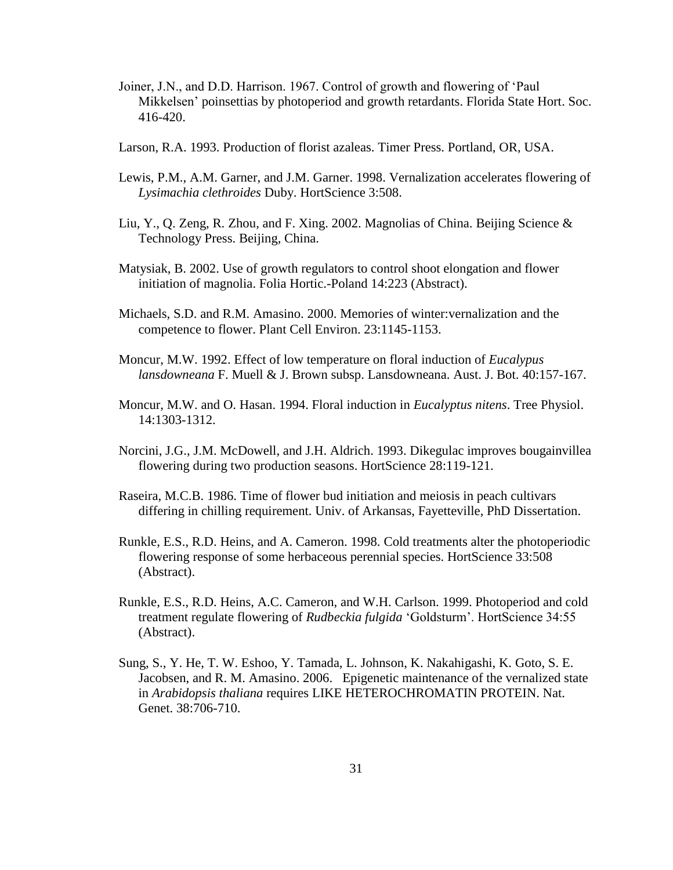- Joiner, J.N., and D.D. Harrison. 1967. Control of growth and flowering of "Paul Mikkelsen" poinsettias by photoperiod and growth retardants. Florida State Hort. Soc. 416-420.
- Larson, R.A. 1993. Production of florist azaleas. Timer Press. Portland, OR, USA.
- Lewis, P.M., A.M. Garner, and J.M. Garner. 1998. Vernalization accelerates flowering of *Lysimachia clethroides* Duby. HortScience 3:508.
- Liu, Y., Q. Zeng, R. Zhou, and F. Xing. 2002. Magnolias of China. Beijing Science & Technology Press. Beijing, China.
- Matysiak, B. 2002. Use of growth regulators to control shoot elongation and flower initiation of magnolia. Folia Hortic.-Poland 14:223 (Abstract).
- Michaels, S.D. and R.M. Amasino. 2000. Memories of winter:vernalization and the competence to flower. Plant Cell Environ. 23:1145-1153.
- Moncur, M.W. 1992. Effect of low temperature on floral induction of *Eucalypus lansdowneana* F. Muell & J. Brown subsp. Lansdowneana. Aust. J. Bot. 40:157-167.
- Moncur, M.W. and O. Hasan. 1994. Floral induction in *Eucalyptus nitens*. Tree Physiol. 14:1303-1312.
- Norcini, J.G., J.M. McDowell, and J.H. Aldrich. 1993. Dikegulac improves bougainvillea flowering during two production seasons. HortScience 28:119-121.
- Raseira, M.C.B. 1986. Time of flower bud initiation and meiosis in peach cultivars differing in chilling requirement. Univ. of Arkansas, Fayetteville, PhD Dissertation.
- Runkle, E.S., R.D. Heins, and A. Cameron. 1998. Cold treatments alter the photoperiodic flowering response of some herbaceous perennial species. HortScience 33:508 (Abstract).
- Runkle, E.S., R.D. Heins, A.C. Cameron, and W.H. Carlson. 1999. Photoperiod and cold treatment regulate flowering of *Rudbeckia fulgida* "Goldsturm". HortScience 34:55 (Abstract).
- Sung, S., Y. He, T. W. Eshoo, Y. Tamada, L. Johnson, K. Nakahigashi, K. Goto, S. E. Jacobsen, and R. M. Amasino. 2006. Epigenetic maintenance of the vernalized state in *Arabidopsis thaliana* requires LIKE HETEROCHROMATIN PROTEIN. Nat. Genet. 38:706-710.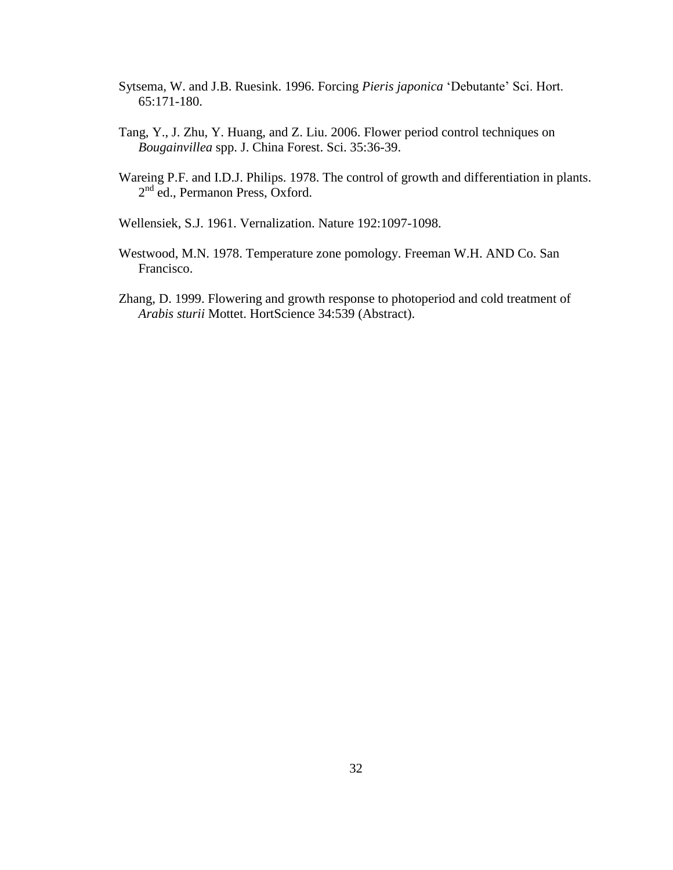- Sytsema, W. and J.B. Ruesink. 1996. Forcing *Pieris japonica* "Debutante" Sci. Hort. 65:171-180.
- Tang, Y., J. Zhu, Y. Huang, and Z. Liu. 2006. Flower period control techniques on *Bougainvillea* spp. J. China Forest. Sci. 35:36-39.
- Wareing P.F. and I.D.J. Philips. 1978. The control of growth and differentiation in plants. 2<sup>nd</sup> ed., Permanon Press, Oxford.
- Wellensiek, S.J. 1961. Vernalization. Nature 192:1097-1098.
- Westwood, M.N. 1978. Temperature zone pomology. Freeman W.H. AND Co. San Francisco.
- Zhang, D. 1999. Flowering and growth response to photoperiod and cold treatment of *Arabis sturii* Mottet. HortScience 34:539 (Abstract).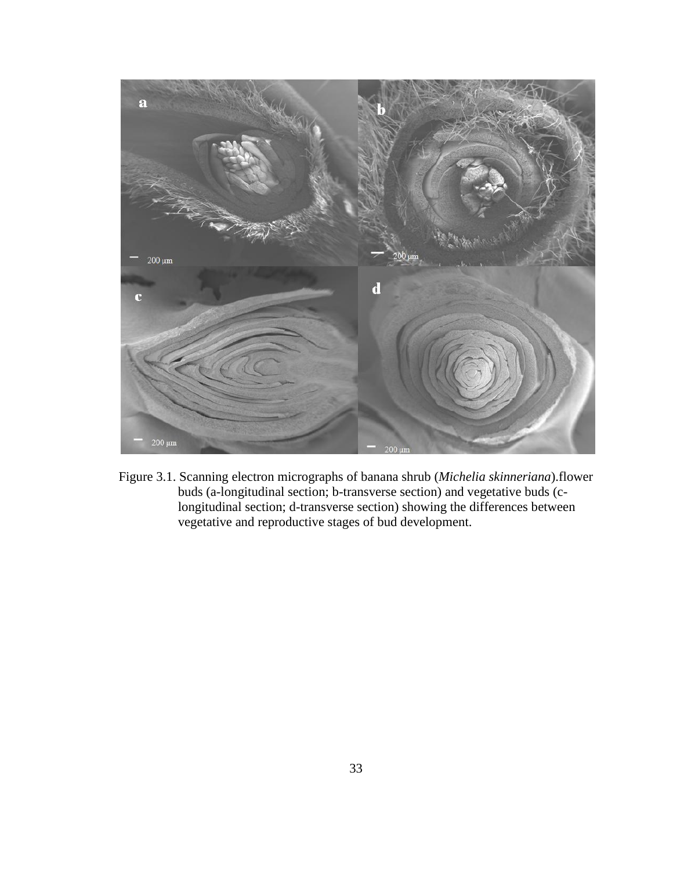

Figure 3.1. Scanning electron micrographs of banana shrub (*Michelia skinneriana*).flower buds (a-longitudinal section; b-transverse section) and vegetative buds (clongitudinal section; d-transverse section) showing the differences between vegetative and reproductive stages of bud development.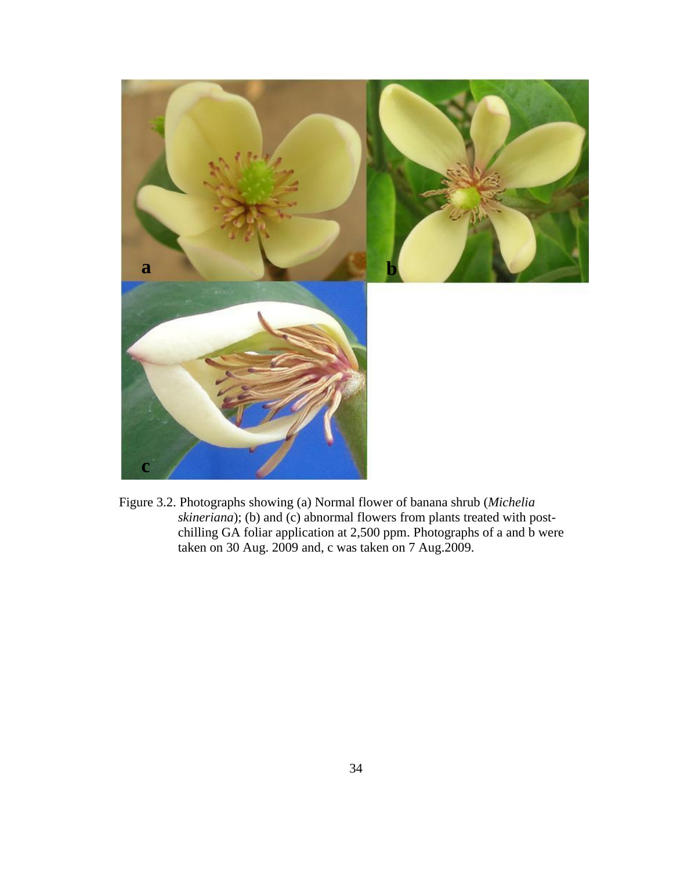

Figure 3.2. Photographs showing (a) Normal flower of banana shrub (*Michelia skineriana*); (b) and (c) abnormal flowers from plants treated with postchilling GA foliar application at 2,500 ppm. Photographs of a and b were taken on 30 Aug. 2009 and, c was taken on 7 Aug.2009.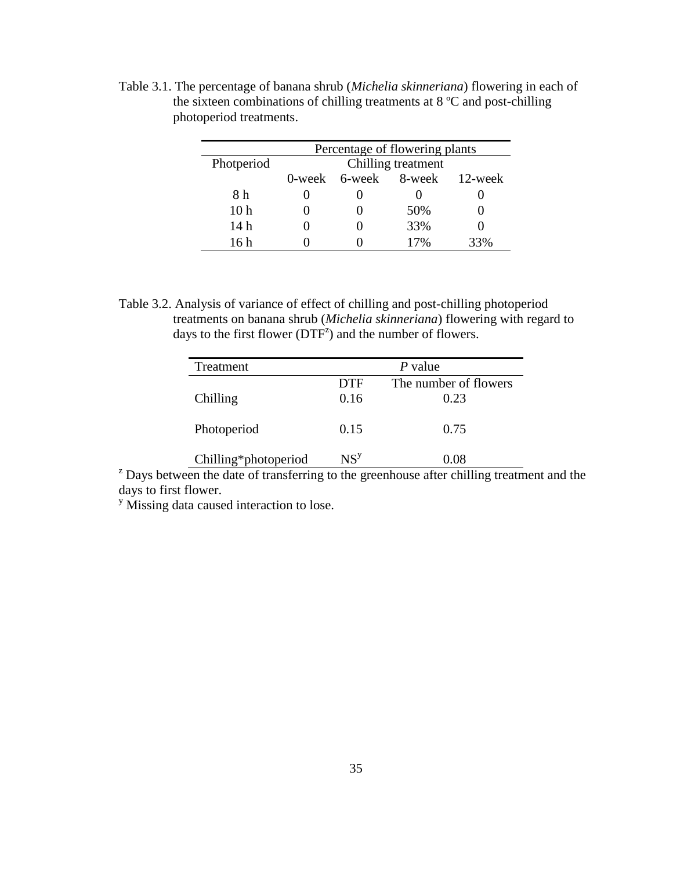|                 | Percentage of flowering plants |  |                              |     |  |
|-----------------|--------------------------------|--|------------------------------|-----|--|
| Photperiod      | Chilling treatment             |  |                              |     |  |
|                 |                                |  | 0-week 6-week 8-week 12-week |     |  |
| 8 h             |                                |  |                              |     |  |
| 10 <sub>h</sub> |                                |  | 50%                          |     |  |
| 14 h            |                                |  | 33%                          |     |  |
| 16 h            |                                |  | 17%                          | 33% |  |

Table 3.1. The percentage of banana shrub (*Michelia skinneriana*) flowering in each of the sixteen combinations of chilling treatments at 8 ºC and post-chilling photoperiod treatments.

Table 3.2. Analysis of variance of effect of chilling and post-chilling photoperiod treatments on banana shrub (*Michelia skinneriana*) flowering with regard to days to the first flower ( $DTF^2$ ) and the number of flowers.

| Treatment            |                 | $P$ value             |
|----------------------|-----------------|-----------------------|
|                      | <b>DTF</b>      | The number of flowers |
| Chilling             | 0.16            | 0.23                  |
|                      |                 |                       |
| Photoperiod          | 0.15            | 0.75                  |
| Chilling*photoperiod | NS <sup>y</sup> | 0.08                  |

 $z<sup>z</sup>$  Days between the date of transferring to the greenhouse after chilling treatment and the days to first flower.

<sup>y</sup> Missing data caused interaction to lose.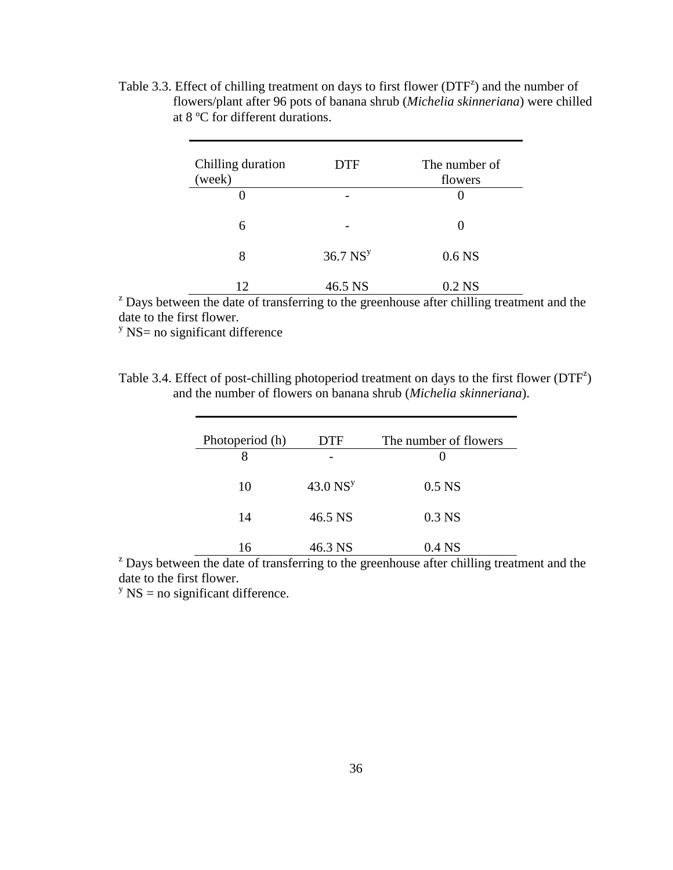Table 3.3. Effect of chilling treatment on days to first flower  $(DTF^2)$  and the number of flowers/plant after 96 pots of banana shrub (*Michelia skinneriana*) were chilled at 8 ºC for different durations.

| Chilling duration<br>(week) | <b>DTF</b>             | The number of<br>flowers |
|-----------------------------|------------------------|--------------------------|
|                             | -                      |                          |
| 6                           |                        |                          |
| 8                           | $36.7$ NS <sup>y</sup> | 0.6 <sub>NS</sub>        |
| 12                          | 46.5 NS                | $0.2$ NS                 |

<sup>2</sup> Days between the date of transferring to the greenhouse after chilling treatment and the date to the first flower.

 $\frac{y}{x}$  NS= no significant difference

| Table 3.4. Effect of post-chilling photoperiod treatment on days to the first flower $(DTF^2)$ |  |
|------------------------------------------------------------------------------------------------|--|
| and the number of flowers on banana shrub <i>(Michelia skinneriana)</i> .                      |  |

| Photoperiod (h) | DTF                    | The number of flowers |
|-----------------|------------------------|-----------------------|
|                 |                        |                       |
| 10              | $43.0$ NS <sup>y</sup> | 0.5 <sub>N</sub>      |
| 14              | 46.5 NS                | $0.3$ NS              |
| 16              | 46.3 NS                | $0.4$ NS              |

 $\alpha$ <sup>z</sup> Days between the date of transferring to the greenhouse after chilling treatment and the date to the first flower.

 $y$  NS = no significant difference.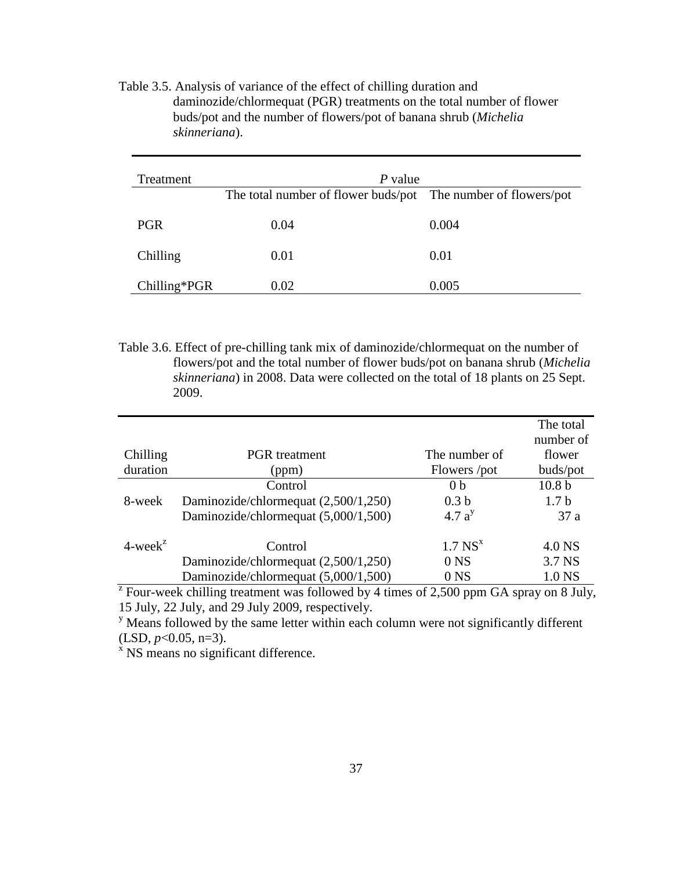| Treatment    | $P$ value                                                     |       |
|--------------|---------------------------------------------------------------|-------|
|              | The total number of flower buds/pot The number of flowers/pot |       |
| <b>PGR</b>   | 0.04                                                          | 0.004 |
| Chilling     | 0.01                                                          | 0.01  |
| Chilling*PGR | 0.02                                                          | 0.005 |

Table 3.5. Analysis of variance of the effect of chilling duration and daminozide/chlormequat (PGR) treatments on the total number of flower buds/pot and the number of flowers/pot of banana shrub (*Michelia skinneriana*).

Table 3.6. Effect of pre-chilling tank mix of daminozide/chlormequat on the number of flowers/pot and the total number of flower buds/pot on banana shrub (*Michelia skinneriana*) in 2008. Data were collected on the total of 18 plants on 25 Sept. 2009.

|                                     |                                      |                       | The total         |
|-------------------------------------|--------------------------------------|-----------------------|-------------------|
|                                     |                                      |                       | number of         |
| Chilling                            | <b>PGR</b> treatment                 | The number of         | flower            |
| duration                            | (ppm)                                | Flowers /pot          | buds/pot          |
|                                     | Control                              | 0 <sub>b</sub>        | 10.8 <sub>b</sub> |
| 8-week                              | Daminozide/chlormequat (2,500/1,250) | 0.3 <sub>b</sub>      | 1.7 <sub>b</sub>  |
|                                     | Daminozide/chlormequat (5,000/1,500) | 4.7a <sup>y</sup>     | 37a               |
| $4$ -week <sup><math>z</math></sup> | Control                              | $1.7$ NS <sup>x</sup> | 4.0 NS            |
|                                     | Daminozide/chlormequat (2,500/1,250) | 0 <sub>NS</sub>       | 3.7 NS            |
|                                     | Daminozide/chlormequat (5,000/1,500) | 0 <sub>NS</sub>       | 1.0 NS            |

 $Z^2$  Four-week chilling treatment was followed by 4 times of 2,500 ppm GA spray on 8 July, 15 July, 22 July, and 29 July 2009, respectively.

 $\mu$ <sup>y</sup> Means followed by the same letter within each column were not significantly different  $(LSD, p<0.05, n=3)$ .

 $x$  NS means no significant difference.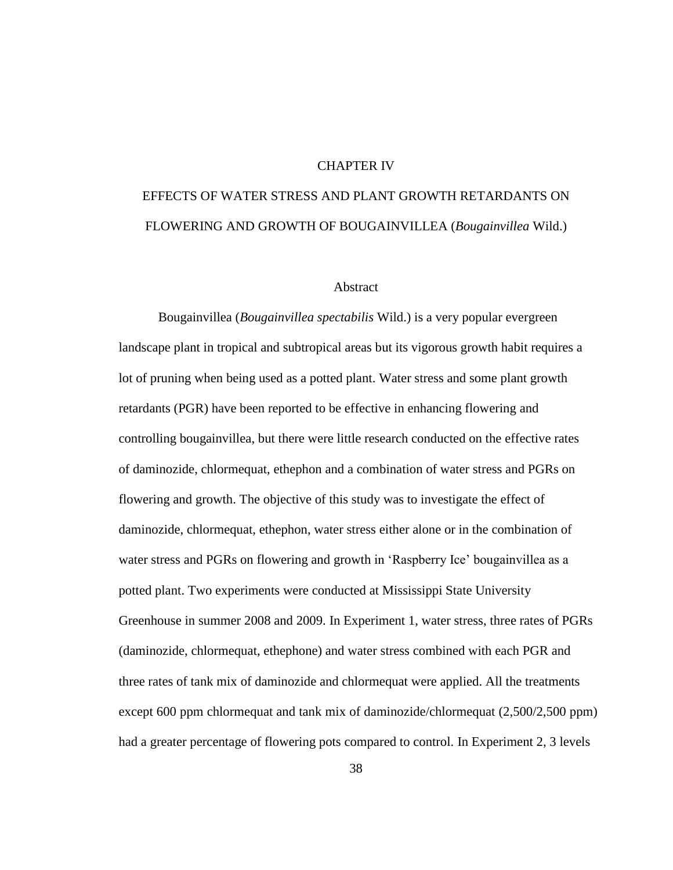## CHAPTER IV

# EFFECTS OF WATER STRESS AND PLANT GROWTH RETARDANTS ON FLOWERING AND GROWTH OF BOUGAINVILLEA (*Bougainvillea* Wild.)

#### Abstract

Bougainvillea (*Bougainvillea spectabilis* Wild.) is a very popular evergreen landscape plant in tropical and subtropical areas but its vigorous growth habit requires a lot of pruning when being used as a potted plant. Water stress and some plant growth retardants (PGR) have been reported to be effective in enhancing flowering and controlling bougainvillea, but there were little research conducted on the effective rates of daminozide, chlormequat, ethephon and a combination of water stress and PGRs on flowering and growth. The objective of this study was to investigate the effect of daminozide, chlormequat, ethephon, water stress either alone or in the combination of water stress and PGRs on flowering and growth in 'Raspberry Ice' bougainvillea as a potted plant. Two experiments were conducted at Mississippi State University Greenhouse in summer 2008 and 2009. In Experiment 1, water stress, three rates of PGRs (daminozide, chlormequat, ethephone) and water stress combined with each PGR and three rates of tank mix of daminozide and chlormequat were applied. All the treatments except 600 ppm chlormequat and tank mix of daminozide/chlormequat (2,500/2,500 ppm) had a greater percentage of flowering pots compared to control. In Experiment 2, 3 levels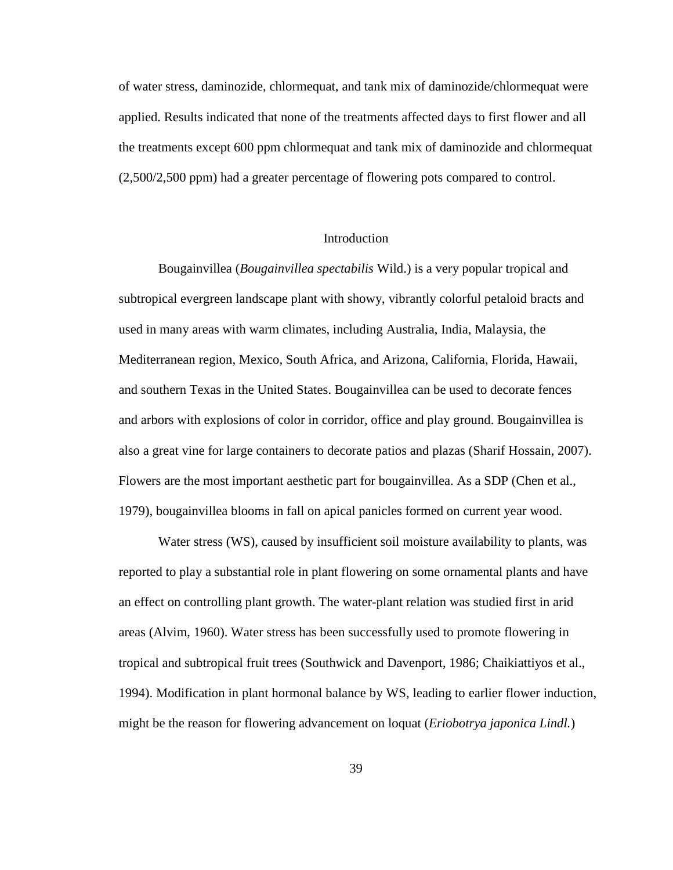of water stress, daminozide, chlormequat, and tank mix of daminozide/chlormequat were applied. Results indicated that none of the treatments affected days to first flower and all the treatments except 600 ppm chlormequat and tank mix of daminozide and chlormequat (2,500/2,500 ppm) had a greater percentage of flowering pots compared to control.

## **Introduction**

Bougainvillea (*Bougainvillea spectabilis* Wild.) is a very popular tropical and subtropical evergreen landscape plant with showy, vibrantly colorful petaloid bracts and used in many areas with warm climates, including Australia, India, Malaysia, the Mediterranean region, Mexico, South Africa, and Arizona, California, Florida, Hawaii, and southern Texas in the United States. Bougainvillea can be used to decorate fences and arbors with explosions of color in corridor, office and play ground. Bougainvillea is also a great vine for large containers to decorate patios and plazas (Sharif Hossain, 2007). Flowers are the most important aesthetic part for bougainvillea. As a SDP (Chen et al., 1979), bougainvillea blooms in fall on apical panicles formed on current year wood.

Water stress (WS), caused by insufficient soil moisture availability to plants, was reported to play a substantial role in plant flowering on some ornamental plants and have an effect on controlling plant growth. The water-plant relation was studied first in arid areas (Alvim, 1960). Water stress has been successfully used to promote flowering in tropical and subtropical fruit trees (Southwick and Davenport, 1986; Chaikiattiyos et al., 1994). Modification in plant hormonal balance by WS, leading to earlier flower induction, might be the reason for flowering advancement on loquat (*Eriobotrya japonica Lindl.*)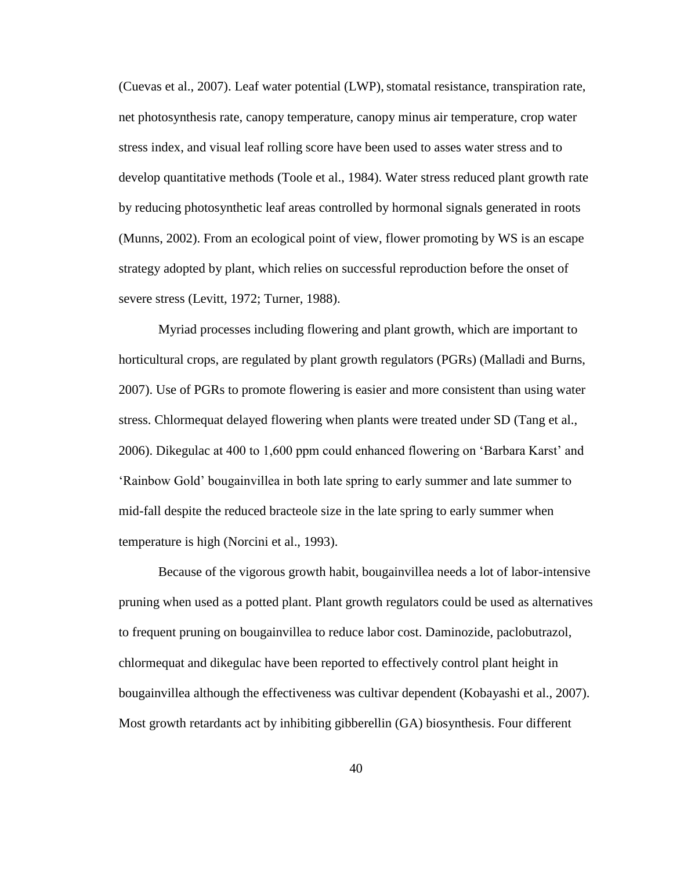(Cuevas et al., 2007). Leaf water potential (LWP), stomatal resistance, transpiration rate, net photosynthesis rate, canopy temperature, canopy minus air temperature, crop water stress index, and visual leaf rolling score have been used to asses water stress and to develop quantitative methods (Toole et al., 1984). Water stress reduced plant growth rate by reducing photosynthetic leaf areas controlled by hormonal signals generated in roots (Munns, 2002). From an ecological point of view, flower promoting by WS is an escape strategy adopted by plant, which relies on successful reproduction before the onset of severe stress (Levitt, 1972; Turner, 1988).

Myriad processes including flowering and plant growth, which are important to horticultural crops, are regulated by plant growth regulators (PGRs) (Malladi and Burns, 2007). Use of PGRs to promote flowering is easier and more consistent than using water stress. Chlormequat delayed flowering when plants were treated under SD (Tang et al., 2006). Dikegulac at 400 to 1,600 ppm could enhanced flowering on "Barbara Karst" and "Rainbow Gold" bougainvillea in both late spring to early summer and late summer to mid-fall despite the reduced bracteole size in the late spring to early summer when temperature is high (Norcini et al., 1993).

Because of the vigorous growth habit, bougainvillea needs a lot of labor-intensive pruning when used as a potted plant. Plant growth regulators could be used as alternatives to frequent pruning on bougainvillea to reduce labor cost. Daminozide, paclobutrazol, chlormequat and dikegulac have been reported to effectively control plant height in bougainvillea although the effectiveness was cultivar dependent (Kobayashi et al., 2007). Most growth retardants act by inhibiting gibberellin (GA) biosynthesis. Four different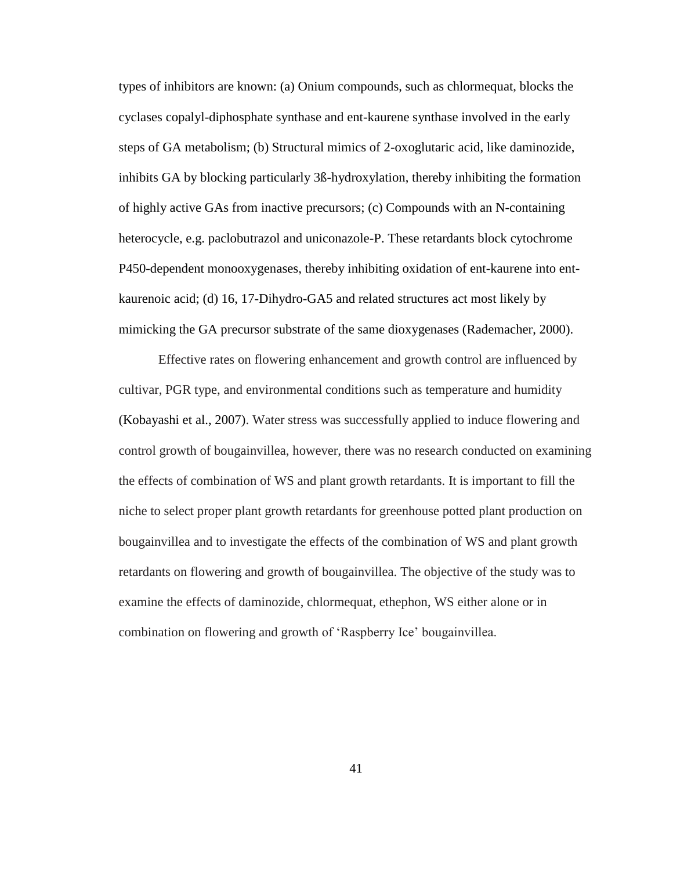types of inhibitors are known: (a) Onium compounds, such as chlormequat, blocks the cyclases copalyl-diphosphate synthase and ent-kaurene synthase involved in the early steps of GA metabolism; (b) Structural mimics of 2-oxoglutaric acid, like daminozide, inhibits GA by blocking particularly 3ß-hydroxylation, thereby inhibiting the formation of highly active GAs from inactive precursors; (c) Compounds with an N-containing heterocycle, e.g. paclobutrazol and uniconazole-P. These retardants block cytochrome P450-dependent monooxygenases, thereby inhibiting oxidation of ent-kaurene into entkaurenoic acid; (d) 16, 17-Dihydro-GA5 and related structures act most likely by mimicking the GA precursor substrate of the same dioxygenases (Rademacher, 2000).

Effective rates on flowering enhancement and growth control are influenced by cultivar, PGR type, and environmental conditions such as temperature and humidity (Kobayashi et al., 2007). Water stress was successfully applied to induce flowering and control growth of bougainvillea, however, there was no research conducted on examining the effects of combination of WS and plant growth retardants. It is important to fill the niche to select proper plant growth retardants for greenhouse potted plant production on bougainvillea and to investigate the effects of the combination of WS and plant growth retardants on flowering and growth of bougainvillea. The objective of the study was to examine the effects of daminozide, chlormequat, ethephon, WS either alone or in combination on flowering and growth of "Raspberry Ice" bougainvillea.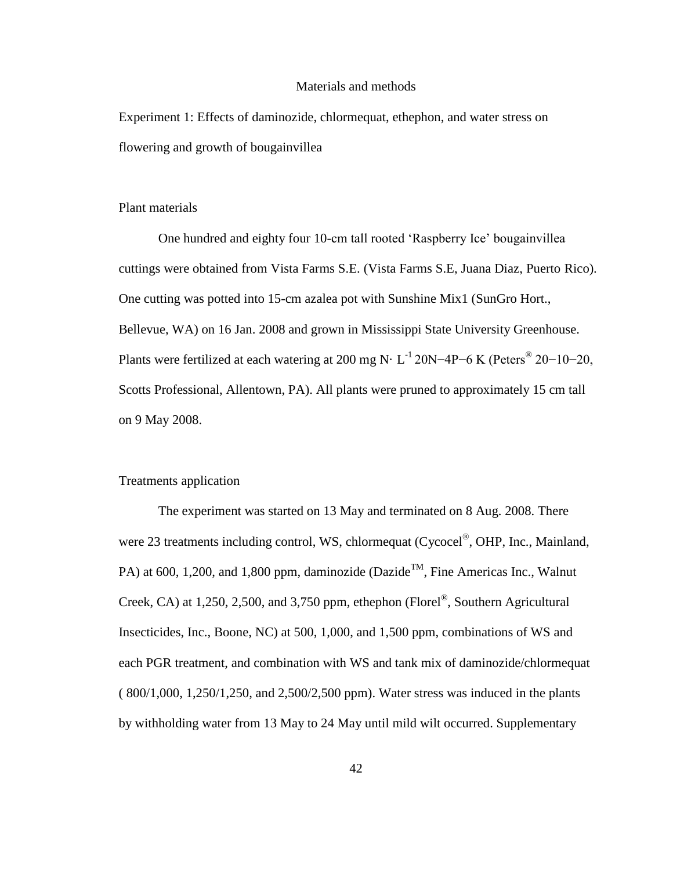#### Materials and methods

Experiment 1: Effects of daminozide, chlormequat, ethephon, and water stress on flowering and growth of bougainvillea

## Plant materials

One hundred and eighty four 10-cm tall rooted "Raspberry Ice" bougainvillea cuttings were obtained from Vista Farms S.E. (Vista Farms S.E, Juana Diaz, Puerto Rico). One cutting was potted into 15-cm azalea pot with Sunshine Mix1 (SunGro Hort., Bellevue, WA) on 16 Jan. 2008 and grown in Mississippi State University Greenhouse. Plants were fertilized at each watering at 200 mg N $\cdot$  L<sup>-1</sup> 20N−4P−6 K (Peters<sup>®</sup> 20−10−20, Scotts Professional, Allentown, PA). All plants were pruned to approximately 15 cm tall on 9 May 2008.

## Treatments application

The experiment was started on 13 May and terminated on 8 Aug. 2008. There were 23 treatments including control, WS, chlormequat (Cycocel®, OHP, Inc., Mainland, PA) at 600, 1,200, and 1,800 ppm, daminozide (Dazide<sup>TM</sup>, Fine Americas Inc., Walnut Creek, CA) at 1,250, 2,500, and 3,750 ppm, ethephon (Florel<sup>®</sup>, Southern Agricultural Insecticides, Inc., Boone, NC) at 500, 1,000, and 1,500 ppm, combinations of WS and each PGR treatment, and combination with WS and tank mix of daminozide/chlormequat ( 800/1,000, 1,250/1,250, and 2,500/2,500 ppm). Water stress was induced in the plants by withholding water from 13 May to 24 May until mild wilt occurred. Supplementary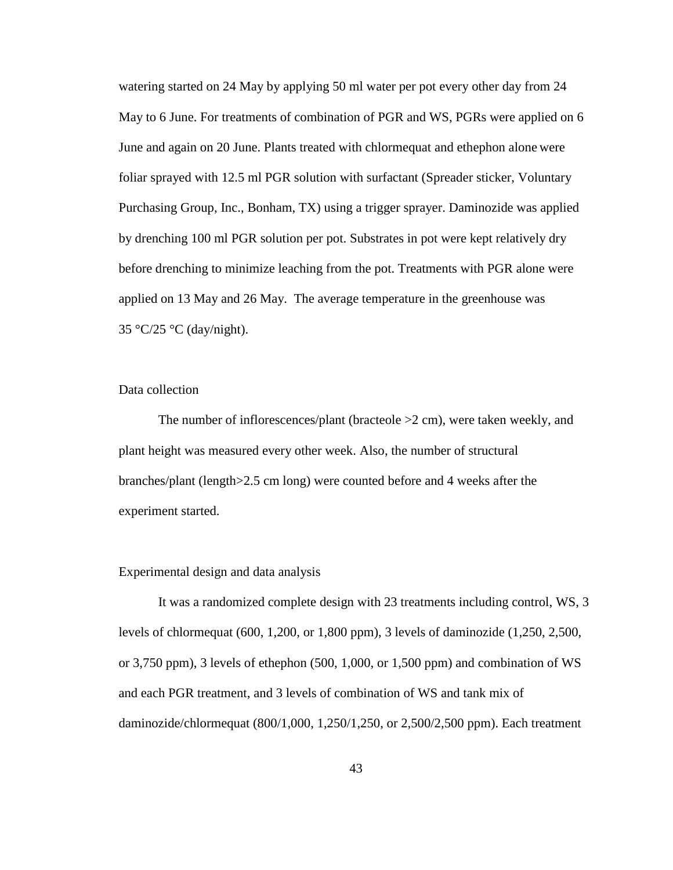watering started on 24 May by applying 50 ml water per pot every other day from 24 May to 6 June. For treatments of combination of PGR and WS, PGRs were applied on 6 June and again on 20 June. Plants treated with chlormequat and ethephon alone were foliar sprayed with 12.5 ml PGR solution with surfactant (Spreader sticker, Voluntary Purchasing Group, Inc., Bonham, TX) using a trigger sprayer. Daminozide was applied by drenching 100 ml PGR solution per pot. Substrates in pot were kept relatively dry before drenching to minimize leaching from the pot. Treatments with PGR alone were applied on 13 May and 26 May. The average temperature in the greenhouse was 35 °C/25 °C (day/night).

## Data collection

The number of inflorescences/plant (bracteole  $>2$  cm), were taken weekly, and plant height was measured every other week. Also, the number of structural branches/plant (length>2.5 cm long) were counted before and 4 weeks after the experiment started.

#### Experimental design and data analysis

It was a randomized complete design with 23 treatments including control, WS, 3 levels of chlormequat (600, 1,200, or 1,800 ppm), 3 levels of daminozide (1,250, 2,500, or 3,750 ppm), 3 levels of ethephon (500, 1,000, or 1,500 ppm) and combination of WS and each PGR treatment, and 3 levels of combination of WS and tank mix of daminozide/chlormequat (800/1,000, 1,250/1,250, or 2,500/2,500 ppm). Each treatment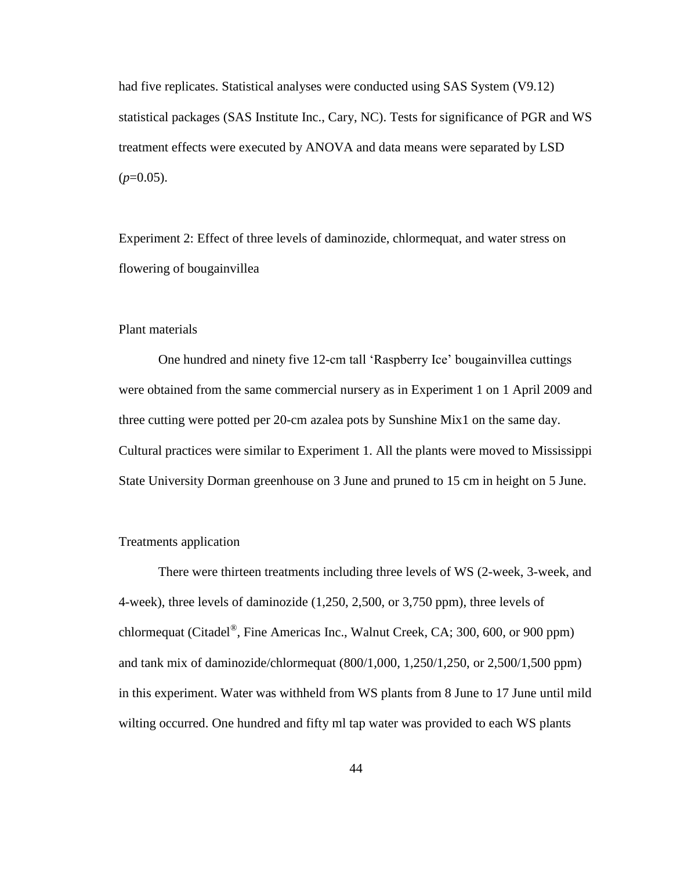had five replicates. Statistical analyses were conducted using SAS System (V9.12) statistical packages (SAS Institute Inc., Cary, NC). Tests for significance of PGR and WS treatment effects were executed by ANOVA and data means were separated by LSD  $(p=0.05)$ .

Experiment 2: Effect of three levels of daminozide, chlormequat, and water stress on flowering of bougainvillea

## Plant materials

One hundred and ninety five 12-cm tall "Raspberry Ice" bougainvillea cuttings were obtained from the same commercial nursery as in Experiment 1 on 1 April 2009 and three cutting were potted per 20-cm azalea pots by Sunshine Mix1 on the same day. Cultural practices were similar to Experiment 1. All the plants were moved to Mississippi State University Dorman greenhouse on 3 June and pruned to 15 cm in height on 5 June.

## Treatments application

There were thirteen treatments including three levels of WS (2-week, 3-week, and 4-week), three levels of daminozide (1,250, 2,500, or 3,750 ppm), three levels of chlormequat (Citadel<sup>®</sup>, Fine Americas Inc., Walnut Creek, CA; 300, 600, or 900 ppm) and tank mix of daminozide/chlormequat (800/1,000, 1,250/1,250, or 2,500/1,500 ppm) in this experiment. Water was withheld from WS plants from 8 June to 17 June until mild wilting occurred. One hundred and fifty ml tap water was provided to each WS plants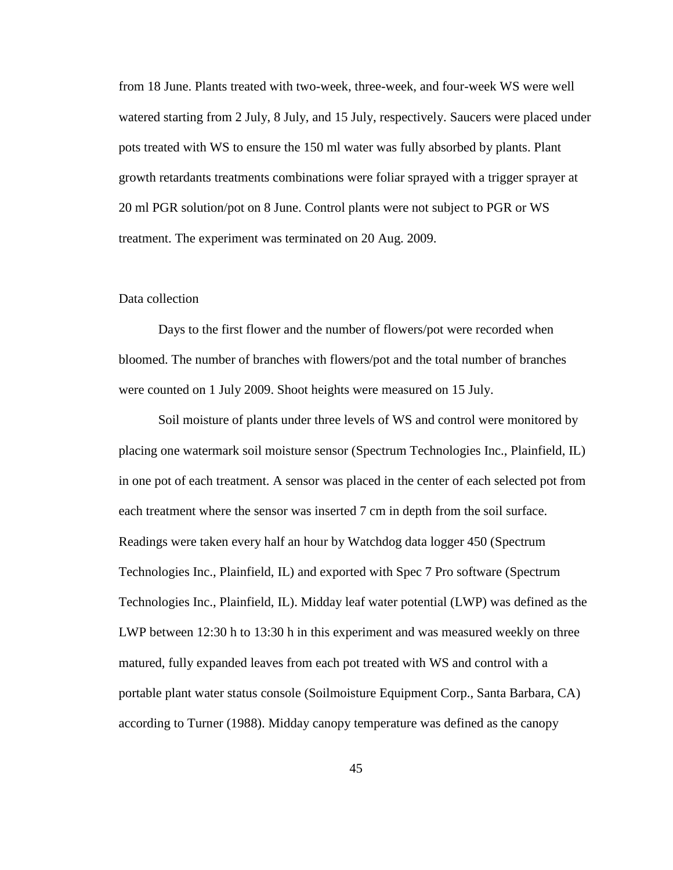from 18 June. Plants treated with two-week, three-week, and four-week WS were well watered starting from 2 July, 8 July, and 15 July, respectively. Saucers were placed under pots treated with WS to ensure the 150 ml water was fully absorbed by plants. Plant growth retardants treatments combinations were foliar sprayed with a trigger sprayer at 20 ml PGR solution/pot on 8 June. Control plants were not subject to PGR or WS treatment. The experiment was terminated on 20 Aug. 2009.

## Data collection

Days to the first flower and the number of flowers/pot were recorded when bloomed. The number of branches with flowers/pot and the total number of branches were counted on 1 July 2009. Shoot heights were measured on 15 July.

Soil moisture of plants under three levels of WS and control were monitored by placing one watermark soil moisture sensor (Spectrum Technologies Inc., Plainfield, IL) in one pot of each treatment. A sensor was placed in the center of each selected pot from each treatment where the sensor was inserted 7 cm in depth from the soil surface. Readings were taken every half an hour by Watchdog data logger 450 (Spectrum Technologies Inc., Plainfield, IL) and exported with Spec 7 Pro software (Spectrum Technologies Inc., Plainfield, IL). Midday leaf water potential (LWP) was defined as the LWP between 12:30 h to 13:30 h in this experiment and was measured weekly on three matured, fully expanded leaves from each pot treated with WS and control with a portable plant water status console (Soilmoisture Equipment Corp., Santa Barbara, CA) according to Turner (1988). Midday canopy temperature was defined as the canopy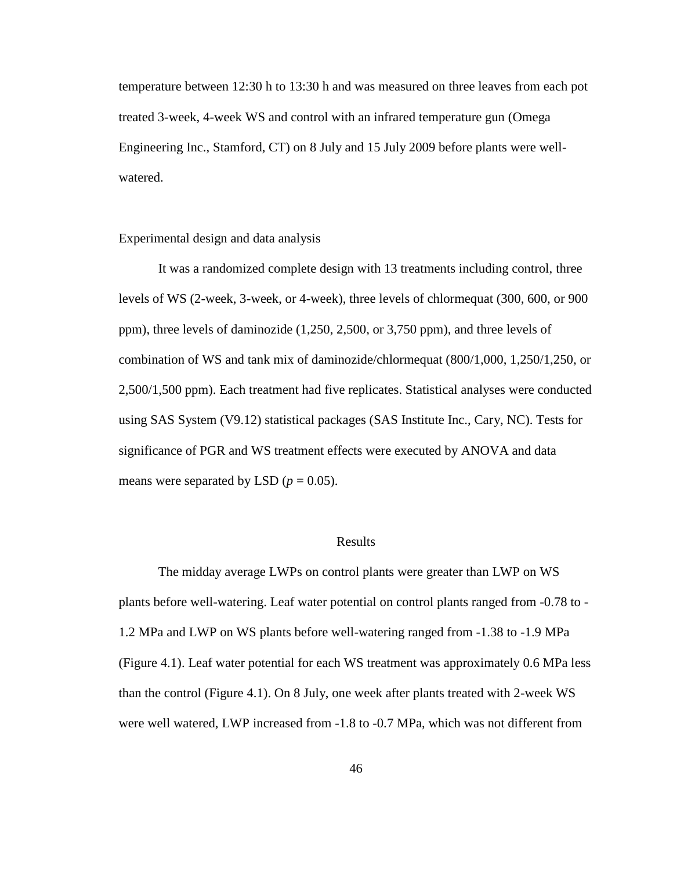temperature between 12:30 h to 13:30 h and was measured on three leaves from each pot treated 3-week, 4-week WS and control with an infrared temperature gun (Omega Engineering Inc., Stamford, CT) on 8 July and 15 July 2009 before plants were wellwatered.

Experimental design and data analysis

It was a randomized complete design with 13 treatments including control, three levels of WS (2-week, 3-week, or 4-week), three levels of chlormequat (300, 600, or 900 ppm), three levels of daminozide (1,250, 2,500, or 3,750 ppm), and three levels of combination of WS and tank mix of daminozide/chlormequat (800/1,000, 1,250/1,250, or 2,500/1,500 ppm). Each treatment had five replicates. Statistical analyses were conducted using SAS System (V9.12) statistical packages (SAS Institute Inc., Cary, NC). Tests for significance of PGR and WS treatment effects were executed by ANOVA and data means were separated by LSD ( $p = 0.05$ ).

## Results

The midday average LWPs on control plants were greater than LWP on WS plants before well-watering. Leaf water potential on control plants ranged from -0.78 to - 1.2 MPa and LWP on WS plants before well-watering ranged from -1.38 to -1.9 MPa (Figure 4.1). Leaf water potential for each WS treatment was approximately 0.6 MPa less than the control (Figure 4.1). On 8 July, one week after plants treated with 2-week WS were well watered, LWP increased from -1.8 to -0.7 MPa, which was not different from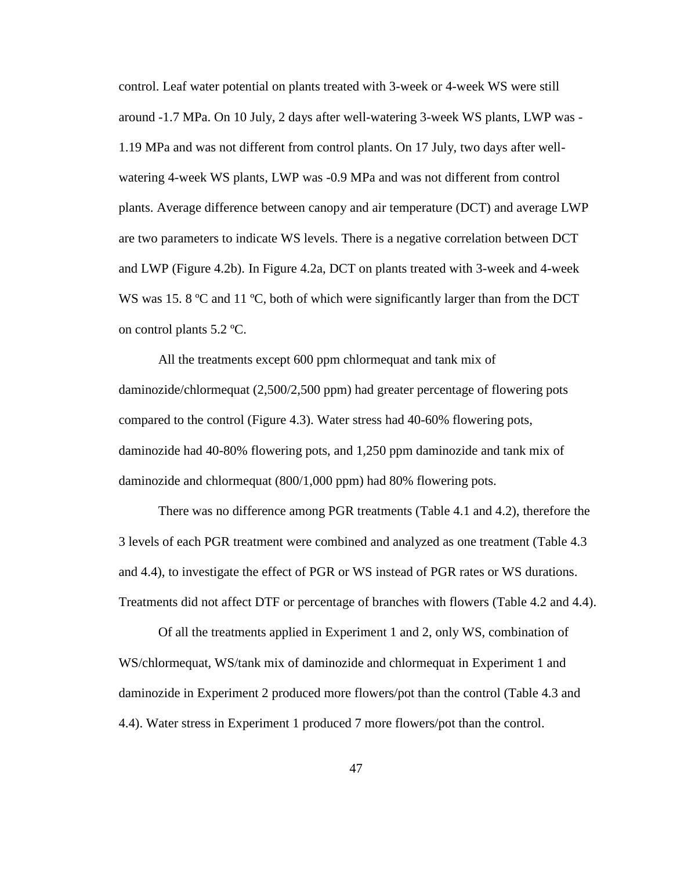control. Leaf water potential on plants treated with 3-week or 4-week WS were still around -1.7 MPa. On 10 July, 2 days after well-watering 3-week WS plants, LWP was - 1.19 MPa and was not different from control plants. On 17 July, two days after wellwatering 4-week WS plants, LWP was -0.9 MPa and was not different from control plants. Average difference between canopy and air temperature (DCT) and average LWP are two parameters to indicate WS levels. There is a negative correlation between DCT and LWP (Figure 4.2b). In Figure 4.2a, DCT on plants treated with 3-week and 4-week WS was 15. 8 °C and 11 °C, both of which were significantly larger than from the DCT on control plants 5.2 ºC.

All the treatments except 600 ppm chlormequat and tank mix of daminozide/chlormequat (2,500/2,500 ppm) had greater percentage of flowering pots compared to the control (Figure 4.3). Water stress had 40-60% flowering pots, daminozide had 40-80% flowering pots, and 1,250 ppm daminozide and tank mix of daminozide and chlormequat (800/1,000 ppm) had 80% flowering pots.

There was no difference among PGR treatments (Table 4.1 and 4.2), therefore the 3 levels of each PGR treatment were combined and analyzed as one treatment (Table 4.3 and 4.4), to investigate the effect of PGR or WS instead of PGR rates or WS durations. Treatments did not affect DTF or percentage of branches with flowers (Table 4.2 and 4.4).

Of all the treatments applied in Experiment 1 and 2, only WS, combination of WS/chlormequat, WS/tank mix of daminozide and chlormequat in Experiment 1 and daminozide in Experiment 2 produced more flowers/pot than the control (Table 4.3 and 4.4). Water stress in Experiment 1 produced 7 more flowers/pot than the control.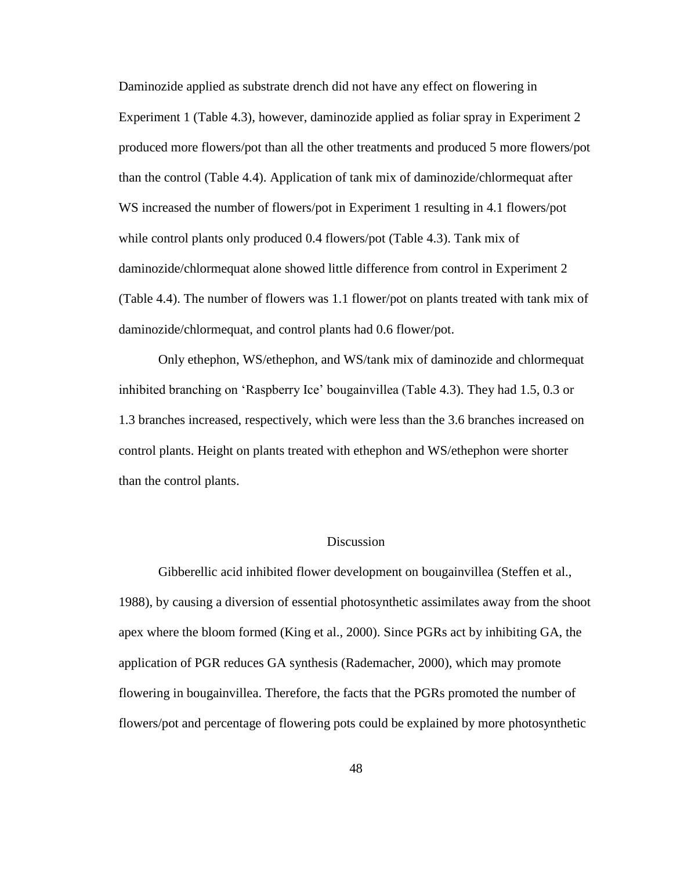Daminozide applied as substrate drench did not have any effect on flowering in Experiment 1 (Table 4.3), however, daminozide applied as foliar spray in Experiment 2 produced more flowers/pot than all the other treatments and produced 5 more flowers/pot than the control (Table 4.4). Application of tank mix of daminozide/chlormequat after WS increased the number of flowers/pot in Experiment 1 resulting in 4.1 flowers/pot while control plants only produced 0.4 flowers/pot (Table 4.3). Tank mix of daminozide/chlormequat alone showed little difference from control in Experiment 2 (Table 4.4). The number of flowers was 1.1 flower/pot on plants treated with tank mix of daminozide/chlormequat, and control plants had 0.6 flower/pot.

Only ethephon, WS/ethephon, and WS/tank mix of daminozide and chlormequat inhibited branching on "Raspberry Ice" bougainvillea (Table 4.3). They had 1.5, 0.3 or 1.3 branches increased, respectively, which were less than the 3.6 branches increased on control plants. Height on plants treated with ethephon and WS/ethephon were shorter than the control plants.

## Discussion

Gibberellic acid inhibited flower development on bougainvillea (Steffen et al., 1988), by causing a diversion of essential photosynthetic assimilates away from the shoot apex where the bloom formed (King et al., 2000). Since PGRs act by inhibiting GA, the application of PGR reduces GA synthesis (Rademacher, 2000), which may promote flowering in bougainvillea. Therefore, the facts that the PGRs promoted the number of flowers/pot and percentage of flowering pots could be explained by more photosynthetic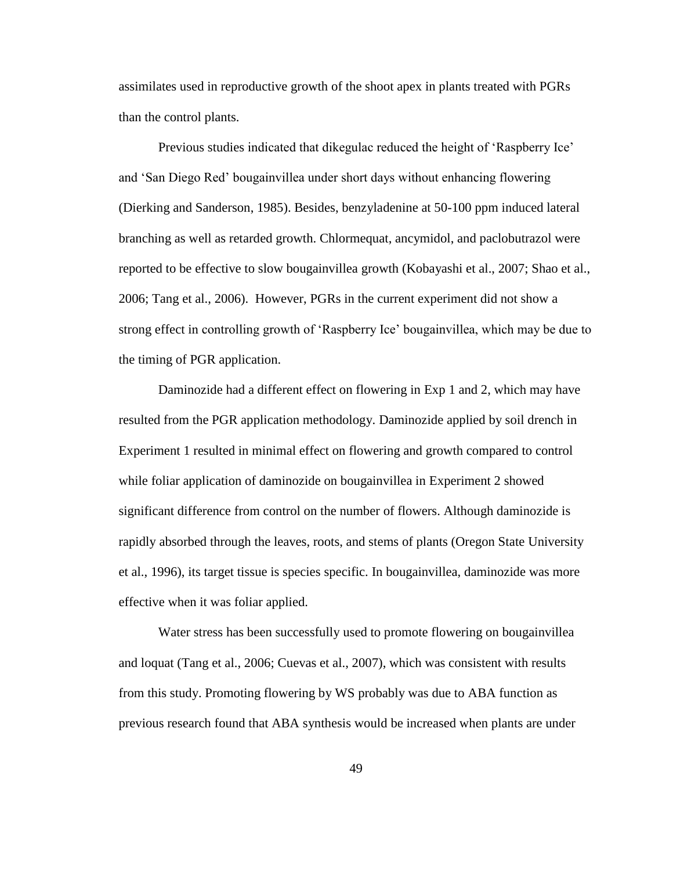assimilates used in reproductive growth of the shoot apex in plants treated with PGRs than the control plants.

Previous studies indicated that dikegulac reduced the height of "Raspberry Ice" and "San Diego Red" bougainvillea under short days without enhancing flowering (Dierking and Sanderson, 1985). Besides, benzyladenine at 50-100 ppm induced lateral branching as well as retarded growth. Chlormequat, ancymidol, and paclobutrazol were reported to be effective to slow bougainvillea growth (Kobayashi et al., 2007; Shao et al., 2006; Tang et al., 2006). However, PGRs in the current experiment did not show a strong effect in controlling growth of "Raspberry Ice" bougainvillea, which may be due to the timing of PGR application.

Daminozide had a different effect on flowering in Exp 1 and 2, which may have resulted from the PGR application methodology. Daminozide applied by soil drench in Experiment 1 resulted in minimal effect on flowering and growth compared to control while foliar application of daminozide on bougainvillea in Experiment 2 showed significant difference from control on the number of flowers. Although daminozide is rapidly absorbed through the leaves, roots, and stems of plants (Oregon State University et al., 1996), its target tissue is species specific. In bougainvillea, daminozide was more effective when it was foliar applied.

Water stress has been successfully used to promote flowering on bougainvillea and loquat (Tang et al., 2006; Cuevas et al., 2007), which was consistent with results from this study. Promoting flowering by WS probably was due to ABA function as previous research found that ABA synthesis would be increased when plants are under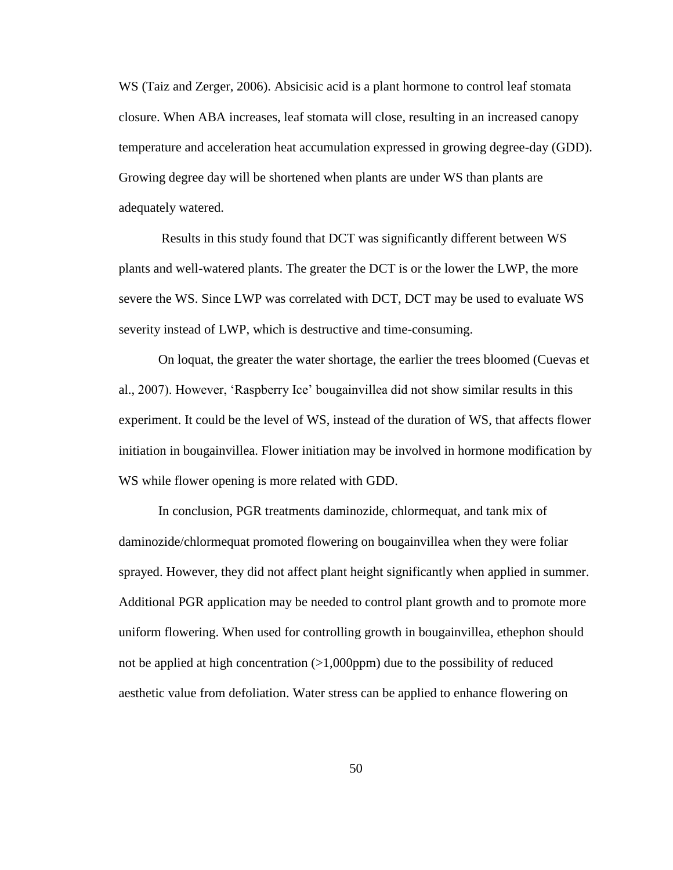WS (Taiz and Zerger, 2006). Absicisic acid is a plant hormone to control leaf stomata closure. When ABA increases, leaf stomata will close, resulting in an increased canopy temperature and acceleration heat accumulation expressed in growing degree-day (GDD). Growing degree day will be shortened when plants are under WS than plants are adequately watered.

Results in this study found that DCT was significantly different between WS plants and well-watered plants. The greater the DCT is or the lower the LWP, the more severe the WS. Since LWP was correlated with DCT, DCT may be used to evaluate WS severity instead of LWP, which is destructive and time-consuming.

On loquat, the greater the water shortage, the earlier the trees bloomed (Cuevas et al., 2007). However, "Raspberry Ice" bougainvillea did not show similar results in this experiment. It could be the level of WS, instead of the duration of WS, that affects flower initiation in bougainvillea. Flower initiation may be involved in hormone modification by WS while flower opening is more related with GDD.

In conclusion, PGR treatments daminozide, chlormequat, and tank mix of daminozide/chlormequat promoted flowering on bougainvillea when they were foliar sprayed. However, they did not affect plant height significantly when applied in summer. Additional PGR application may be needed to control plant growth and to promote more uniform flowering. When used for controlling growth in bougainvillea, ethephon should not be applied at high concentration  $(>1,000$ ppm) due to the possibility of reduced aesthetic value from defoliation. Water stress can be applied to enhance flowering on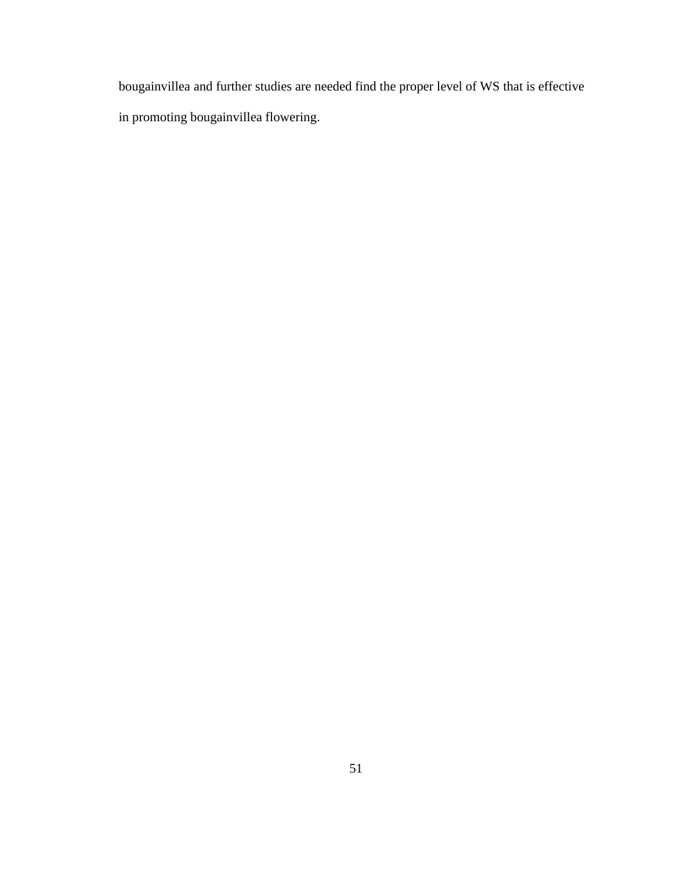bougainvillea and further studies are needed find the proper level of WS that is effective in promoting bougainvillea flowering.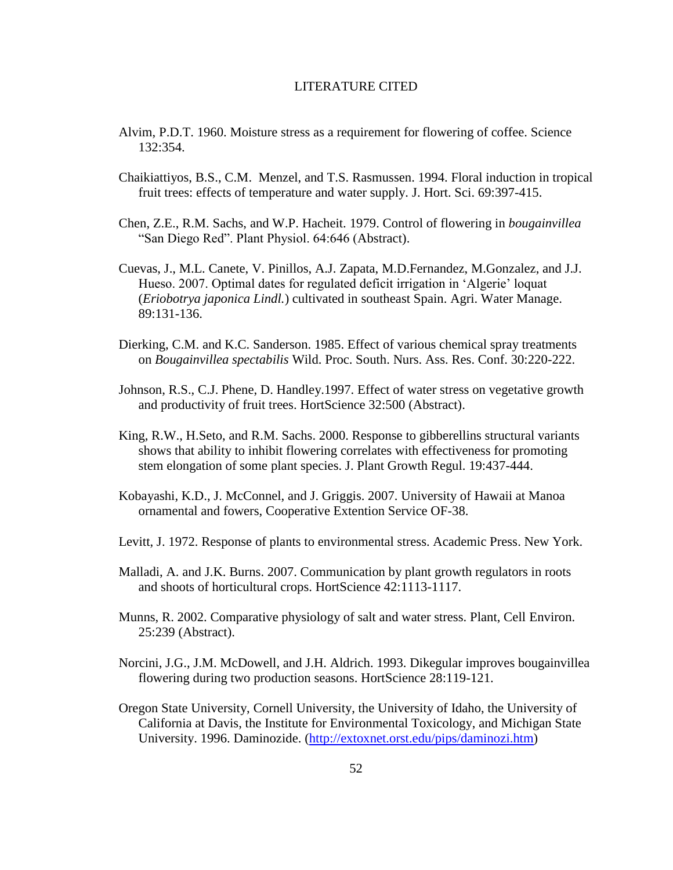#### LITERATURE CITED

- Alvim, P.D.T. 1960. Moisture stress as a requirement for flowering of coffee. Science 132:354.
- Chaikiattiyos, B.S., C.M. Menzel, and T.S. Rasmussen. 1994. Floral induction in tropical fruit trees: effects of temperature and water supply. J. Hort. Sci. 69:397-415.
- Chen, Z.E., R.M. Sachs, and W.P. Hacheit. 1979. Control of flowering in *bougainvillea* "San Diego Red". Plant Physiol. 64:646 (Abstract).
- Cuevas, J., M.L. Canete, V. Pinillos, A.J. Zapata, M.D.Fernandez, M.Gonzalez, and J.J. Hueso. 2007. Optimal dates for regulated deficit irrigation in 'Algerie' loquat (*Eriobotrya japonica Lindl.*) cultivated in southeast Spain. Agri. Water Manage. 89:131-136.
- Dierking, C.M. and K.C. Sanderson. 1985. Effect of various chemical spray treatments on *Bougainvillea spectabilis* Wild. Proc. South. Nurs. Ass. Res. Conf. 30:220-222.
- Johnson, R.S., C.J. Phene, D. Handley.1997. Effect of water stress on vegetative growth and productivity of fruit trees. HortScience 32:500 (Abstract).
- King, R.W., H.Seto, and R.M. Sachs. 2000. Response to gibberellins structural variants shows that ability to inhibit flowering correlates with effectiveness for promoting stem elongation of some plant species. J. Plant Growth Regul. 19:437-444.
- Kobayashi, K.D., J. McConnel, and J. Griggis. 2007. University of Hawaii at Manoa ornamental and fowers, Cooperative Extention Service OF-38.
- Levitt, J. 1972. Response of plants to environmental stress. Academic Press. New York.
- Malladi, A. and J.K. Burns. 2007. Communication by plant growth regulators in roots and shoots of horticultural crops. HortScience 42:1113-1117.
- Munns, R. 2002. Comparative physiology of salt and water stress. Plant, Cell Environ. 25:239 (Abstract).
- Norcini, J.G., J.M. McDowell, and J.H. Aldrich. 1993. Dikegular improves bougainvillea flowering during two production seasons. HortScience 28:119-121.
- Oregon State University, Cornell University, the University of Idaho, the University of California at Davis, the Institute for Environmental Toxicology, and Michigan State University. 1996. Daminozide. [\(http://extoxnet.orst.edu/pips/daminozi.htm\)](http://extoxnet.orst.edu/pips/daminozi.htm)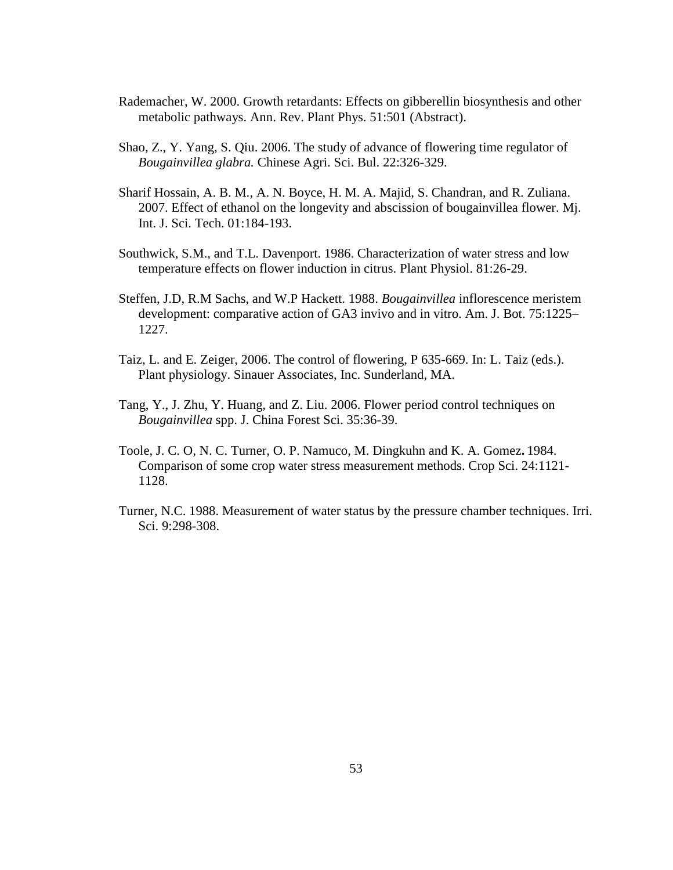- Rademacher, W. 2000. Growth retardants: Effects on gibberellin biosynthesis and other metabolic pathways. Ann. Rev. Plant Phys. 51:501 (Abstract).
- Shao, Z., Y. Yang, S. Qiu. 2006. The study of advance of flowering time regulator of *Bougainvillea glabra.* Chinese Agri. Sci. Bul. 22:326-329.
- Sharif Hossain, A. B. M., A. N. Boyce, H. M. A. Majid, S. Chandran, and R. Zuliana. 2007. Effect of ethanol on the longevity and abscission of bougainvillea flower. Mj. Int. J. Sci. Tech. 01:184-193.
- Southwick, S.M., and T.L. Davenport. 1986. Characterization of water stress and low temperature effects on flower induction in citrus. Plant Physiol. 81:26-29.
- Steffen, J.D, R.M Sachs, and W.P Hackett. 1988. *Bougainvillea* inflorescence meristem development: comparative action of GA3 invivo and in vitro. Am. J. Bot. 75:1225– 1227.
- Taiz, L. and E. Zeiger, 2006. The control of flowering, P 635-669. In: L. Taiz (eds.). Plant physiology. Sinauer Associates, Inc. Sunderland, MA.
- Tang, Y., J. Zhu, Y. Huang, and Z. Liu. 2006. Flower period control techniques on *Bougainvillea* spp. J. China Forest Sci. 35:36-39.
- Toole, J. C. O, N. C. Turner, O. P. Namuco, M. Dingkuhn and K. A. Gomez**.** 1984. Comparison of some crop water stress measurement methods. Crop Sci. 24:1121- 1128.
- Turner, N.C. 1988. Measurement of water status by the pressure chamber techniques. Irri. Sci. 9:298-308.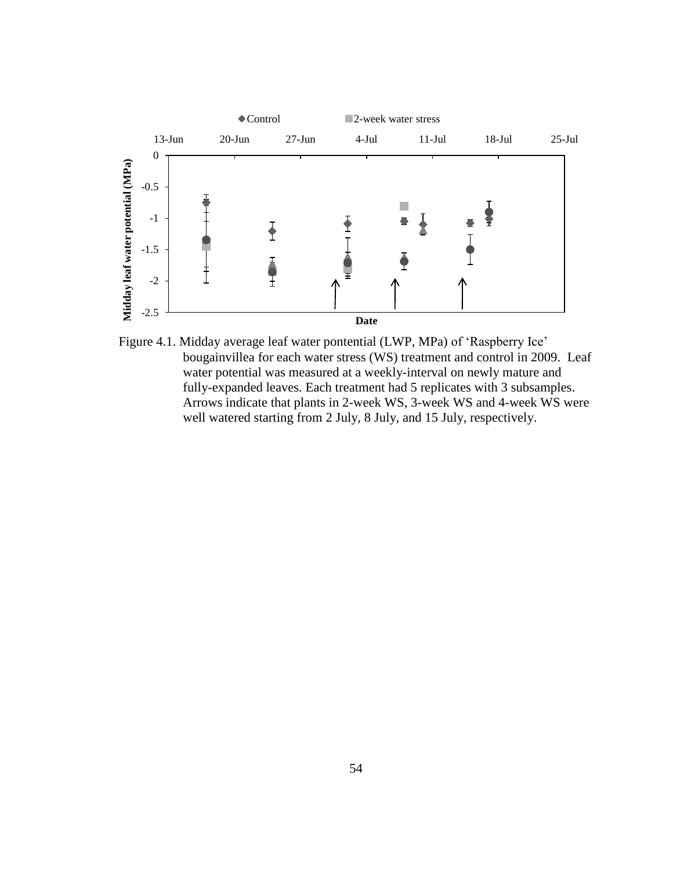

Figure 4.1. Midday average leaf water pontential (LWP, MPa) of "Raspberry Ice" bougainvillea for each water stress (WS) treatment and control in 2009. Leaf water potential was measured at a weekly-interval on newly mature and fully-expanded leaves. Each treatment had 5 replicates with 3 subsamples. Arrows indicate that plants in 2-week WS, 3-week WS and 4-week WS were well watered starting from 2 July, 8 July, and 15 July, respectively.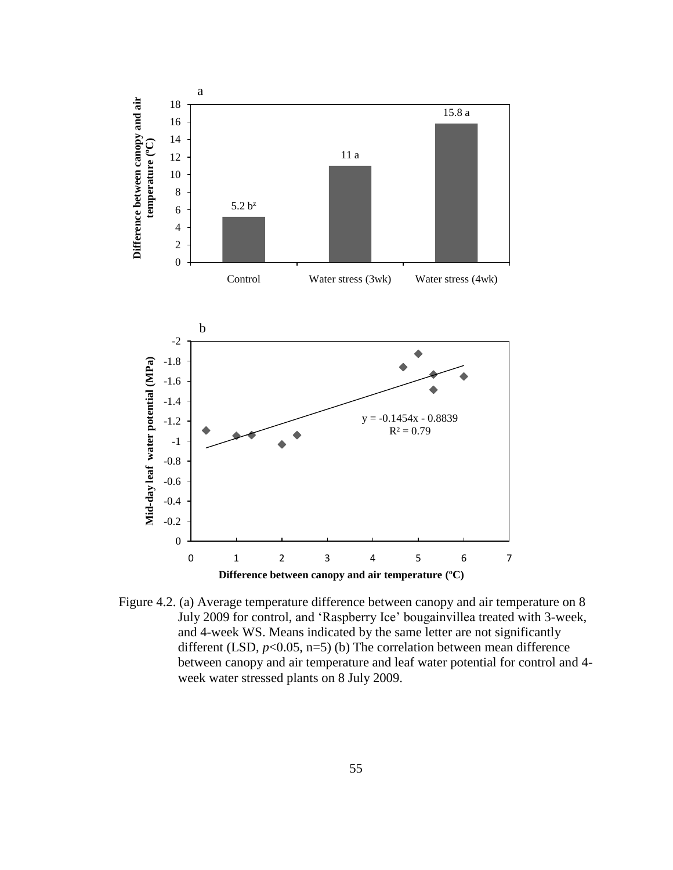

Figure 4.2. (a) Average temperature difference between canopy and air temperature on 8 July 2009 for control, and "Raspberry Ice" bougainvillea treated with 3-week, and 4-week WS. Means indicated by the same letter are not significantly different (LSD,  $p<0.05$ , n=5) (b) The correlation between mean difference between canopy and air temperature and leaf water potential for control and 4 week water stressed plants on 8 July 2009.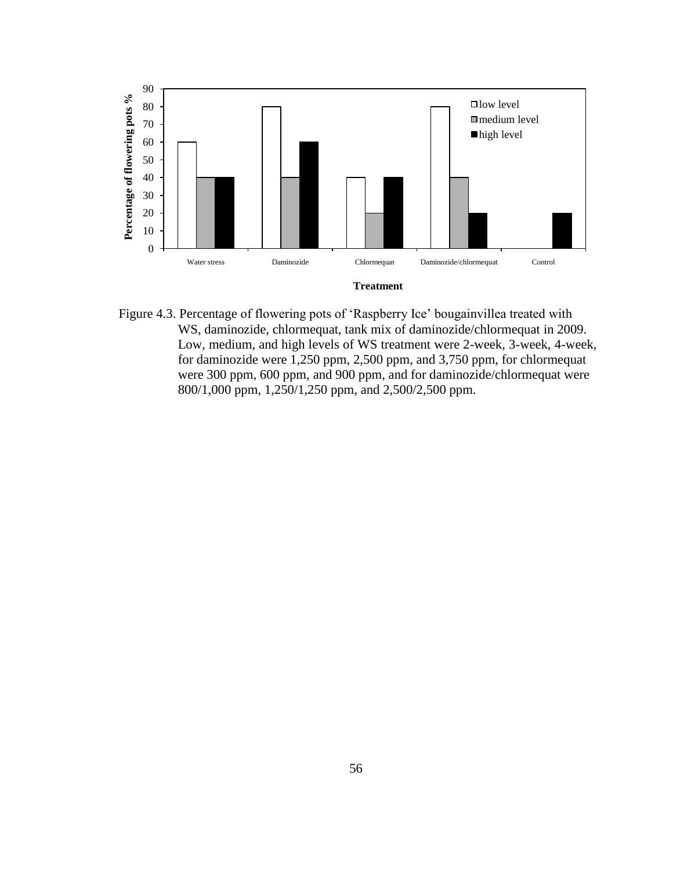

Figure 4.3. Percentage of flowering pots of "Raspberry Ice" bougainvillea treated with WS, daminozide, chlormequat, tank mix of daminozide/chlormequat in 2009. Low, medium, and high levels of WS treatment were 2-week, 3-week, 4-week, for daminozide were 1,250 ppm, 2,500 ppm, and 3,750 ppm, for chlormequat were 300 ppm, 600 ppm, and 900 ppm, and for daminozide/chlormequat were 800/1,000 ppm, 1,250/1,250 ppm, and 2,500/2,500 ppm.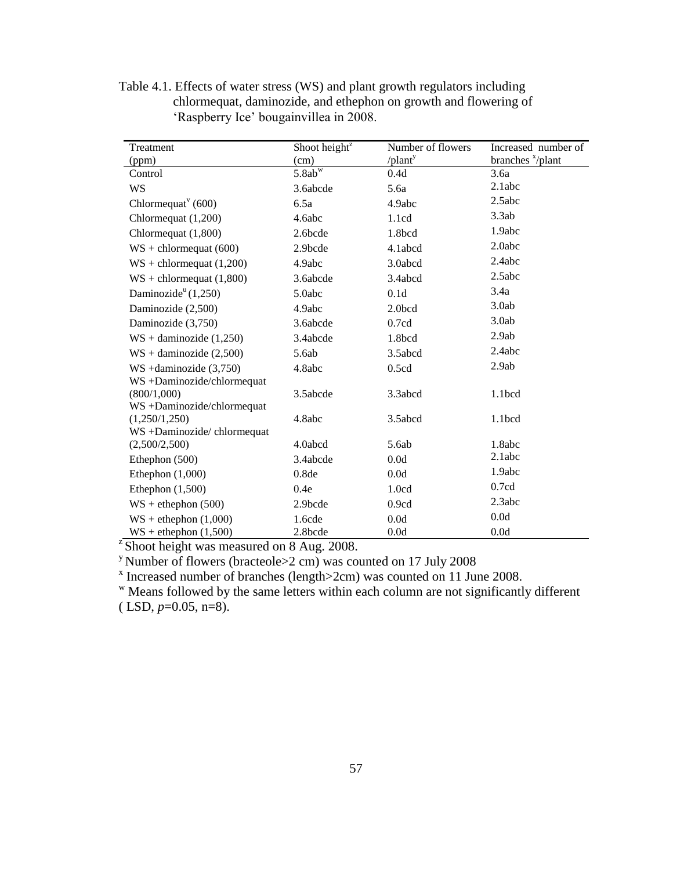Table 4.1. Effects of water stress (WS) and plant growth regulators including chlormequat, daminozide, and ethephon on growth and flowering of 'Raspberry Ice' bougainvillea in 2008.

| Treatment                                    | Shoot height <sup>z</sup> | Number of flowers          | Increased number of |
|----------------------------------------------|---------------------------|----------------------------|---------------------|
| (ppm)                                        | (cm)                      | $\theta$ lant <sup>y</sup> | branches $x$ /plant |
| Control                                      | $5.8ab^w$                 | 0.4d                       | 3.6a                |
| <b>WS</b>                                    | 3.6abcde                  | 5.6a                       | 2.1abc              |
| Chlormequat <sup><math>v</math></sup> (600)  | 6.5a                      | 4.9abc                     | 2.5abc              |
| Chlormequat (1,200)                          | 4.6abc                    | 1.1cd                      | 3.3ab               |
| Chlormequat (1,800)                          | 2.6bcde                   | 1.8bcd                     | 1.9abc              |
| $WS + \text{chlormequat} (600)$              | 2.9bcde                   | 4.1abcd                    | 2.0abc              |
| $WS + \text{chlormequat} (1,200)$            | 4.9abc                    | 3.0abcd                    | 2.4abc              |
| $WS + \text{chlormequat} (1,800)$            | 3.6abcde                  | 3.4abcd                    | 2.5abc              |
| Daminozide <sup><math>u</math></sup> (1,250) | 5.0abc                    | 0.1d                       | 3.4a                |
| Daminozide (2,500)                           | 4.9abc                    | 2.0bcd                     | 3.0ab               |
| Daminozide (3,750)                           | 3.6abcde                  | 0.7cd                      | 3.0ab               |
| $WS +$ daminozide (1,250)                    | 3.4abcde                  | 1.8bcd                     | 2.9ab               |
| $WS +$ daminozide (2,500)                    | 5.6ab                     | 3.5abcd                    | 2.4abc              |
| $WS +$ daminozide $(3,750)$                  | 4.8abc                    | 0.5cd                      | 2.9ab               |
| WS +Daminozide/chlormequat                   |                           |                            |                     |
| (800/1,000)                                  | 3.5abcde                  | 3.3abcd                    | 1.1bcd              |
| WS +Daminozide/chlormequat                   |                           |                            |                     |
| (1,250/1,250)                                | 4.8abc                    | 3.5abcd                    | 1.1 <sub>bcd</sub>  |
| WS +Daminozide/chlormequat                   |                           |                            |                     |
| (2,500/2,500)                                | 4.0abcd                   | 5.6ab                      | 1.8abc              |
| Ethephon (500)                               | 3.4abcde                  | 0.0d                       | 2.1abc              |
| Ethephon $(1,000)$                           | 0.8de                     | 0.0d                       | 1.9abc              |
| Ethephon $(1,500)$                           | 0.4e                      | 1.0 <sub>cd</sub>          | 0.7cd               |
| $WS + \text{ethephon} (500)$                 | 2.9bcde                   | 0.9cd                      | 2.3abc              |
| $WS +$ ethephon $(1,000)$                    | 1.6cde                    | 0.0d                       | 0.0d                |
| $WS +$ ethephon $(1,500)$                    | 2.8bcde                   | 0.0d                       | 0.0d                |

 $\overline{z}$ Shoot height was measured on 8 Aug. 2008.

<sup>y</sup> Number of flowers (bracteole>2 cm) was counted on 17 July 2008  $\frac{x}{1}$  Increased number of branches (length>2cm) was counted on 11 June 2008.

<sup>w</sup> Means followed by the same letters within each column are not significantly different ( LSD, *p*=0.05, n=8).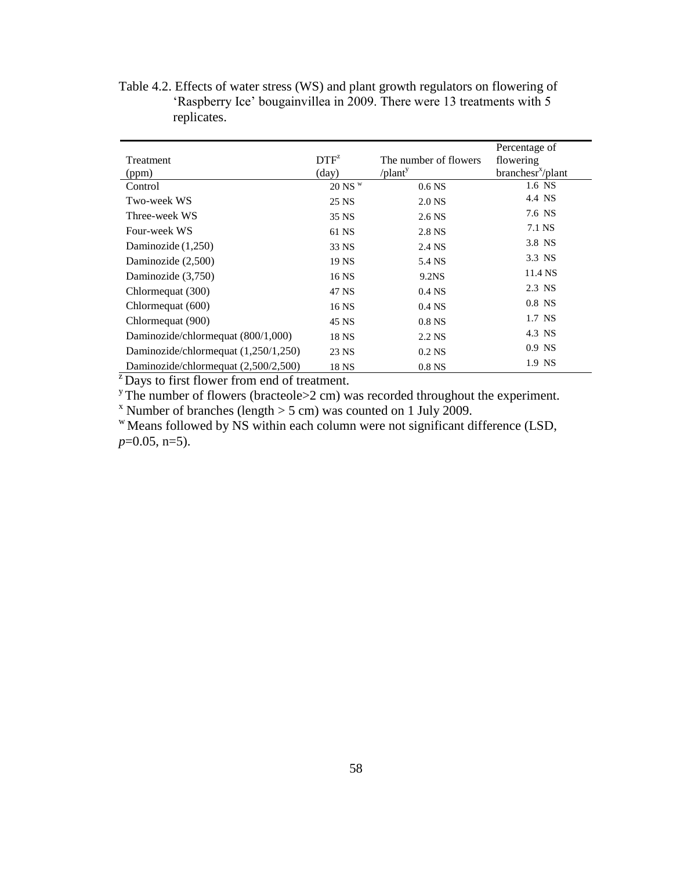|                                      |                  |                            | Percentage of                 |
|--------------------------------------|------------------|----------------------------|-------------------------------|
| Treatment                            | DTF <sup>z</sup> | The number of flowers      | flowering                     |
| (ppm)                                | $\text{(day)}$   | $\theta$ lant <sup>y</sup> | branchesr <sup>x</sup> /plant |
| Control                              | $20$ NS $W$      | 0.6 <sub>N</sub>           | 1.6 NS                        |
| Two-week WS                          | 25 NS            | 2.0 NS                     | 4.4 NS                        |
| Three-week WS                        | 35 NS            | 2.6 NS                     | 7.6 NS                        |
| Four-week WS                         | 61 NS            | 2.8 NS                     | 7.1 NS                        |
| Daminozide (1,250)                   | 33 NS            | 2.4 NS                     | 3.8 NS                        |
| Daminozide (2,500)                   | 19 NS            | 5.4 NS                     | 3.3 NS                        |
| Daminozide (3,750)                   | 16 NS            | 9.2NS                      | 11.4 NS                       |
| Chlormequat (300)                    | 47 NS            | 0.4 <sub>NS</sub>          | 2.3 NS                        |
| Chlormequat (600)                    | 16 NS            | 0.4 <sub>NS</sub>          | $0.8$ NS                      |
| Chlormequat (900)                    | 45 NS            | 0.8 <sub>N</sub>           | 1.7 NS                        |
| Daminozide/chlormequat (800/1,000)   | 18 NS            | 2.2 NS                     | 4.3 NS                        |
| Daminozide/chlormequat (1,250/1,250) | 23 NS            | $0.2$ NS                   | $0.9$ NS                      |
| Daminozide/chlormequat (2,500/2,500) | 18 NS            | 0.8 <sub>NS</sub>          | 1.9 NS                        |

Table 4.2. Effects of water stress (WS) and plant growth regulators on flowering of 'Raspberry Ice' bougainvillea in 2009. There were 13 treatments with 5 replicates.

 $\overline{z}$ Days to first flower from end of treatment.

<sup>y</sup>The number of flowers (bracteole $>2$  cm) was recorded throughout the experiment.

<sup>x</sup> Number of branches (length  $>$  5 cm) was counted on 1 July 2009.

 $W$ Means followed by NS within each column were not significant difference (LSD, *p*=0.05, n=5).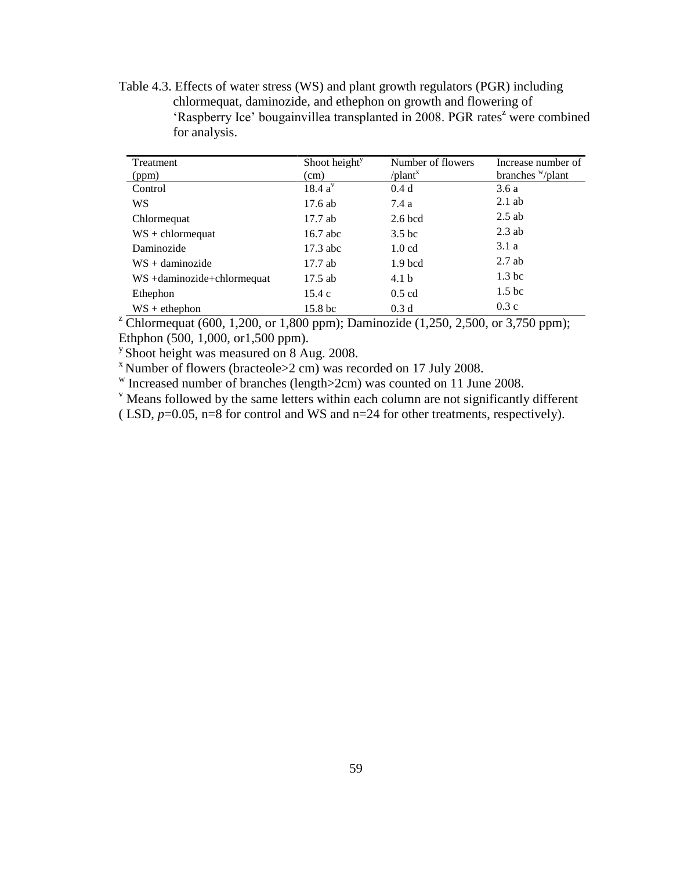Table 4.3. Effects of water stress (WS) and plant growth regulators (PGR) including chlormequat, daminozide, and ethephon on growth and flowering of 'Raspberry Ice' bougainvillea transplanted in 2008. PGR rates<sup>z</sup> were combined for analysis.

| Treatment                  | Shoot height <sup>y</sup> | Number of flowers | Increase number of |
|----------------------------|---------------------------|-------------------|--------------------|
| (ppm)                      | (cm)                      | $\theta$ lant     | branches "/plant   |
| Control                    | 18.4 a <sup>v</sup>       | 0.4d              | 3.6 a              |
| WS                         | 17.6 ab                   | 7.4 a             | $2.1$ ab           |
| Chlormequat                | $17.7$ ab                 | $2.6$ bcd         | $2.5$ ab           |
| $WS + \text{chlormequat}$  | $16.7$ abc                | 3.5 <sub>bc</sub> | $2.3$ ab           |
| Daminozide                 | $17.3$ abc                | 1.0 <sub>cd</sub> | 3.1a               |
| $WS +$ daminozide          | $17.7$ ab                 | $1.9$ bcd         | $2.7$ ab           |
| WS +daminozide+chlormequat | $17.5$ ab                 | 4.1 <sub>b</sub>  | 1.3 <sub>bc</sub>  |
| Ethephon                   | 15.4c                     | $0.5$ cd          | 1.5 <sub>bc</sub>  |
| $WS +$ ethephon            | 15.8 <sub>bc</sub>        | 0.3 <sub>d</sub>  | 0.3c               |

<sup>z</sup> Chlormequat (600, 1,200, or 1,800 ppm); Daminozide (1,250, 2,500, or 3,750 ppm); Ethphon (500, 1,000, or1,500 ppm).

<sup>y</sup> Shoot height was measured on 8 Aug. 2008.

 $x$  Number of flowers (bracteole  $>2$  cm) was recorded on 17 July 2008.

w Increased number of branches (length>2cm) was counted on 11 June 2008.

 $\mathbf v$  Means followed by the same letters within each column are not significantly different

( LSD,  $p=0.05$ ,  $n=8$  for control and WS and  $n=24$  for other treatments, respectively).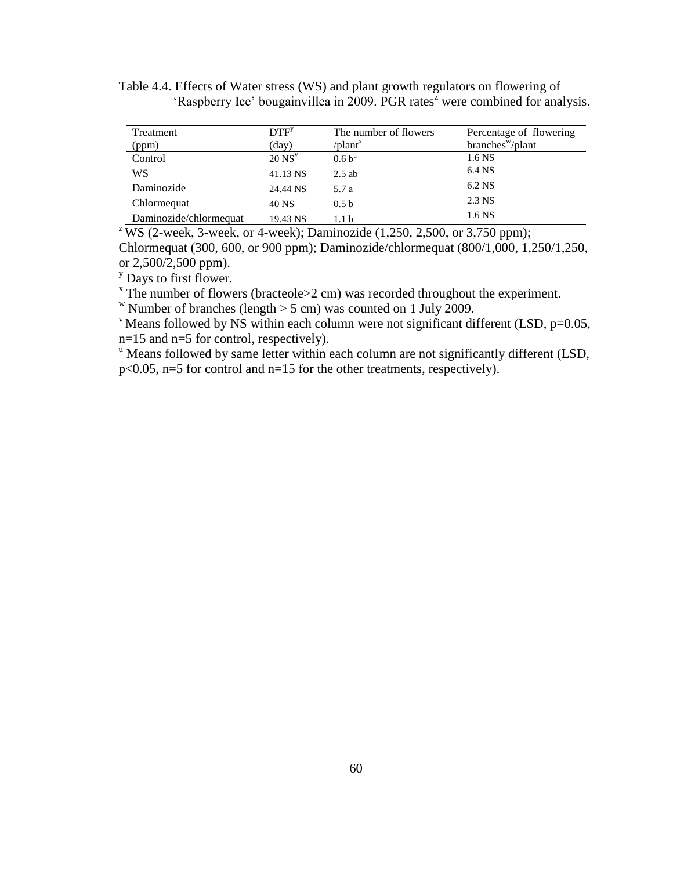| Table 4.4. Effects of Water stress (WS) and plant growth regulators on flowering of       |  |
|-------------------------------------------------------------------------------------------|--|
| 'Raspberry Ice' bougainvillea in 2009. PGR rates <sup>2</sup> were combined for analysis. |  |

| Treatment              | DTF <sup>y</sup>     | The number of flowers     | Percentage of flowering      |
|------------------------|----------------------|---------------------------|------------------------------|
| (ppm)                  | (day)                | $\ell$ plant <sup>x</sup> | $branches^{\mathbf{w}}/plan$ |
| Control                | $20$ NS <sup>V</sup> | 0.6 b <sup>u</sup>        | 1.6 NS                       |
| WS                     | 41.13 NS             | $2.5$ ab                  | 6.4 NS                       |
| Daminozide             | 24.44 NS             | 5.7 a                     | 6.2 NS                       |
| Chlormequat            | 40 NS                | 0.5 <sub>b</sub>          | 2.3 NS                       |
| Daminozide/chlormequat | 19.43 NS             | 1.1 <sub>b</sub>          | 1.6 NS                       |

<sup>z</sup> WS (2-week, 3-week, or 4-week); Daminozide (1,250, 2,500, or 3,750 ppm); Chlormequat (300, 600, or 900 ppm); Daminozide/chlormequat (800/1,000, 1,250/1,250, or 2,500/2,500 ppm).

<sup>y</sup> Days to first flower.

 $x$  The number of flowers (bracteole $>2$  cm) was recorded throughout the experiment.

<sup>w</sup> Number of branches (length  $>$  5 cm) was counted on 1 July 2009.

 $v$  Means followed by NS within each column were not significant different (LSD, p=0.05, n=15 and n=5 for control, respectively).

<sup>u</sup> Means followed by same letter within each column are not significantly different (LSD, p<0.05, n=5 for control and n=15 for the other treatments, respectively).